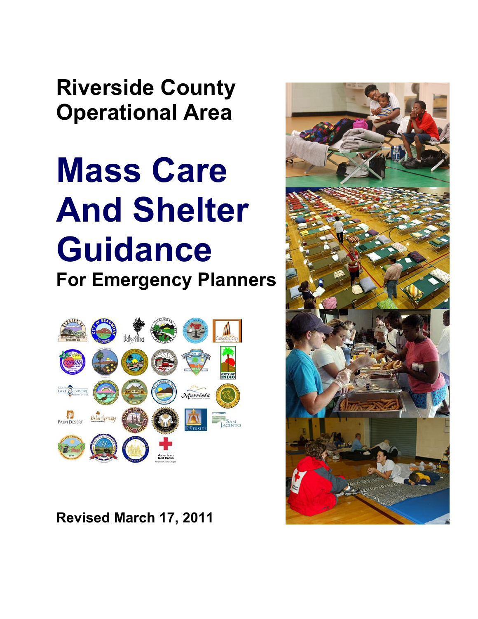**Riverside County Operational Area**

# **Mass Care And Shelter Guidance For Emergency Planners**



**Revised March 17, 2011** 

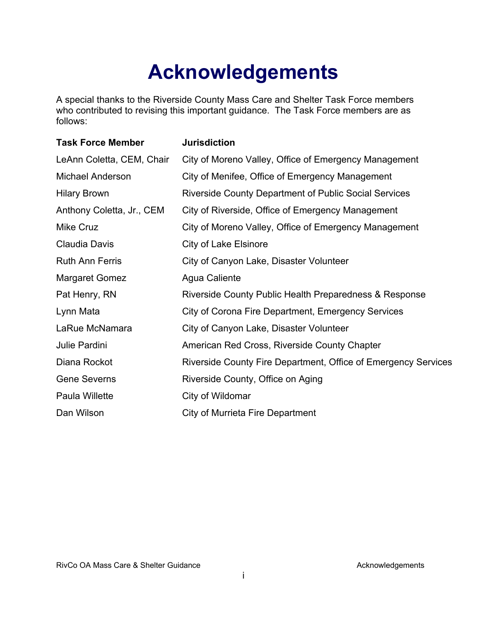# **Acknowledgements**

A special thanks to the Riverside County Mass Care and Shelter Task Force members who contributed to revising this important guidance. The Task Force members are as follows:

| <b>Task Force Member</b>  | <b>Jurisdiction</b>                                            |
|---------------------------|----------------------------------------------------------------|
| LeAnn Coletta, CEM, Chair | City of Moreno Valley, Office of Emergency Management          |
| <b>Michael Anderson</b>   | City of Menifee, Office of Emergency Management                |
| <b>Hilary Brown</b>       | <b>Riverside County Department of Public Social Services</b>   |
| Anthony Coletta, Jr., CEM | City of Riverside, Office of Emergency Management              |
| <b>Mike Cruz</b>          | City of Moreno Valley, Office of Emergency Management          |
| Claudia Davis             | <b>City of Lake Elsinore</b>                                   |
| <b>Ruth Ann Ferris</b>    | City of Canyon Lake, Disaster Volunteer                        |
| <b>Margaret Gomez</b>     | Agua Caliente                                                  |
| Pat Henry, RN             | Riverside County Public Health Preparedness & Response         |
| Lynn Mata                 | City of Corona Fire Department, Emergency Services             |
| LaRue McNamara            | City of Canyon Lake, Disaster Volunteer                        |
| Julie Pardini             | American Red Cross, Riverside County Chapter                   |
| Diana Rockot              | Riverside County Fire Department, Office of Emergency Services |
| <b>Gene Severns</b>       | Riverside County, Office on Aging                              |
| Paula Willette            | City of Wildomar                                               |
| Dan Wilson                | City of Murrieta Fire Department                               |

i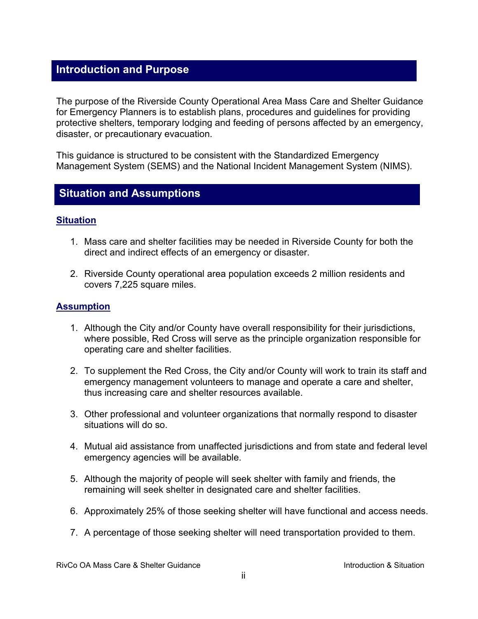### **Introduction and Purpose**

The purpose of the Riverside County Operational Area Mass Care and Shelter Guidance for Emergency Planners is to establish plans, procedures and guidelines for providing protective shelters, temporary lodging and feeding of persons affected by an emergency, disaster, or precautionary evacuation.

This guidance is structured to be consistent with the Standardized Emergency Management System (SEMS) and the National Incident Management System (NIMS).

### **Situation and Assumptions**

#### **Situation**

- 1. Mass care and shelter facilities may be needed in Riverside County for both the direct and indirect effects of an emergency or disaster.
- 2. Riverside County operational area population exceeds 2 million residents and covers 7,225 square miles.

#### **Assumption**

- 1. Although the City and/or County have overall responsibility for their jurisdictions, where possible, Red Cross will serve as the principle organization responsible for operating care and shelter facilities.
- 2. To supplement the Red Cross, the City and/or County will work to train its staff and emergency management volunteers to manage and operate a care and shelter, thus increasing care and shelter resources available.
- 3. Other professional and volunteer organizations that normally respond to disaster situations will do so.
- 4. Mutual aid assistance from unaffected jurisdictions and from state and federal level emergency agencies will be available.
- 5. Although the majority of people will seek shelter with family and friends, the remaining will seek shelter in designated care and shelter facilities.
- 6. Approximately 25% of those seeking shelter will have functional and access needs.
- 7. A percentage of those seeking shelter will need transportation provided to them.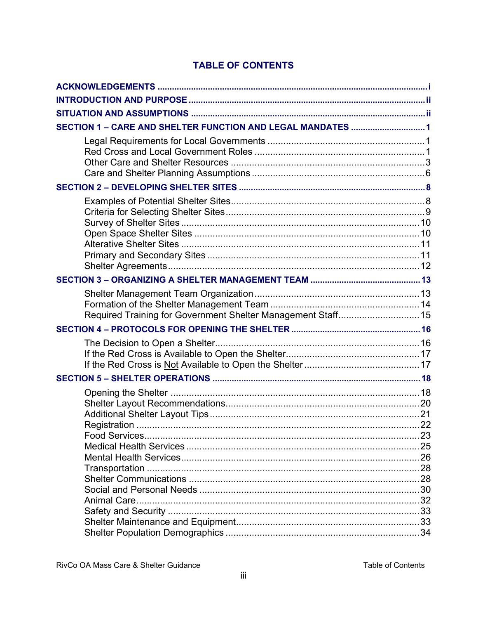#### **TABLE OF CONTENTS**

| Required Training for Government Shelter Management Staff 15 |  |
|--------------------------------------------------------------|--|
|                                                              |  |
|                                                              |  |
|                                                              |  |
|                                                              |  |
|                                                              |  |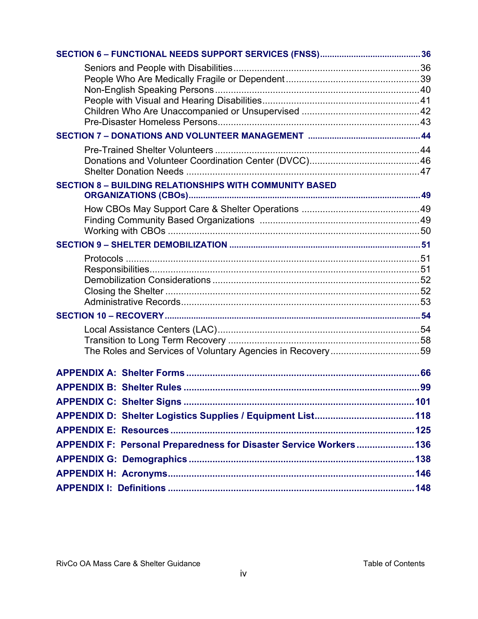| <b>SECTION 8 - BUILDING RELATIONSHIPS WITH COMMUNITY BASED</b>     |  |
|--------------------------------------------------------------------|--|
|                                                                    |  |
|                                                                    |  |
|                                                                    |  |
|                                                                    |  |
|                                                                    |  |
|                                                                    |  |
|                                                                    |  |
|                                                                    |  |
|                                                                    |  |
|                                                                    |  |
|                                                                    |  |
| The Roles and Services of Voluntary Agencies in Recovery59         |  |
|                                                                    |  |
|                                                                    |  |
|                                                                    |  |
|                                                                    |  |
|                                                                    |  |
| APPENDIX F: Personal Preparedness for Disaster Service Workers 136 |  |
|                                                                    |  |
|                                                                    |  |
|                                                                    |  |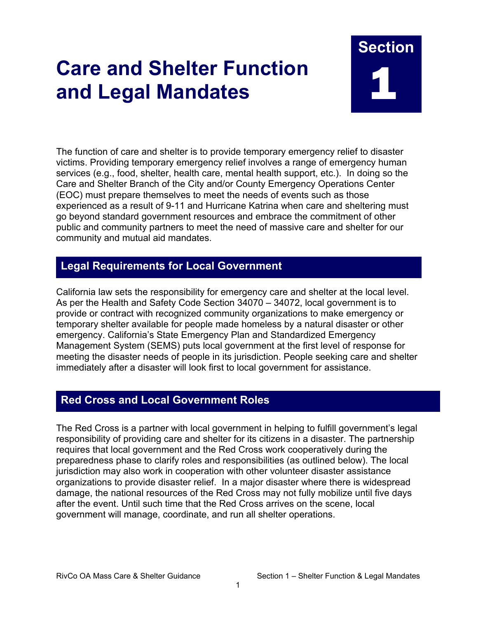# **Care and Shelter Function and Legal Mandates**



The function of care and shelter is to provide temporary emergency relief to disaster victims. Providing temporary emergency relief involves a range of emergency human services (e.g., food, shelter, health care, mental health support, etc.). In doing so the Care and Shelter Branch of the City and/or County Emergency Operations Center (EOC) must prepare themselves to meet the needs of events such as those experienced as a result of 9-11 and Hurricane Katrina when care and sheltering must go beyond standard government resources and embrace the commitment of other public and community partners to meet the need of massive care and shelter for our community and mutual aid mandates.

# **Legal Requirements for Local Government**

California law sets the responsibility for emergency care and shelter at the local level. As per the Health and Safety Code Section 34070 – 34072, local government is to provide or contract with recognized community organizations to make emergency or temporary shelter available for people made homeless by a natural disaster or other emergency. California's State Emergency Plan and Standardized Emergency Management System (SEMS) puts local government at the first level of response for meeting the disaster needs of people in its jurisdiction. People seeking care and shelter immediately after a disaster will look first to local government for assistance.

# **Red Cross and Local Government Roles**

The Red Cross is a partner with local government in helping to fulfill government's legal responsibility of providing care and shelter for its citizens in a disaster. The partnership requires that local government and the Red Cross work cooperatively during the preparedness phase to clarify roles and responsibilities (as outlined below). The local jurisdiction may also work in cooperation with other volunteer disaster assistance organizations to provide disaster relief. In a major disaster where there is widespread damage, the national resources of the Red Cross may not fully mobilize until five days after the event. Until such time that the Red Cross arrives on the scene, local government will manage, coordinate, and run all shelter operations.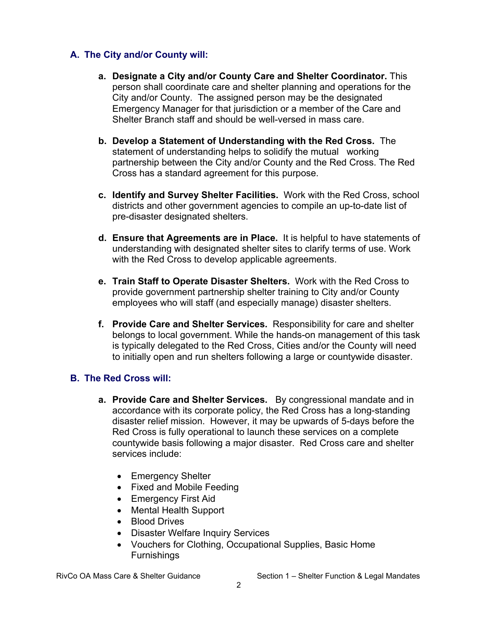#### **A. The City and/or County will:**

- **a. Designate a City and/or County Care and Shelter Coordinator.** This person shall coordinate care and shelter planning and operations for the City and/or County. The assigned person may be the designated Emergency Manager for that jurisdiction or a member of the Care and Shelter Branch staff and should be well-versed in mass care.
- **b. Develop a Statement of Understanding with the Red Cross.** The statement of understanding helps to solidify the mutual working partnership between the City and/or County and the Red Cross. The Red Cross has a standard agreement for this purpose.
- **c. Identify and Survey Shelter Facilities.** Work with the Red Cross, school districts and other government agencies to compile an up-to-date list of pre-disaster designated shelters.
- **d. Ensure that Agreements are in Place.** It is helpful to have statements of understanding with designated shelter sites to clarify terms of use. Work with the Red Cross to develop applicable agreements.
- **e. Train Staff to Operate Disaster Shelters.** Work with the Red Cross to provide government partnership shelter training to City and/or County employees who will staff (and especially manage) disaster shelters.
- **f. Provide Care and Shelter Services.** Responsibility for care and shelter belongs to local government. While the hands-on management of this task is typically delegated to the Red Cross, Cities and/or the County will need to initially open and run shelters following a large or countywide disaster.

#### **B. The Red Cross will:**

- **a. Provide Care and Shelter Services.** By congressional mandate and in accordance with its corporate policy, the Red Cross has a long-standing disaster relief mission. However, it may be upwards of 5-days before the Red Cross is fully operational to launch these services on a complete countywide basis following a major disaster. Red Cross care and shelter services include:
	- Emergency Shelter
	- Fixed and Mobile Feeding
	- Emergency First Aid
	- Mental Health Support
	- Blood Drives
	- Disaster Welfare Inquiry Services
	- Vouchers for Clothing, Occupational Supplies, Basic Home **Furnishings**

RivCo OA Mass Care & Shelter Guidance Section 1 – Shelter Function & Legal Mandates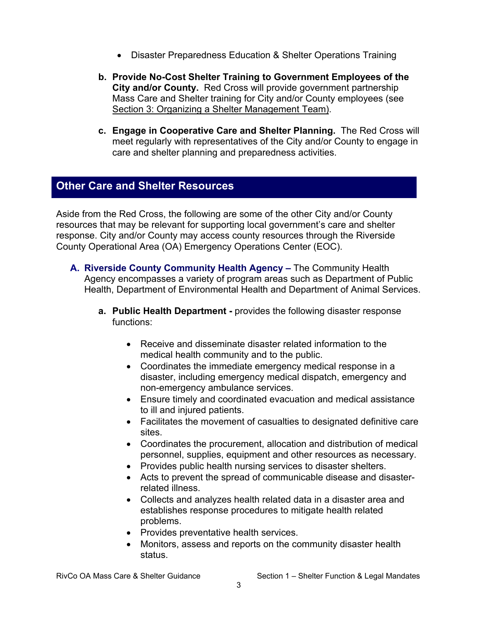- Disaster Preparedness Education & Shelter Operations Training
- **b. Provide No-Cost Shelter Training to Government Employees of the City and/or County.** Red Cross will provide government partnership Mass Care and Shelter training for City and/or County employees (see Section 3: Organizing a Shelter Management Team).
- **c. Engage in Cooperative Care and Shelter Planning.** The Red Cross will meet regularly with representatives of the City and/or County to engage in care and shelter planning and preparedness activities.

# **Other Care and Shelter Resources**

Aside from the Red Cross, the following are some of the other City and/or County resources that may be relevant for supporting local government's care and shelter response. City and/or County may access county resources through the Riverside County Operational Area (OA) Emergency Operations Center (EOC).

- **A. Riverside County Community Health Agency –** The Community Health Agency encompasses a variety of program areas such as Department of Public Health, Department of Environmental Health and Department of Animal Services.
	- **a. Public Health Department** provides the following disaster response functions:
		- Receive and disseminate disaster related information to the medical health community and to the public.
		- Coordinates the immediate emergency medical response in a disaster, including emergency medical dispatch, emergency and non-emergency ambulance services.
		- Ensure timely and coordinated evacuation and medical assistance to ill and injured patients.
		- Facilitates the movement of casualties to designated definitive care sites.
		- Coordinates the procurement, allocation and distribution of medical personnel, supplies, equipment and other resources as necessary.
		- Provides public health nursing services to disaster shelters.
		- Acts to prevent the spread of communicable disease and disasterrelated illness.
		- Collects and analyzes health related data in a disaster area and establishes response procedures to mitigate health related problems.
		- Provides preventative health services.
		- Monitors, assess and reports on the community disaster health status.

RivCo OA Mass Care & Shelter Guidance Section 1 – Shelter Function & Legal Mandates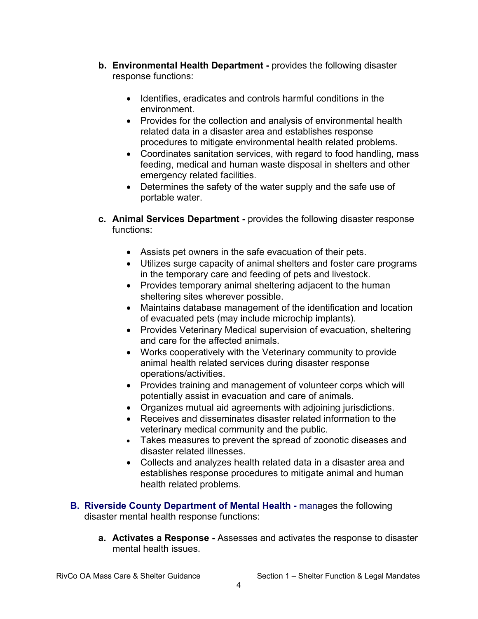- **b. Environmental Health Department -** provides the following disaster response functions:
	- Identifies, eradicates and controls harmful conditions in the environment.
	- Provides for the collection and analysis of environmental health related data in a disaster area and establishes response procedures to mitigate environmental health related problems.
	- Coordinates sanitation services, with regard to food handling, mass feeding, medical and human waste disposal in shelters and other emergency related facilities.
	- Determines the safety of the water supply and the safe use of portable water.
- **c. Animal Services Department** provides the following disaster response functions:
	- Assists pet owners in the safe evacuation of their pets.
	- Utilizes surge capacity of animal shelters and foster care programs in the temporary care and feeding of pets and livestock.
	- Provides temporary animal sheltering adjacent to the human sheltering sites wherever possible.
	- Maintains database management of the identification and location of evacuated pets (may include microchip implants).
	- Provides Veterinary Medical supervision of evacuation, sheltering and care for the affected animals.
	- Works cooperatively with the Veterinary community to provide animal health related services during disaster response operations/activities.
	- Provides training and management of volunteer corps which will potentially assist in evacuation and care of animals.
	- Organizes mutual aid agreements with adjoining jurisdictions.
	- Receives and disseminates disaster related information to the veterinary medical community and the public.
	- Takes measures to prevent the spread of zoonotic diseases and disaster related illnesses.
	- Collects and analyzes health related data in a disaster area and establishes response procedures to mitigate animal and human health related problems.
- **B. Riverside County Department of Mental Health manages the following** disaster mental health response functions:
	- **a. Activates a Response** Assesses and activates the response to disaster mental health issues.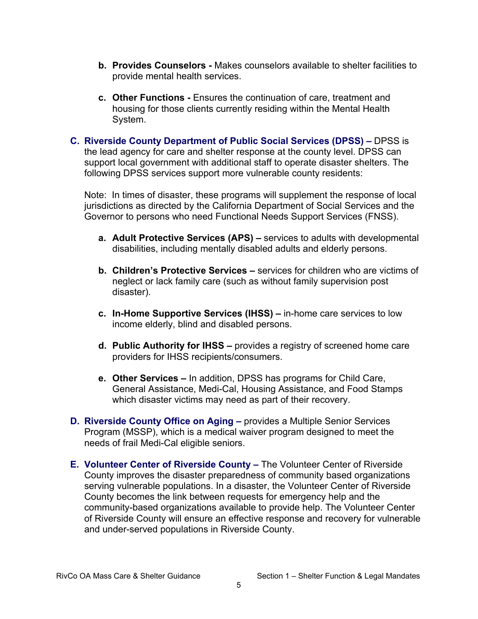- **b. Provides Counselors** Makes counselors available to shelter facilities to provide mental health services.
- **c. Other Functions -** Ensures the continuation of care, treatment and housing for those clients currently residing within the Mental Health System.
- **C. Riverside County Department of Public Social Services (DPSS) –** DPSS is the lead agency for care and shelter response at the county level. DPSS can support local government with additional staff to operate disaster shelters. The following DPSS services support more vulnerable county residents:

Note: In times of disaster, these programs will supplement the response of local jurisdictions as directed by the California Department of Social Services and the Governor to persons who need Functional Needs Support Services (FNSS).

- **a. Adult Protective Services (APS)** services to adults with developmental disabilities, including mentally disabled adults and elderly persons.
- **b. Children's Protective Services** services for children who are victims of neglect or lack family care (such as without family supervision post disaster).
- **c. In-Home Supportive Services (IHSS)** in-home care services to low income elderly, blind and disabled persons.
- **d. Public Authority for IHSS** provides a registry of screened home care providers for IHSS recipients/consumers.
- **e. Other Services** In addition, DPSS has programs for Child Care, General Assistance, Medi-Cal, Housing Assistance, and Food Stamps which disaster victims may need as part of their recovery.
- **D. Riverside County Office on Aging –** provides a Multiple Senior Services Program (MSSP), which is a medical waiver program designed to meet the needs of frail Medi-Cal eligible seniors.
- **E. Volunteer Center of Riverside County –** The Volunteer Center of Riverside County improves the disaster preparedness of community based organizations serving vulnerable populations. In a disaster, the Volunteer Center of Riverside County becomes the link between requests for emergency help and the community-based organizations available to provide help. The Volunteer Center of Riverside County will ensure an effective response and recovery for vulnerable and under-served populations in Riverside County.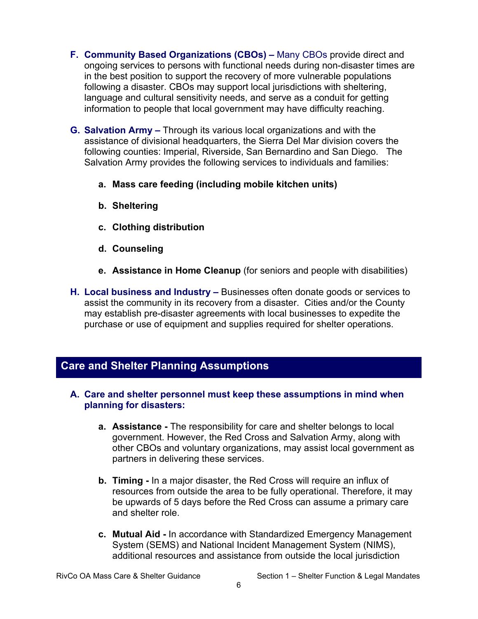- **F. Community Based Organizations (CBOs)** Many CBOs provide direct and ongoing services to persons with functional needs during non-disaster times are in the best position to support the recovery of more vulnerable populations following a disaster. CBOs may support local jurisdictions with sheltering, language and cultural sensitivity needs, and serve as a conduit for getting information to people that local government may have difficulty reaching.
- **G. Salvation Army –** Through its various local organizations and with the assistance of divisional headquarters, the Sierra Del Mar division covers the following counties: Imperial, Riverside, San Bernardino and San Diego. The Salvation Army provides the following services to individuals and families:
	- **a. Mass care feeding (including mobile kitchen units)**
	- **b. Sheltering**
	- **c. Clothing distribution**
	- **d. Counseling**
	- **e. Assistance in Home Cleanup** (for seniors and people with disabilities)
- **H. Local business and Industry –** Businesses often donate goods or services to assist the community in its recovery from a disaster. Cities and/or the County may establish pre-disaster agreements with local businesses to expedite the purchase or use of equipment and supplies required for shelter operations.

# **Care and Shelter Planning Assumptions**

#### **A. Care and shelter personnel must keep these assumptions in mind when planning for disasters:**

- **a. Assistance -** The responsibility for care and shelter belongs to local government. However, the Red Cross and Salvation Army, along with other CBOs and voluntary organizations, may assist local government as partners in delivering these services.
- **b. Timing** In a major disaster, the Red Cross will require an influx of resources from outside the area to be fully operational. Therefore, it may be upwards of 5 days before the Red Cross can assume a primary care and shelter role.
- **c. Mutual Aid** In accordance with Standardized Emergency Management System (SEMS) and National Incident Management System (NIMS), additional resources and assistance from outside the local jurisdiction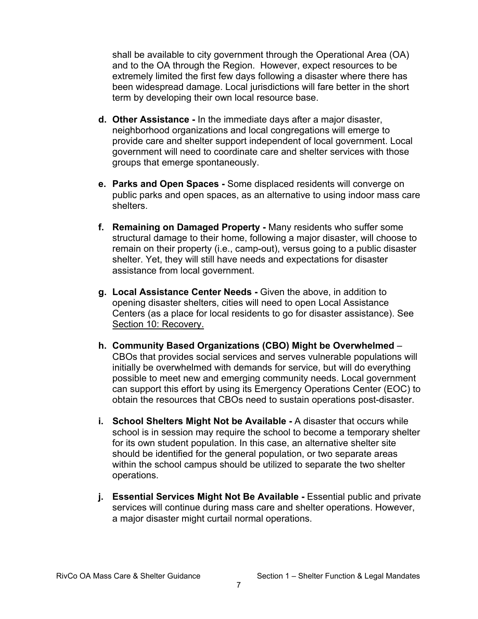shall be available to city government through the Operational Area (OA) and to the OA through the Region. However, expect resources to be extremely limited the first few days following a disaster where there has been widespread damage. Local jurisdictions will fare better in the short term by developing their own local resource base.

- **d. Other Assistance -** In the immediate days after a major disaster, neighborhood organizations and local congregations will emerge to provide care and shelter support independent of local government. Local government will need to coordinate care and shelter services with those groups that emerge spontaneously.
- **e. Parks and Open Spaces -** Some displaced residents will converge on public parks and open spaces, as an alternative to using indoor mass care shelters.
- **f. Remaining on Damaged Property -** Many residents who suffer some structural damage to their home, following a major disaster, will choose to remain on their property (i.e., camp-out), versus going to a public disaster shelter. Yet, they will still have needs and expectations for disaster assistance from local government.
- **g. Local Assistance Center Needs -** Given the above, in addition to opening disaster shelters, cities will need to open Local Assistance Centers (as a place for local residents to go for disaster assistance). See Section 10: Recovery.
- **h. Community Based Organizations (CBO) Might be Overwhelmed** CBOs that provides social services and serves vulnerable populations will initially be overwhelmed with demands for service, but will do everything possible to meet new and emerging community needs. Local government can support this effort by using its Emergency Operations Center (EOC) to obtain the resources that CBOs need to sustain operations post-disaster.
- **i. School Shelters Might Not be Available -** A disaster that occurs while school is in session may require the school to become a temporary shelter for its own student population. In this case, an alternative shelter site should be identified for the general population, or two separate areas within the school campus should be utilized to separate the two shelter operations.
- **j. Essential Services Might Not Be Available -** Essential public and private services will continue during mass care and shelter operations. However, a major disaster might curtail normal operations.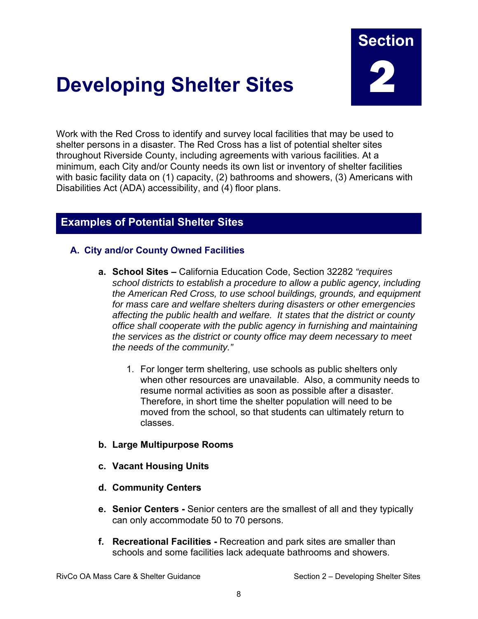

# **Developing Shelter Sites**

Work with the Red Cross to identify and survey local facilities that may be used to shelter persons in a disaster. The Red Cross has a list of potential shelter sites throughout Riverside County, including agreements with various facilities. At a minimum, each City and/or County needs its own list or inventory of shelter facilities with basic facility data on (1) capacity, (2) bathrooms and showers, (3) Americans with Disabilities Act (ADA) accessibility, and (4) floor plans.

### **Examples of Potential Shelter Sites**

#### **A. City and/or County Owned Facilities**

- **a. School Sites –** California Education Code, Section 32282 *"requires school districts to establish a procedure to allow a public agency, including the American Red Cross, to use school buildings, grounds, and equipment for mass care and welfare shelters during disasters or other emergencies affecting the public health and welfare. It states that the district or county office shall cooperate with the public agency in furnishing and maintaining the services as the district or county office may deem necessary to meet the needs of the community."*
	- 1. For longer term sheltering, use schools as public shelters only when other resources are unavailable. Also, a community needs to resume normal activities as soon as possible after a disaster. Therefore, in short time the shelter population will need to be moved from the school, so that students can ultimately return to classes.

#### **b. Large Multipurpose Rooms**

- **c. Vacant Housing Units**
- **d. Community Centers**
- **e. Senior Centers** Senior centers are the smallest of all and they typically can only accommodate 50 to 70 persons.
- **f. Recreational Facilities** Recreation and park sites are smaller than schools and some facilities lack adequate bathrooms and showers.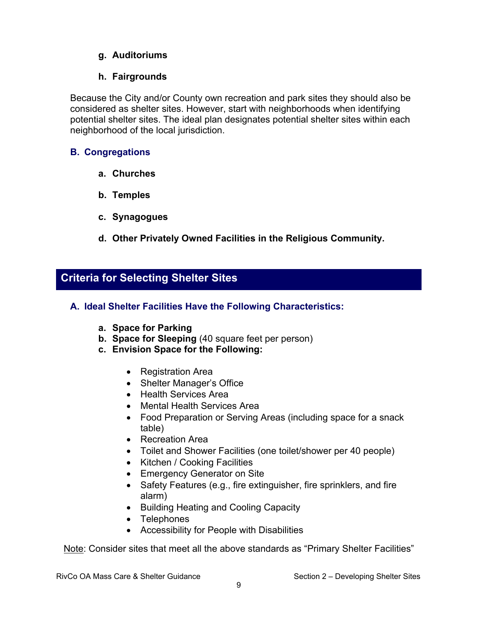#### **g. Auditoriums**

#### **h. Fairgrounds**

Because the City and/or County own recreation and park sites they should also be considered as shelter sites. However, start with neighborhoods when identifying potential shelter sites. The ideal plan designates potential shelter sites within each neighborhood of the local jurisdiction.

#### **B. Congregations**

- **a. Churches**
- **b. Temples**
- **c. Synagogues**
- **d. Other Privately Owned Facilities in the Religious Community.**

# **Criteria for Selecting Shelter Sites**

### **A. Ideal Shelter Facilities Have the Following Characteristics:**

- **a. Space for Parking**
- **b. Space for Sleeping** (40 square feet per person)
- **c. Envision Space for the Following:**
	- Registration Area
	- Shelter Manager's Office
	- Health Services Area
	- Mental Health Services Area
	- Food Preparation or Serving Areas (including space for a snack table)
	- Recreation Area
	- Toilet and Shower Facilities (one toilet/shower per 40 people)
	- Kitchen / Cooking Facilities
	- Emergency Generator on Site
	- Safety Features (e.g., fire extinguisher, fire sprinklers, and fire alarm)
	- Building Heating and Cooling Capacity
	- Telephones
	- Accessibility for People with Disabilities

Note: Consider sites that meet all the above standards as "Primary Shelter Facilities"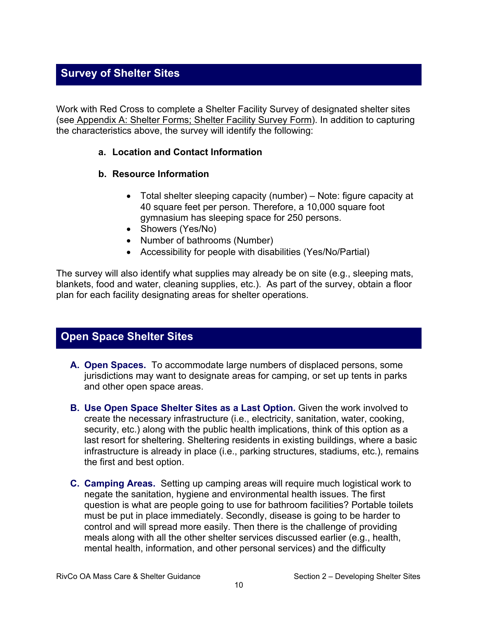# **Survey of Shelter Sites**

Work with Red Cross to complete a Shelter Facility Survey of designated shelter sites (see Appendix A: Shelter Forms; Shelter Facility Survey Form). In addition to capturing the characteristics above, the survey will identify the following:

#### **a. Location and Contact Information**

#### **b. Resource Information**

- Total shelter sleeping capacity (number) Note: figure capacity at 40 square feet per person. Therefore, a 10,000 square foot gymnasium has sleeping space for 250 persons.
- Showers (Yes/No)
- Number of bathrooms (Number)
- Accessibility for people with disabilities (Yes/No/Partial)

The survey will also identify what supplies may already be on site (e.g., sleeping mats, blankets, food and water, cleaning supplies, etc.). As part of the survey, obtain a floor plan for each facility designating areas for shelter operations.

# **Open Space Shelter Sites**

- **A. Open Spaces.** To accommodate large numbers of displaced persons, some jurisdictions may want to designate areas for camping, or set up tents in parks and other open space areas.
- **B. Use Open Space Shelter Sites as a Last Option.** Given the work involved to create the necessary infrastructure (i.e., electricity, sanitation, water, cooking, security, etc.) along with the public health implications, think of this option as a last resort for sheltering. Sheltering residents in existing buildings, where a basic infrastructure is already in place (i.e., parking structures, stadiums, etc.), remains the first and best option.
- **C. Camping Areas.** Setting up camping areas will require much logistical work to negate the sanitation, hygiene and environmental health issues. The first question is what are people going to use for bathroom facilities? Portable toilets must be put in place immediately. Secondly, disease is going to be harder to control and will spread more easily. Then there is the challenge of providing meals along with all the other shelter services discussed earlier (e.g., health, mental health, information, and other personal services) and the difficulty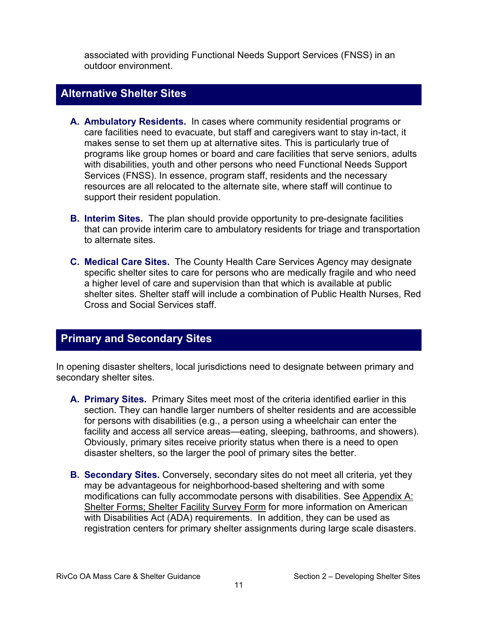associated with providing Functional Needs Support Services (FNSS) in an outdoor environment.

# **Alternative Shelter Sites**

- **A. Ambulatory Residents.** In cases where community residential programs or care facilities need to evacuate, but staff and caregivers want to stay in-tact, it makes sense to set them up at alternative sites. This is particularly true of programs like group homes or board and care facilities that serve seniors, adults with disabilities, youth and other persons who need Functional Needs Support Services (FNSS). In essence, program staff, residents and the necessary resources are all relocated to the alternate site, where staff will continue to support their resident population.
- **B. Interim Sites.** The plan should provide opportunity to pre-designate facilities that can provide interim care to ambulatory residents for triage and transportation to alternate sites.
- **C. Medical Care Sites.** The County Health Care Services Agency may designate specific shelter sites to care for persons who are medically fragile and who need a higher level of care and supervision than that which is available at public shelter sites. Shelter staff will include a combination of Public Health Nurses, Red Cross and Social Services staff.

# **Primary and Secondary Sites**

In opening disaster shelters, local jurisdictions need to designate between primary and secondary shelter sites.

- **A. Primary Sites.** Primary Sites meet most of the criteria identified earlier in this section. They can handle larger numbers of shelter residents and are accessible for persons with disabilities (e.g., a person using a wheelchair can enter the facility and access all service areas—eating, sleeping, bathrooms, and showers). Obviously, primary sites receive priority status when there is a need to open disaster shelters, so the larger the pool of primary sites the better.
- **B. Secondary Sites.** Conversely, secondary sites do not meet all criteria, yet they may be advantageous for neighborhood-based sheltering and with some modifications can fully accommodate persons with disabilities. See Appendix A: Shelter Forms; Shelter Facility Survey Form for more information on American with Disabilities Act (ADA) requirements. In addition, they can be used as registration centers for primary shelter assignments during large scale disasters.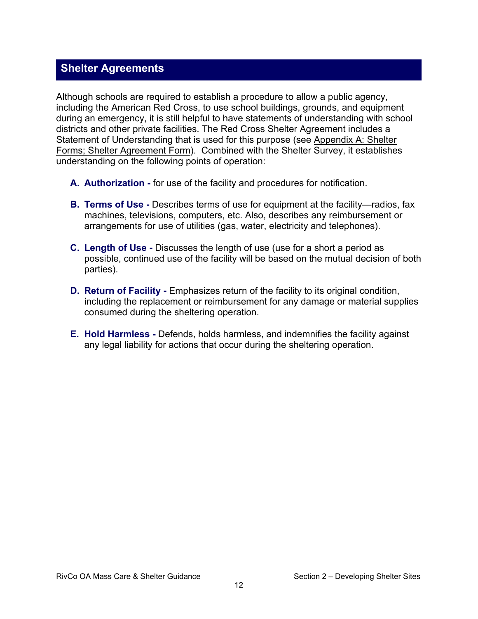## **Shelter Agreements**

Although schools are required to establish a procedure to allow a public agency, including the American Red Cross, to use school buildings, grounds, and equipment during an emergency, it is still helpful to have statements of understanding with school districts and other private facilities. The Red Cross Shelter Agreement includes a Statement of Understanding that is used for this purpose (see Appendix A: Shelter Forms; Shelter Agreement Form). Combined with the Shelter Survey, it establishes understanding on the following points of operation:

- **A. Authorization -** for use of the facility and procedures for notification.
- **B. Terms of Use** Describes terms of use for equipment at the facility—radios, fax machines, televisions, computers, etc. Also, describes any reimbursement or arrangements for use of utilities (gas, water, electricity and telephones).
- **C. Length of Use** Discusses the length of use (use for a short a period as possible, continued use of the facility will be based on the mutual decision of both parties).
- **D. Return of Facility -** Emphasizes return of the facility to its original condition, including the replacement or reimbursement for any damage or material supplies consumed during the sheltering operation.
- **E. Hold Harmless** Defends, holds harmless, and indemnifies the facility against any legal liability for actions that occur during the sheltering operation.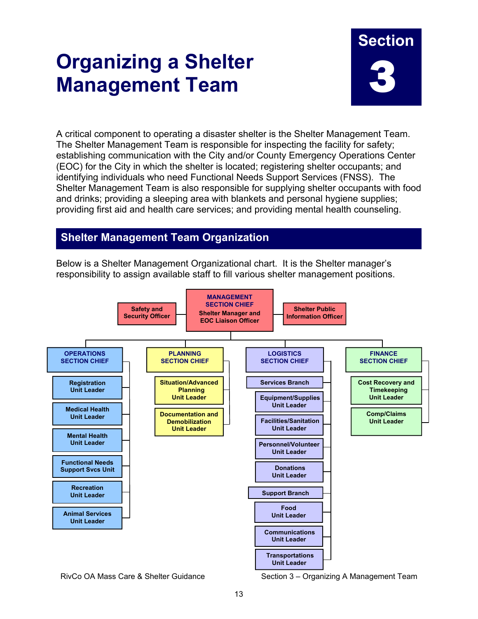# **Organizing a Shelter Management Team**



A critical component to operating a disaster shelter is the Shelter Management Team. The Shelter Management Team is responsible for inspecting the facility for safety; establishing communication with the City and/or County Emergency Operations Center (EOC) for the City in which the shelter is located; registering shelter occupants; and identifying individuals who need Functional Needs Support Services (FNSS). The Shelter Management Team is also responsible for supplying shelter occupants with food and drinks; providing a sleeping area with blankets and personal hygiene supplies; providing first aid and health care services; and providing mental health counseling.

# **Shelter Management Team Organization**

Below is a Shelter Management Organizational chart. It is the Shelter manager's responsibility to assign available staff to fill various shelter management positions.



RivCo OA Mass Care & Shelter Guidance Section 3 – Organizing A Management Team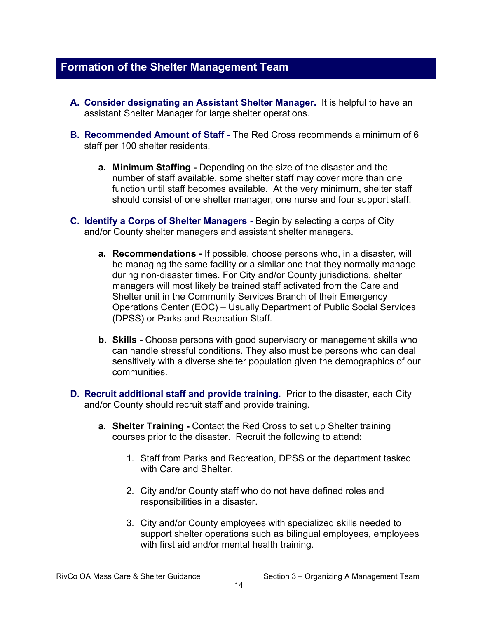# **Formation of the Shelter Management Team**

- **A. Consider designating an Assistant Shelter Manager.** It is helpful to have an assistant Shelter Manager for large shelter operations.
- **B. Recommended Amount of Staff** The Red Cross recommends a minimum of 6 staff per 100 shelter residents.
	- **a. Minimum Staffing -** Depending on the size of the disaster and the number of staff available, some shelter staff may cover more than one function until staff becomes available. At the very minimum, shelter staff should consist of one shelter manager, one nurse and four support staff.
- **C. Identify a Corps of Shelter Managers** Begin by selecting a corps of City and/or County shelter managers and assistant shelter managers.
	- **a. Recommendations** If possible, choose persons who, in a disaster, will be managing the same facility or a similar one that they normally manage during non-disaster times. For City and/or County jurisdictions, shelter managers will most likely be trained staff activated from the Care and Shelter unit in the Community Services Branch of their Emergency Operations Center (EOC) – Usually Department of Public Social Services (DPSS) or Parks and Recreation Staff.
	- **b. Skills** Choose persons with good supervisory or management skills who can handle stressful conditions. They also must be persons who can deal sensitively with a diverse shelter population given the demographics of our communities.
- **D. Recruit additional staff and provide training.** Prior to the disaster, each City and/or County should recruit staff and provide training.
	- **a. Shelter Training** Contact the Red Cross to set up Shelter training courses prior to the disaster. Recruit the following to attend**:** 
		- 1. Staff from Parks and Recreation, DPSS or the department tasked with Care and Shelter.
		- 2. City and/or County staff who do not have defined roles and responsibilities in a disaster.
		- 3. City and/or County employees with specialized skills needed to support shelter operations such as bilingual employees, employees with first aid and/or mental health training.

RivCo OA Mass Care & Shelter Guidance Section 3 – Organizing A Management Team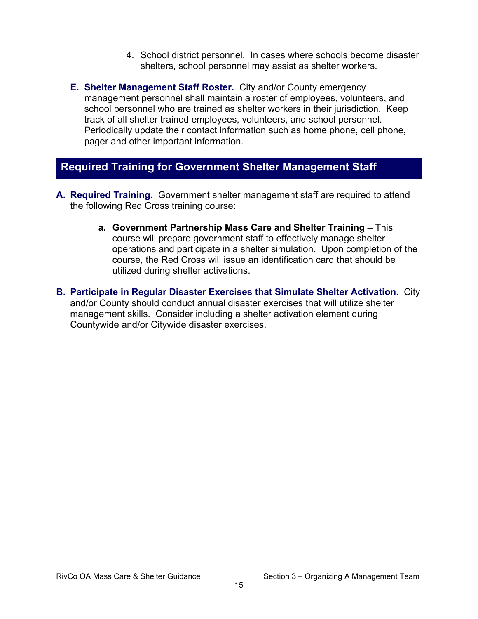- 4. School district personnel. In cases where schools become disaster shelters, school personnel may assist as shelter workers.
- **E. Shelter Management Staff Roster.** City and/or County emergency management personnel shall maintain a roster of employees, volunteers, and school personnel who are trained as shelter workers in their jurisdiction. Keep track of all shelter trained employees, volunteers, and school personnel. Periodically update their contact information such as home phone, cell phone, pager and other important information.

# **Required Training for Government Shelter Management Staff**

- **A. Required Training.** Government shelter management staff are required to attend the following Red Cross training course:
	- **a. Government Partnership Mass Care and Shelter Training** This course will prepare government staff to effectively manage shelter operations and participate in a shelter simulation. Upon completion of the course, the Red Cross will issue an identification card that should be utilized during shelter activations.
- **B. Participate in Regular Disaster Exercises that Simulate Shelter Activation.** City and/or County should conduct annual disaster exercises that will utilize shelter management skills. Consider including a shelter activation element during Countywide and/or Citywide disaster exercises.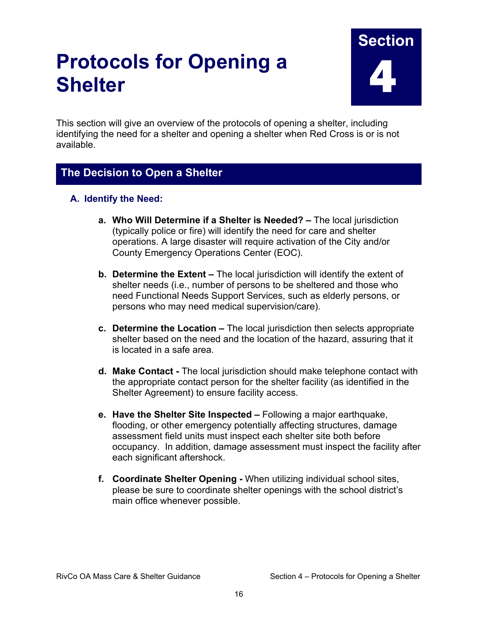# **Protocols for Opening a Shelter**



This section will give an overview of the protocols of opening a shelter, including identifying the need for a shelter and opening a shelter when Red Cross is or is not available.

# **The Decision to Open a Shelter**

#### **A. Identify the Need:**

- **a. Who Will Determine if a Shelter is Needed?** The local jurisdiction (typically police or fire) will identify the need for care and shelter operations. A large disaster will require activation of the City and/or County Emergency Operations Center (EOC).
- **b. Determine the Extent** The local jurisdiction will identify the extent of shelter needs (i.e., number of persons to be sheltered and those who need Functional Needs Support Services, such as elderly persons, or persons who may need medical supervision/care).
- **c. Determine the Location** The local jurisdiction then selects appropriate shelter based on the need and the location of the hazard, assuring that it is located in a safe area.
- **d. Make Contact** The local jurisdiction should make telephone contact with the appropriate contact person for the shelter facility (as identified in the Shelter Agreement) to ensure facility access.
- **e. Have the Shelter Site Inspected** Following a major earthquake, flooding, or other emergency potentially affecting structures, damage assessment field units must inspect each shelter site both before occupancy. In addition, damage assessment must inspect the facility after each significant aftershock.
- **f. Coordinate Shelter Opening** When utilizing individual school sites, please be sure to coordinate shelter openings with the school district's main office whenever possible.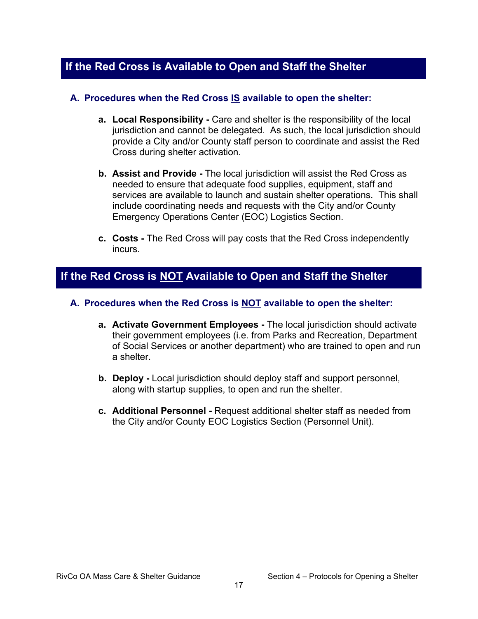# **If the Red Cross is Available to Open and Staff the Shelter**

#### **A. Procedures when the Red Cross IS available to open the shelter:**

- **a. Local Responsibility -** Care and shelter is the responsibility of the local jurisdiction and cannot be delegated. As such, the local jurisdiction should provide a City and/or County staff person to coordinate and assist the Red Cross during shelter activation.
- **b. Assist and Provide** The local jurisdiction will assist the Red Cross as needed to ensure that adequate food supplies, equipment, staff and services are available to launch and sustain shelter operations. This shall include coordinating needs and requests with the City and/or County Emergency Operations Center (EOC) Logistics Section.
- **c. Costs** The Red Cross will pay costs that the Red Cross independently incurs.

# **If the Red Cross is NOT Available to Open and Staff the Shelter**

#### **A. Procedures when the Red Cross is NOT available to open the shelter:**

- **a. Activate Government Employees** The local jurisdiction should activate their government employees (i.e. from Parks and Recreation, Department of Social Services or another department) who are trained to open and run a shelter.
- **b. Deploy** Local jurisdiction should deploy staff and support personnel, along with startup supplies, to open and run the shelter.
- **c. Additional Personnel** Request additional shelter staff as needed from the City and/or County EOC Logistics Section (Personnel Unit).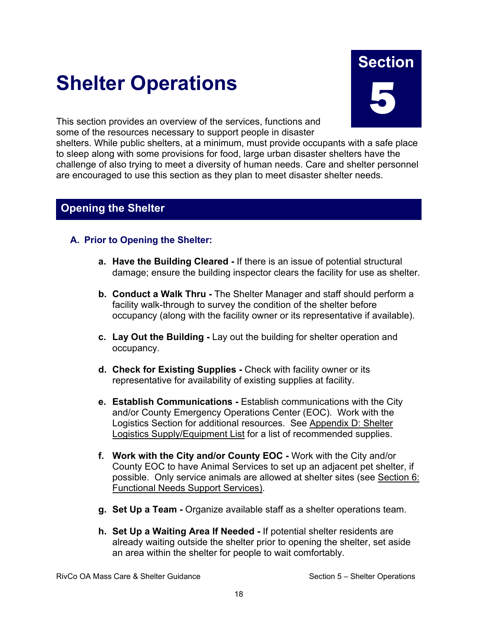# **Shelter Operations**



This section provides an overview of the services, functions and some of the resources necessary to support people in disaster

shelters. While public shelters, at a minimum, must provide occupants with a safe place to sleep along with some provisions for food, large urban disaster shelters have the challenge of also trying to meet a diversity of human needs. Care and shelter personnel are encouraged to use this section as they plan to meet disaster shelter needs.

# **Opening the Shelter**

#### **A. Prior to Opening the Shelter:**

- **a. Have the Building Cleared** If there is an issue of potential structural damage; ensure the building inspector clears the facility for use as shelter.
- **b. Conduct a Walk Thru** The Shelter Manager and staff should perform a facility walk-through to survey the condition of the shelter before occupancy (along with the facility owner or its representative if available).
- **c. Lay Out the Building** Lay out the building for shelter operation and occupancy.
- **d. Check for Existing Supplies** Check with facility owner or its representative for availability of existing supplies at facility.
- **e. Establish Communications** Establish communications with the City and/or County Emergency Operations Center (EOC). Work with the Logistics Section for additional resources. See Appendix D: Shelter Logistics Supply/Equipment List for a list of recommended supplies.
- **f. Work with the City and/or County EOC** Work with the City and/or County EOC to have Animal Services to set up an adjacent pet shelter, if possible. Only service animals are allowed at shelter sites (see Section 6: Functional Needs Support Services).
- **g. Set Up a Team** Organize available staff as a shelter operations team.
- **h. Set Up a Waiting Area If Needed** If potential shelter residents are already waiting outside the shelter prior to opening the shelter, set aside an area within the shelter for people to wait comfortably.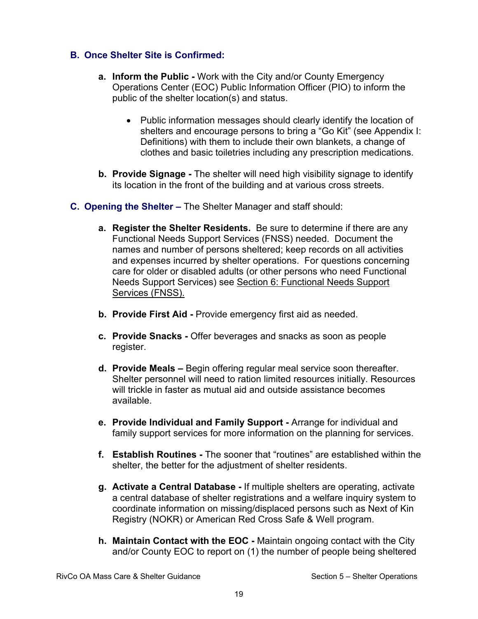#### **B. Once Shelter Site is Confirmed:**

- **a. Inform the Public** Work with the City and/or County Emergency Operations Center (EOC) Public Information Officer (PIO) to inform the public of the shelter location(s) and status.
	- Public information messages should clearly identify the location of shelters and encourage persons to bring a "Go Kit" (see Appendix I: Definitions) with them to include their own blankets, a change of clothes and basic toiletries including any prescription medications.
- **b. Provide Signage** The shelter will need high visibility signage to identify its location in the front of the building and at various cross streets.
- **C. Opening the Shelter –** The Shelter Manager and staff should:
	- **a. Register the Shelter Residents.** Be sure to determine if there are any Functional Needs Support Services (FNSS) needed. Document the names and number of persons sheltered; keep records on all activities and expenses incurred by shelter operations. For questions concerning care for older or disabled adults (or other persons who need Functional Needs Support Services) see Section 6: Functional Needs Support Services (FNSS).
	- **b. Provide First Aid -** Provide emergency first aid as needed.
	- **c. Provide Snacks -** Offer beverages and snacks as soon as people register.
	- **d. Provide Meals –** Begin offering regular meal service soon thereafter. Shelter personnel will need to ration limited resources initially. Resources will trickle in faster as mutual aid and outside assistance becomes available.
	- **e. Provide Individual and Family Support -** Arrange for individual and family support services for more information on the planning for services.
	- **f. Establish Routines** The sooner that "routines" are established within the shelter, the better for the adjustment of shelter residents.
	- **g. Activate a Central Database -** If multiple shelters are operating, activate a central database of shelter registrations and a welfare inquiry system to coordinate information on missing/displaced persons such as Next of Kin Registry (NOKR) or American Red Cross Safe & Well program.
	- **h. Maintain Contact with the EOC** Maintain ongoing contact with the City and/or County EOC to report on (1) the number of people being sheltered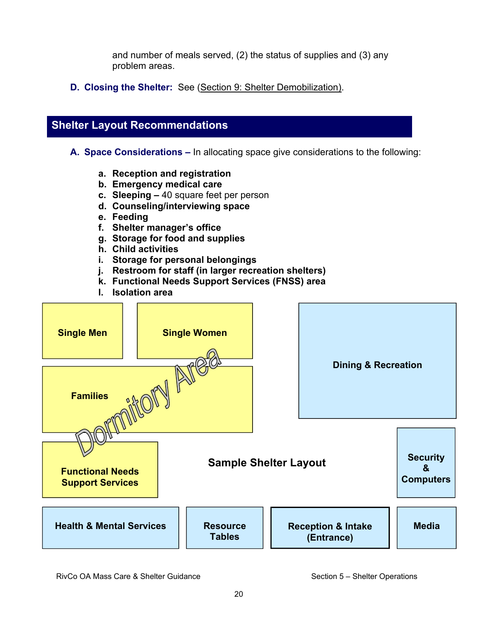and number of meals served, (2) the status of supplies and (3) any problem areas.

**D. Closing the Shelter:** See (Section 9: Shelter Demobilization).

## **Shelter Layout Recommendations**

**A. Space Considerations –** In allocating space give considerations to the following:

- **a. Reception and registration**
- **b. Emergency medical care**
- **c. Sleeping** 40 square feet per person
- **d. Counseling/interviewing space**
- **e. Feeding**
- **f. Shelter manager's office**
- **g. Storage for food and supplies**
- **h. Child activities**
- **i. Storage for personal belongings**
- **j. Restroom for staff (in larger recreation shelters)**
- **k. Functional Needs Support Services (FNSS) area**
- **l. Isolation area**

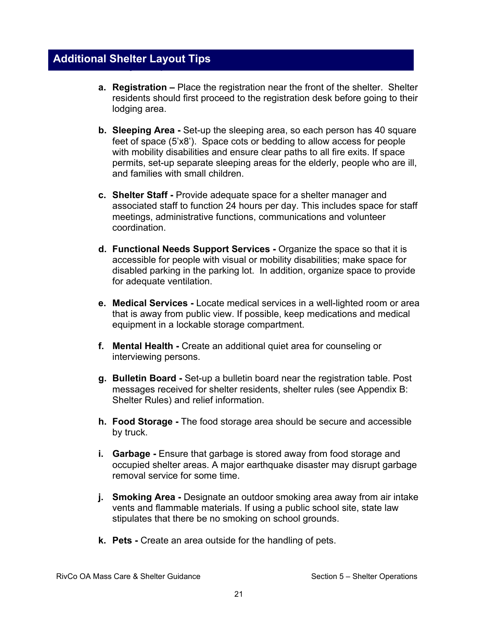#### **A. Shelter Layout Tips: Additional Shelter Layout Tips**

- **a. Registration** Place the registration near the front of the shelter. Shelter residents should first proceed to the registration desk before going to their lodging area.
- **b. Sleeping Area** Set-up the sleeping area, so each person has 40 square feet of space (5'x8'). Space cots or bedding to allow access for people with mobility disabilities and ensure clear paths to all fire exits. If space permits, set-up separate sleeping areas for the elderly, people who are ill, and families with small children.
- **c. Shelter Staff** Provide adequate space for a shelter manager and associated staff to function 24 hours per day. This includes space for staff meetings, administrative functions, communications and volunteer coordination.
- **d. Functional Needs Support Services** Organize the space so that it is accessible for people with visual or mobility disabilities; make space for disabled parking in the parking lot. In addition, organize space to provide for adequate ventilation.
- **e. Medical Services** Locate medical services in a well-lighted room or area that is away from public view. If possible, keep medications and medical equipment in a lockable storage compartment.
- **f. Mental Health** Create an additional quiet area for counseling or interviewing persons.
- **g. Bulletin Board** Set-up a bulletin board near the registration table. Post messages received for shelter residents, shelter rules (see Appendix B: Shelter Rules) and relief information.
- **h. Food Storage** The food storage area should be secure and accessible by truck.
- **i.** Garbage Ensure that garbage is stored away from food storage and occupied shelter areas. A major earthquake disaster may disrupt garbage removal service for some time.
- **j. Smoking Area** Designate an outdoor smoking area away from air intake vents and flammable materials. If using a public school site, state law stipulates that there be no smoking on school grounds.
- **k. Pets** Create an area outside for the handling of pets.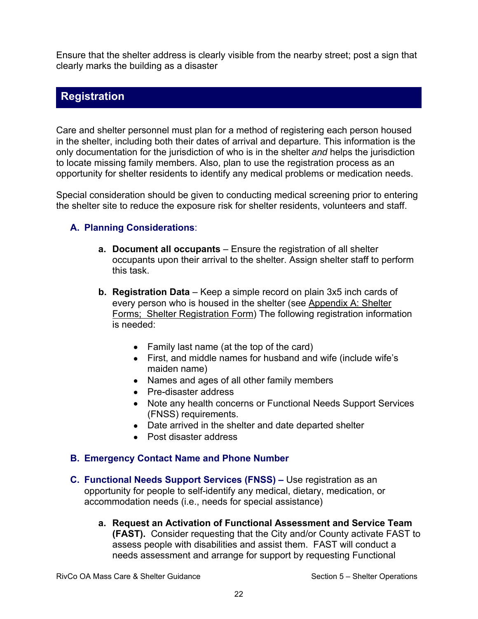Ensure that the shelter address is clearly visible from the nearby street; post a sign that clearly marks the building as a disaster

# **Registration**

Care and shelter personnel must plan for a method of registering each person housed in the shelter, including both their dates of arrival and departure. This information is the only documentation for the jurisdiction of who is in the shelter *and* helps the jurisdiction to locate missing family members. Also, plan to use the registration process as an opportunity for shelter residents to identify any medical problems or medication needs.

Special consideration should be given to conducting medical screening prior to entering the shelter site to reduce the exposure risk for shelter residents, volunteers and staff.

#### **A. Planning Considerations**:

- **a. Document all occupants** Ensure the registration of all shelter occupants upon their arrival to the shelter. Assign shelter staff to perform this task.
- **b. Registration Data** Keep a simple record on plain 3x5 inch cards of every person who is housed in the shelter (see Appendix A: Shelter Forms; Shelter Registration Form) The following registration information is needed:
	- Family last name (at the top of the card)
	- First, and middle names for husband and wife (include wife's maiden name)
	- Names and ages of all other family members
	- Pre-disaster address
	- Note any health concerns or Functional Needs Support Services (FNSS) requirements.
	- Date arrived in the shelter and date departed shelter
	- Post disaster address

#### **B. Emergency Contact Name and Phone Number**

- **C. Functional Needs Support Services (FNSS) –** Use registration as an opportunity for people to self-identify any medical, dietary, medication, or accommodation needs (i.e., needs for special assistance)
	- **a. Request an Activation of Functional Assessment and Service Team (FAST).** Consider requesting that the City and/or County activate FAST to assess people with disabilities and assist them. FAST will conduct a needs assessment and arrange for support by requesting Functional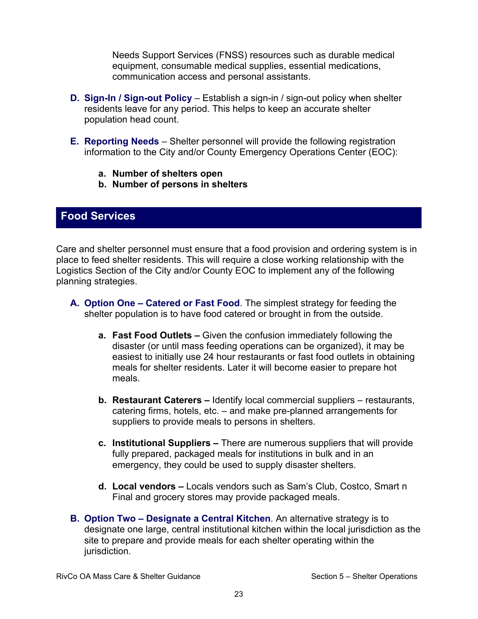Needs Support Services (FNSS) resources such as durable medical equipment, consumable medical supplies, essential medications, communication access and personal assistants.

- **D. Sign-In / Sign-out Policy** Establish a sign-in / sign-out policy when shelter residents leave for any period. This helps to keep an accurate shelter population head count.
- **E. Reporting Needs** Shelter personnel will provide the following registration information to the City and/or County Emergency Operations Center (EOC):
	- **a. Number of shelters open**
	- **b. Number of persons in shelters**

### **Food Services**

Care and shelter personnel must ensure that a food provision and ordering system is in place to feed shelter residents. This will require a close working relationship with the Logistics Section of the City and/or County EOC to implement any of the following planning strategies.

- **A. Option One Catered or Fast Food**. The simplest strategy for feeding the shelter population is to have food catered or brought in from the outside.
	- **a. Fast Food Outlets** Given the confusion immediately following the disaster (or until mass feeding operations can be organized), it may be easiest to initially use 24 hour restaurants or fast food outlets in obtaining meals for shelter residents. Later it will become easier to prepare hot meals.
	- **b. Restaurant Caterers –** Identify local commercial suppliers restaurants, catering firms, hotels, etc. – and make pre-planned arrangements for suppliers to provide meals to persons in shelters.
	- **c. Institutional Suppliers –** There are numerous suppliers that will provide fully prepared, packaged meals for institutions in bulk and in an emergency, they could be used to supply disaster shelters.
	- **d. Local vendors –** Locals vendors such as Sam's Club, Costco, Smart n Final and grocery stores may provide packaged meals.
- **B. Option Two Designate a Central Kitchen**. An alternative strategy is to designate one large, central institutional kitchen within the local jurisdiction as the site to prepare and provide meals for each shelter operating within the jurisdiction.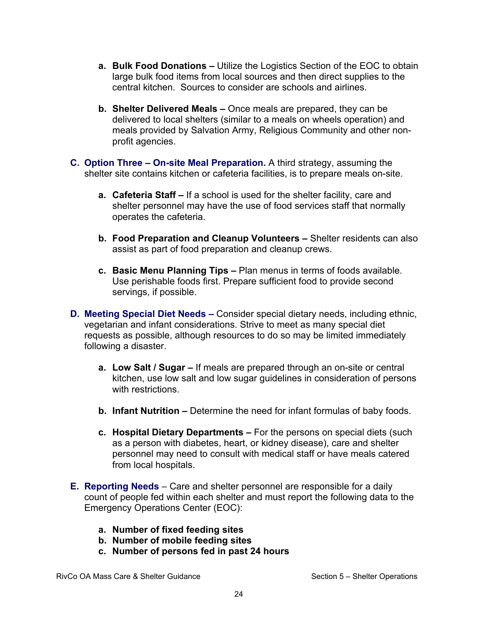- **a. Bulk Food Donations –** Utilize the Logistics Section of the EOC to obtain large bulk food items from local sources and then direct supplies to the central kitchen. Sources to consider are schools and airlines.
- **b. Shelter Delivered Meals –** Once meals are prepared, they can be delivered to local shelters (similar to a meals on wheels operation) and meals provided by Salvation Army, Religious Community and other nonprofit agencies.
- **C. Option Three On-site Meal Preparation.** A third strategy, assuming the shelter site contains kitchen or cafeteria facilities, is to prepare meals on-site.
	- **a. Cafeteria Staff –** If a school is used for the shelter facility, care and shelter personnel may have the use of food services staff that normally operates the cafeteria.
	- **b. Food Preparation and Cleanup Volunteers –** Shelter residents can also assist as part of food preparation and cleanup crews.
	- **c. Basic Menu Planning Tips –** Plan menus in terms of foods available. Use perishable foods first. Prepare sufficient food to provide second servings, if possible.
- **D. Meeting Special Diet Needs –** Consider special dietary needs, including ethnic, vegetarian and infant considerations. Strive to meet as many special diet requests as possible, although resources to do so may be limited immediately following a disaster.
	- **a. Low Salt / Sugar –** If meals are prepared through an on-site or central kitchen, use low salt and low sugar guidelines in consideration of persons with restrictions.
	- **b. Infant Nutrition –** Determine the need for infant formulas of baby foods.
	- **c. Hospital Dietary Departments –** For the persons on special diets (such as a person with diabetes, heart, or kidney disease), care and shelter personnel may need to consult with medical staff or have meals catered from local hospitals.
- **E. Reporting Needs**  Care and shelter personnel are responsible for a daily count of people fed within each shelter and must report the following data to the Emergency Operations Center (EOC):
	- **a. Number of fixed feeding sites**
	- **b. Number of mobile feeding sites**
	- **c. Number of persons fed in past 24 hours**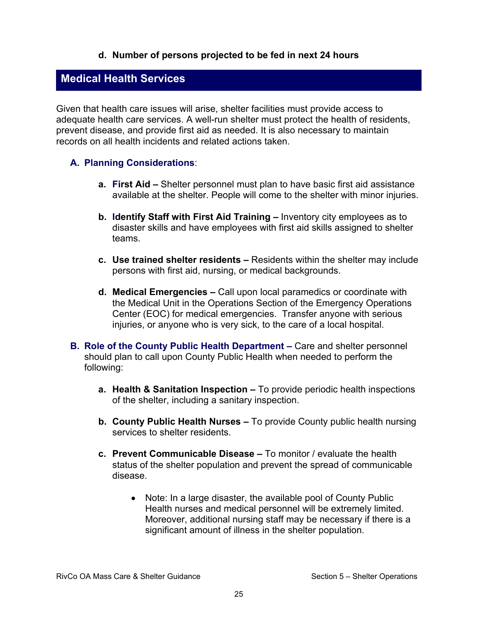#### **d. Number of persons projected to be fed in next 24 hours**

# **Medical Health Services**

Given that health care issues will arise, shelter facilities must provide access to adequate health care services. A well-run shelter must protect the health of residents, prevent disease, and provide first aid as needed. It is also necessary to maintain records on all health incidents and related actions taken.

#### **A. Planning Considerations**:

- **a. First Aid –** Shelter personnel must plan to have basic first aid assistance available at the shelter. People will come to the shelter with minor injuries.
- **b. Identify Staff with First Aid Training –** Inventory city employees as to disaster skills and have employees with first aid skills assigned to shelter teams.
- **c. Use trained shelter residents –** Residents within the shelter may include persons with first aid, nursing, or medical backgrounds.
- **d. Medical Emergencies –** Call upon local paramedics or coordinate with the Medical Unit in the Operations Section of the Emergency Operations Center (EOC) for medical emergencies. Transfer anyone with serious injuries, or anyone who is very sick, to the care of a local hospital.
- **B. Role of the County Public Health Department –** Care and shelter personnel should plan to call upon County Public Health when needed to perform the following:
	- **a. Health & Sanitation Inspection –** To provide periodic health inspections of the shelter, including a sanitary inspection.
	- **b. County Public Health Nurses –** To provide County public health nursing services to shelter residents.
	- **c. Prevent Communicable Disease –** To monitor / evaluate the health status of the shelter population and prevent the spread of communicable disease.
		- Note: In a large disaster, the available pool of County Public Health nurses and medical personnel will be extremely limited. Moreover, additional nursing staff may be necessary if there is a significant amount of illness in the shelter population.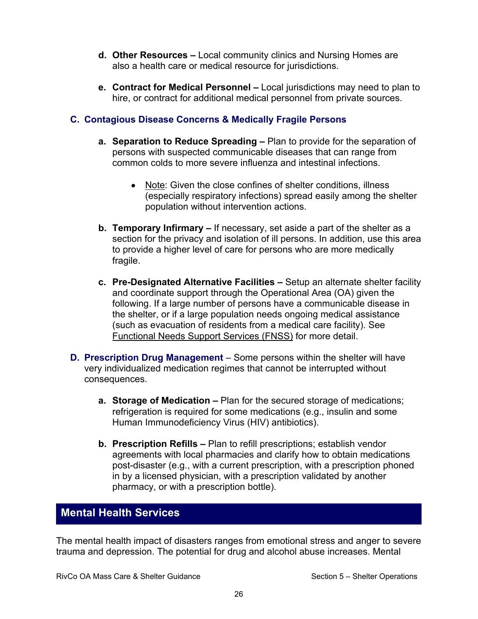- **d. Other Resources –** Local community clinics and Nursing Homes are also a health care or medical resource for jurisdictions.
- **e. Contract for Medical Personnel –** Local jurisdictions may need to plan to hire, or contract for additional medical personnel from private sources.

#### **C. Contagious Disease Concerns & Medically Fragile Persons**

- **a. Separation to Reduce Spreading –** Plan to provide for the separation of persons with suspected communicable diseases that can range from common colds to more severe influenza and intestinal infections.
	- Note: Given the close confines of shelter conditions, illness (especially respiratory infections) spread easily among the shelter population without intervention actions.
- **b. Temporary Infirmary –** If necessary, set aside a part of the shelter as a section for the privacy and isolation of ill persons. In addition, use this area to provide a higher level of care for persons who are more medically fragile.
- **c. Pre-Designated Alternative Facilities –** Setup an alternate shelter facility and coordinate support through the Operational Area (OA) given the following. If a large number of persons have a communicable disease in the shelter, or if a large population needs ongoing medical assistance (such as evacuation of residents from a medical care facility). See Functional Needs Support Services (FNSS) for more detail.
- **D. Prescription Drug Management** Some persons within the shelter will have very individualized medication regimes that cannot be interrupted without consequences.
	- **a. Storage of Medication –** Plan for the secured storage of medications; refrigeration is required for some medications (e.g., insulin and some Human Immunodeficiency Virus (HIV) antibiotics).
	- **b. Prescription Refills –** Plan to refill prescriptions; establish vendor agreements with local pharmacies and clarify how to obtain medications post-disaster (e.g., with a current prescription, with a prescription phoned in by a licensed physician, with a prescription validated by another pharmacy, or with a prescription bottle).

# **Mental Health Services**

The mental health impact of disasters ranges from emotional stress and anger to severe trauma and depression. The potential for drug and alcohol abuse increases. Mental

RivCo OA Mass Care & Shelter Guidance Section 5 – Shelter Operations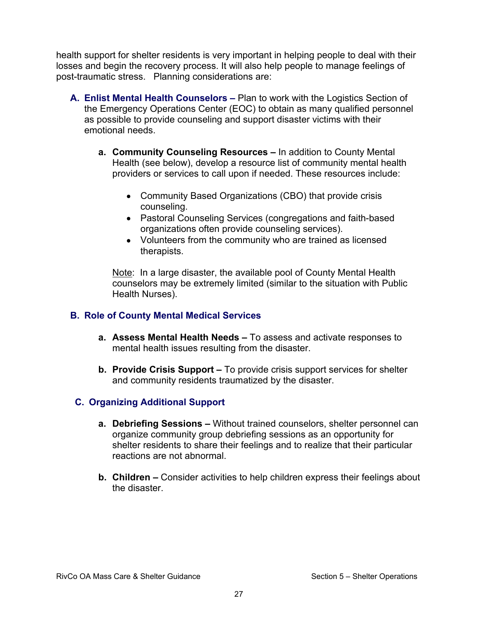health support for shelter residents is very important in helping people to deal with their losses and begin the recovery process. It will also help people to manage feelings of post-traumatic stress. Planning considerations are:

- **A. Enlist Mental Health Counselors –** Plan to work with the Logistics Section of the Emergency Operations Center (EOC) to obtain as many qualified personnel as possible to provide counseling and support disaster victims with their emotional needs.
	- **a. Community Counseling Resources –** In addition to County Mental Health (see below), develop a resource list of community mental health providers or services to call upon if needed. These resources include:
		- Community Based Organizations (CBO) that provide crisis counseling.
		- Pastoral Counseling Services (congregations and faith-based organizations often provide counseling services).
		- Volunteers from the community who are trained as licensed therapists.

Note:In a large disaster, the available pool of County Mental Health counselors may be extremely limited (similar to the situation with Public Health Nurses).

#### **B. Role of County Mental Medical Services**

- **a. Assess Mental Health Needs –** To assess and activate responses to mental health issues resulting from the disaster.
- **b. Provide Crisis Support –** To provide crisis support services for shelter and community residents traumatized by the disaster.

#### **C. Organizing Additional Support**

- **a. Debriefing Sessions –** Without trained counselors, shelter personnel can organize community group debriefing sessions as an opportunity for shelter residents to share their feelings and to realize that their particular reactions are not abnormal.
- **b. Children –** Consider activities to help children express their feelings about the disaster.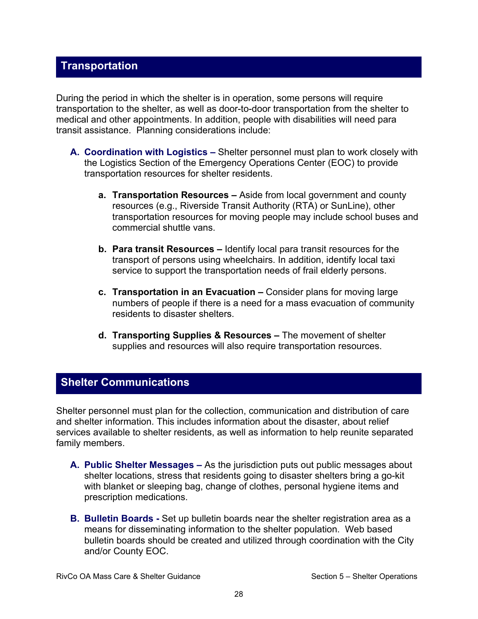# **Transportation**

During the period in which the shelter is in operation, some persons will require transportation to the shelter, as well as door-to-door transportation from the shelter to medical and other appointments. In addition, people with disabilities will need para transit assistance. Planning considerations include:

- **A. Coordination with Logistics –** Shelter personnel must plan to work closely with the Logistics Section of the Emergency Operations Center (EOC) to provide transportation resources for shelter residents.
	- **a. Transportation Resources –** Aside from local government and county resources (e.g., Riverside Transit Authority (RTA) or SunLine), other transportation resources for moving people may include school buses and commercial shuttle vans.
	- **b. Para transit Resources –** Identify local para transit resources for the transport of persons using wheelchairs. In addition, identify local taxi service to support the transportation needs of frail elderly persons.
	- **c. Transportation in an Evacuation –** Consider plans for moving large numbers of people if there is a need for a mass evacuation of community residents to disaster shelters.
	- **d. Transporting Supplies & Resources –** The movement of shelter supplies and resources will also require transportation resources.

# **Shelter Communications**

Shelter personnel must plan for the collection, communication and distribution of care and shelter information. This includes information about the disaster, about relief services available to shelter residents, as well as information to help reunite separated family members.

- **A. Public Shelter Messages –** As the jurisdiction puts out public messages about shelter locations, stress that residents going to disaster shelters bring a go-kit with blanket or sleeping bag, change of clothes, personal hygiene items and prescription medications.
- **B. Bulletin Boards** Set up bulletin boards near the shelter registration area as a means for disseminating information to the shelter population. Web based bulletin boards should be created and utilized through coordination with the City and/or County EOC.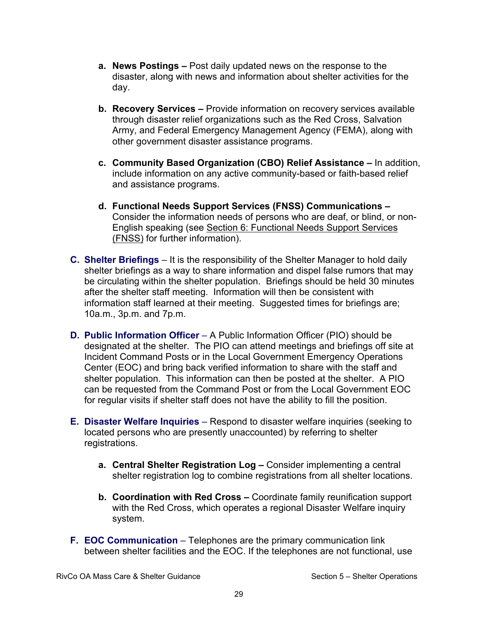- **a. News Postings –** Post daily updated news on the response to the disaster, along with news and information about shelter activities for the day.
- **b. Recovery Services –** Provide information on recovery services available through disaster relief organizations such as the Red Cross, Salvation Army, and Federal Emergency Management Agency (FEMA), along with other government disaster assistance programs.
- **c. Community Based Organization (CBO) Relief Assistance –** In addition, include information on any active community-based or faith-based relief and assistance programs.
- **d. Functional Needs Support Services (FNSS) Communications –** Consider the information needs of persons who are deaf, or blind, or non-English speaking (see Section 6: Functional Needs Support Services (FNSS) for further information).
- **C. Shelter Briefings** It is the responsibility of the Shelter Manager to hold daily shelter briefings as a way to share information and dispel false rumors that may be circulating within the shelter population. Briefings should be held 30 minutes after the shelter staff meeting. Information will then be consistent with information staff learned at their meeting. Suggested times for briefings are; 10a.m., 3p.m. and 7p.m.
- **D. Public Information Officer** A Public Information Officer (PIO) should be designated at the shelter. The PIO can attend meetings and briefings off site at Incident Command Posts or in the Local Government Emergency Operations Center (EOC) and bring back verified information to share with the staff and shelter population. This information can then be posted at the shelter. A PIO can be requested from the Command Post or from the Local Government EOC for regular visits if shelter staff does not have the ability to fill the position.
- **E. Disaster Welfare Inquiries**  Respond to disaster welfare inquiries (seeking to located persons who are presently unaccounted) by referring to shelter registrations.
	- **a. Central Shelter Registration Log –** Consider implementing a central shelter registration log to combine registrations from all shelter locations.
	- **b. Coordination with Red Cross –** Coordinate family reunification support with the Red Cross, which operates a regional Disaster Welfare inquiry system.
- **F. EOC Communication** Telephones are the primary communication link between shelter facilities and the EOC. If the telephones are not functional, use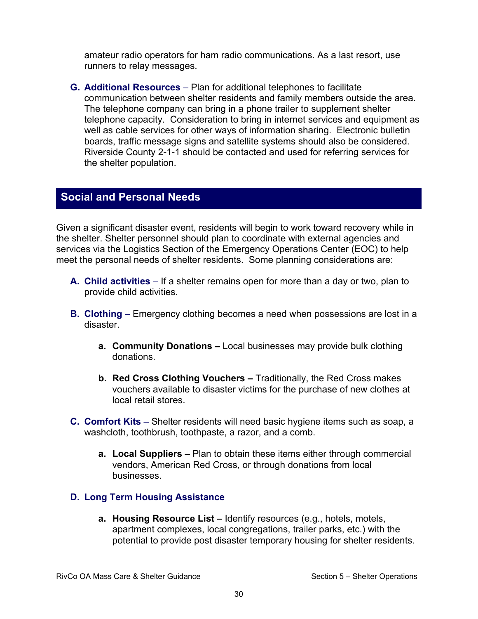amateur radio operators for ham radio communications. As a last resort, use runners to relay messages.

**G. Additional Resources** – Plan for additional telephones to facilitate communication between shelter residents and family members outside the area. The telephone company can bring in a phone trailer to supplement shelter telephone capacity. Consideration to bring in internet services and equipment as well as cable services for other ways of information sharing. Electronic bulletin boards, traffic message signs and satellite systems should also be considered. Riverside County 2-1-1 should be contacted and used for referring services for the shelter population.

# **Social and Personal Needs**

Given a significant disaster event, residents will begin to work toward recovery while in the shelter. Shelter personnel should plan to coordinate with external agencies and services via the Logistics Section of the Emergency Operations Center (EOC) to help meet the personal needs of shelter residents. Some planning considerations are:

- **A. Child activities** If a shelter remains open for more than a day or two, plan to provide child activities.
- **B. Clothing** Emergency clothing becomes a need when possessions are lost in a disaster.
	- **a. Community Donations –** Local businesses may provide bulk clothing donations.
	- **b. Red Cross Clothing Vouchers –** Traditionally, the Red Cross makes vouchers available to disaster victims for the purchase of new clothes at local retail stores.
- **C. Comfort Kits** Shelter residents will need basic hygiene items such as soap, a washcloth, toothbrush, toothpaste, a razor, and a comb.
	- **a. Local Suppliers –** Plan to obtain these items either through commercial vendors, American Red Cross, or through donations from local businesses.

#### **D. Long Term Housing Assistance**

**a. Housing Resource List –** Identify resources (e.g., hotels, motels, apartment complexes, local congregations, trailer parks, etc.) with the potential to provide post disaster temporary housing for shelter residents.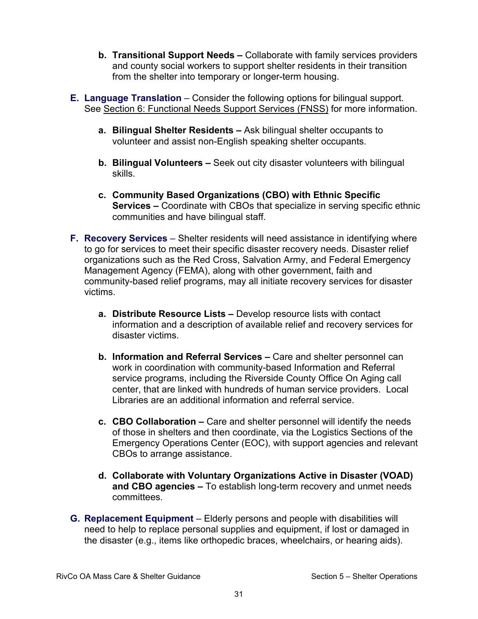- **b. Transitional Support Needs –** Collaborate with family services providers and county social workers to support shelter residents in their transition from the shelter into temporary or longer-term housing.
- **E. Language Translation** Consider the following options for bilingual support. See Section 6: Functional Needs Support Services (FNSS) for more information.
	- **a. Bilingual Shelter Residents** Ask bilingual shelter occupants to volunteer and assist non-English speaking shelter occupants.
	- **b. Bilingual Volunteers –** Seek out city disaster volunteers with bilingual skills.
	- **c. Community Based Organizations (CBO) with Ethnic Specific Services –** Coordinate with CBOs that specialize in serving specific ethnic communities and have bilingual staff.
- **F. Recovery Services** Shelter residents will need assistance in identifying where to go for services to meet their specific disaster recovery needs. Disaster relief organizations such as the Red Cross, Salvation Army, and Federal Emergency Management Agency (FEMA), along with other government, faith and community-based relief programs, may all initiate recovery services for disaster victims.
	- **a. Distribute Resource Lists –** Develop resource lists with contact information and a description of available relief and recovery services for disaster victims.
	- **b. Information and Referral Services –** Care and shelter personnel can work in coordination with community-based Information and Referral service programs, including the Riverside County Office On Aging call center, that are linked with hundreds of human service providers. Local Libraries are an additional information and referral service.
	- **c. CBO Collaboration** Care and shelter personnel will identify the needs of those in shelters and then coordinate, via the Logistics Sections of the Emergency Operations Center (EOC), with support agencies and relevant CBOs to arrange assistance.
	- **d. Collaborate with Voluntary Organizations Active in Disaster (VOAD) and CBO agencies –** To establish long-term recovery and unmet needs committees.
- **G. Replacement Equipment** Elderly persons and people with disabilities will need to help to replace personal supplies and equipment, if lost or damaged in the disaster (e.g., items like orthopedic braces, wheelchairs, or hearing aids).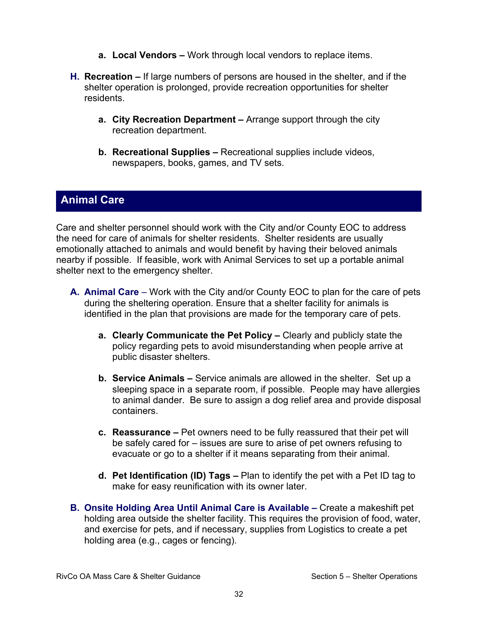- **a. Local Vendors –** Work through local vendors to replace items.
- **H. Recreation –** If large numbers of persons are housed in the shelter, and if the shelter operation is prolonged, provide recreation opportunities for shelter residents.
	- **a. City Recreation Department –** Arrange support through the city recreation department.
	- **b. Recreational Supplies –** Recreational supplies include videos, newspapers, books, games, and TV sets.

# **Animal Care**

Care and shelter personnel should work with the City and/or County EOC to address the need for care of animals for shelter residents. Shelter residents are usually emotionally attached to animals and would benefit by having their beloved animals nearby if possible. If feasible, work with Animal Services to set up a portable animal shelter next to the emergency shelter.

- **A. Animal Care** Work with the City and/or County EOC to plan for the care of pets during the sheltering operation. Ensure that a shelter facility for animals is identified in the plan that provisions are made for the temporary care of pets.
	- **a. Clearly Communicate the Pet Policy –** Clearly and publicly state the policy regarding pets to avoid misunderstanding when people arrive at public disaster shelters.
	- **b. Service Animals –** Service animals are allowed in the shelter. Set up a sleeping space in a separate room, if possible. People may have allergies to animal dander. Be sure to assign a dog relief area and provide disposal containers.
	- **c. Reassurance –** Pet owners need to be fully reassured that their pet will be safely cared for – issues are sure to arise of pet owners refusing to evacuate or go to a shelter if it means separating from their animal.
	- **d. Pet Identification (ID) Tags –** Plan to identify the pet with a Pet ID tag to make for easy reunification with its owner later.
- **B. Onsite Holding Area Until Animal Care is Available –** Create a makeshift pet holding area outside the shelter facility. This requires the provision of food, water, and exercise for pets, and if necessary, supplies from Logistics to create a pet holding area (e.g., cages or fencing).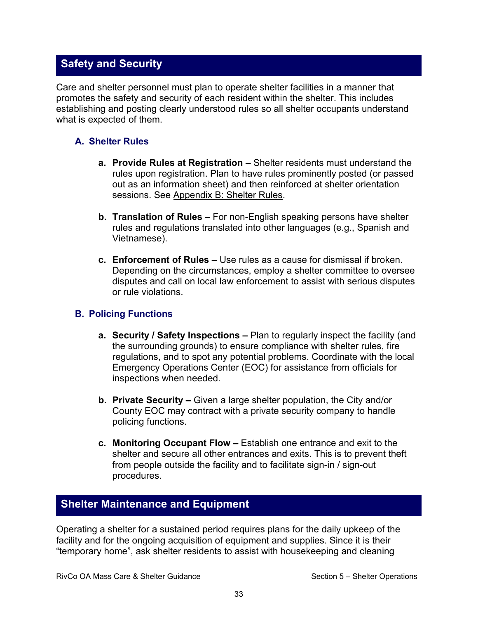# **Safety and Security**

Care and shelter personnel must plan to operate shelter facilities in a manner that promotes the safety and security of each resident within the shelter. This includes establishing and posting clearly understood rules so all shelter occupants understand what is expected of them.

#### **A. Shelter Rules**

- **a. Provide Rules at Registration –** Shelter residents must understand the rules upon registration. Plan to have rules prominently posted (or passed out as an information sheet) and then reinforced at shelter orientation sessions. See Appendix B: Shelter Rules.
- **b. Translation of Rules –** For non-English speaking persons have shelter rules and regulations translated into other languages (e.g., Spanish and Vietnamese).
- **c. Enforcement of Rules –** Use rules as a cause for dismissal if broken. Depending on the circumstances, employ a shelter committee to oversee disputes and call on local law enforcement to assist with serious disputes or rule violations.

#### **B. Policing Functions**

- **a. Security / Safety Inspections –** Plan to regularly inspect the facility (and the surrounding grounds) to ensure compliance with shelter rules, fire regulations, and to spot any potential problems. Coordinate with the local Emergency Operations Center (EOC) for assistance from officials for inspections when needed.
- **b. Private Security –** Given a large shelter population, the City and/or County EOC may contract with a private security company to handle policing functions.
- **c. Monitoring Occupant Flow –** Establish one entrance and exit to the shelter and secure all other entrances and exits. This is to prevent theft from people outside the facility and to facilitate sign-in / sign-out procedures.

# **Shelter Maintenance and Equipment**

Operating a shelter for a sustained period requires plans for the daily upkeep of the facility and for the ongoing acquisition of equipment and supplies. Since it is their "temporary home", ask shelter residents to assist with housekeeping and cleaning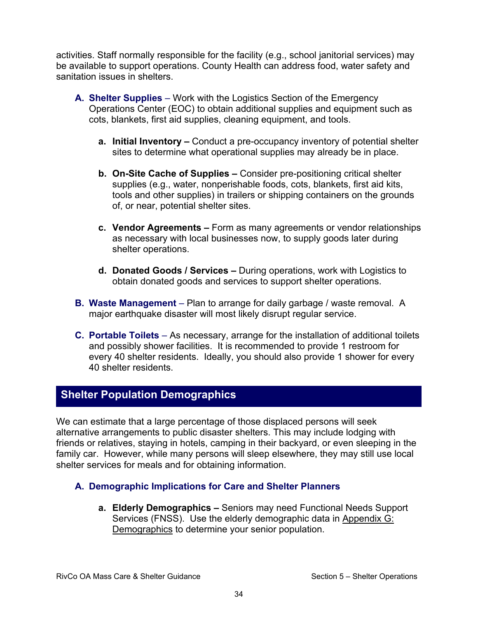activities. Staff normally responsible for the facility (e.g., school janitorial services) may be available to support operations. County Health can address food, water safety and sanitation issues in shelters.

- **A. Shelter Supplies** Work with the Logistics Section of the Emergency Operations Center (EOC) to obtain additional supplies and equipment such as cots, blankets, first aid supplies, cleaning equipment, and tools.
	- **a. Initial Inventory –** Conduct a pre-occupancy inventory of potential shelter sites to determine what operational supplies may already be in place.
	- **b. On-Site Cache of Supplies –** Consider pre-positioning critical shelter supplies (e.g., water, nonperishable foods, cots, blankets, first aid kits, tools and other supplies) in trailers or shipping containers on the grounds of, or near, potential shelter sites.
	- **c. Vendor Agreements –** Form as many agreements or vendor relationships as necessary with local businesses now, to supply goods later during shelter operations.
	- **d. Donated Goods / Services –** During operations, work with Logistics to obtain donated goods and services to support shelter operations.
- **B. Waste Management**  Plan to arrange for daily garbage / waste removal. A major earthquake disaster will most likely disrupt regular service.
- **C. Portable Toilets** As necessary, arrange for the installation of additional toilets and possibly shower facilities. It is recommended to provide 1 restroom for every 40 shelter residents. Ideally, you should also provide 1 shower for every 40 shelter residents.

# **Shelter Population Demographics**

We can estimate that a large percentage of those displaced persons will seek alternative arrangements to public disaster shelters. This may include lodging with friends or relatives, staying in hotels, camping in their backyard, or even sleeping in the family car. However, while many persons will sleep elsewhere, they may still use local shelter services for meals and for obtaining information.

#### **A. Demographic Implications for Care and Shelter Planners**

**a. Elderly Demographics –** Seniors may need Functional Needs Support Services (FNSS). Use the elderly demographic data in Appendix G: Demographics to determine your senior population.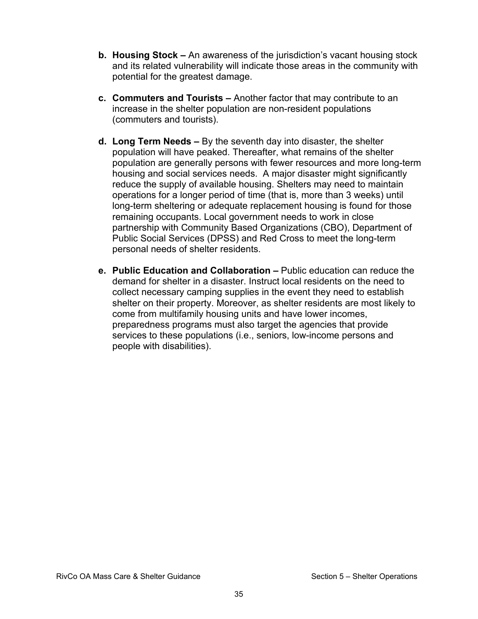- **b. Housing Stock –** An awareness of the jurisdiction's vacant housing stock and its related vulnerability will indicate those areas in the community with potential for the greatest damage.
- **c. Commuters and Tourists –** Another factor that may contribute to an increase in the shelter population are non-resident populations (commuters and tourists).
- **d. Long Term Needs –** By the seventh day into disaster, the shelter population will have peaked. Thereafter, what remains of the shelter population are generally persons with fewer resources and more long-term housing and social services needs. A major disaster might significantly reduce the supply of available housing. Shelters may need to maintain operations for a longer period of time (that is, more than 3 weeks) until long-term sheltering or adequate replacement housing is found for those remaining occupants. Local government needs to work in close partnership with Community Based Organizations (CBO), Department of Public Social Services (DPSS) and Red Cross to meet the long-term personal needs of shelter residents.
- **e. Public Education and Collaboration –** Public education can reduce the demand for shelter in a disaster. Instruct local residents on the need to collect necessary camping supplies in the event they need to establish shelter on their property. Moreover, as shelter residents are most likely to come from multifamily housing units and have lower incomes, preparedness programs must also target the agencies that provide services to these populations (i.e., seniors, low-income persons and people with disabilities).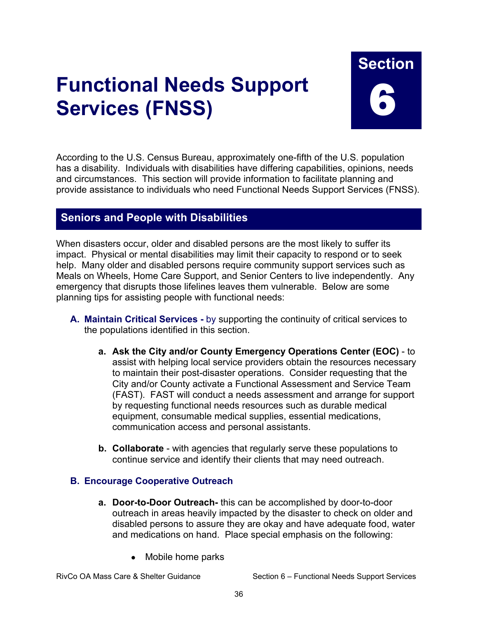# **Functional Needs Support Services (FNSS)**



According to the U.S. Census Bureau, approximately one-fifth of the U.S. population has a disability. Individuals with disabilities have differing capabilities, opinions, needs and circumstances. This section will provide information to facilitate planning and provide assistance to individuals who need Functional Needs Support Services (FNSS).

# **Seniors and People with Disabilities**

When disasters occur, older and disabled persons are the most likely to suffer its impact. Physical or mental disabilities may limit their capacity to respond or to seek help. Many older and disabled persons require community support services such as Meals on Wheels, Home Care Support, and Senior Centers to live independently. Any emergency that disrupts those lifelines leaves them vulnerable. Below are some planning tips for assisting people with functional needs:

- **A. Maintain Critical Services** by supporting the continuity of critical services to the populations identified in this section.
	- **a. Ask the City and/or County Emergency Operations Center (EOC)** to assist with helping local service providers obtain the resources necessary to maintain their post-disaster operations. Consider requesting that the City and/or County activate a Functional Assessment and Service Team (FAST). FAST will conduct a needs assessment and arrange for support by requesting functional needs resources such as durable medical equipment, consumable medical supplies, essential medications, communication access and personal assistants.
	- **b. Collaborate** with agencies that regularly serve these populations to continue service and identify their clients that may need outreach.

#### **B. Encourage Cooperative Outreach**

- **a. Door-to-Door Outreach-** this can be accomplished by door-to-door outreach in areas heavily impacted by the disaster to check on older and disabled persons to assure they are okay and have adequate food, water and medications on hand. Place special emphasis on the following:
	- Mobile home parks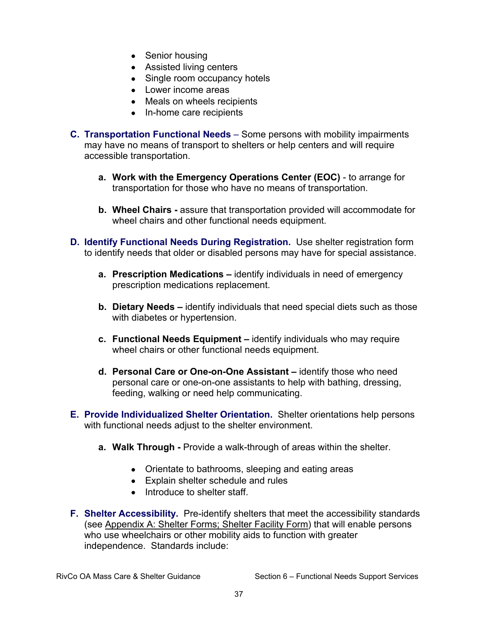- Senior housing
- Assisted living centers
- Single room occupancy hotels
- Lower income areas
- Meals on wheels recipients
- In-home care recipients
- **C. Transportation Functional Needs** Some persons with mobility impairments may have no means of transport to shelters or help centers and will require accessible transportation.
	- **a. Work with the Emergency Operations Center (EOC)** to arrange for transportation for those who have no means of transportation.
	- **b. Wheel Chairs** assure that transportation provided will accommodate for wheel chairs and other functional needs equipment.
- **D. Identify Functional Needs During Registration.** Use shelter registration form to identify needs that older or disabled persons may have for special assistance.
	- **a. Prescription Medications –** identify individuals in need of emergency prescription medications replacement.
	- **b. Dietary Needs –** identify individuals that need special diets such as those with diabetes or hypertension.
	- **c. Functional Needs Equipment –** identify individuals who may require wheel chairs or other functional needs equipment.
	- **d. Personal Care or One-on-One Assistant –** identify those who need personal care or one-on-one assistants to help with bathing, dressing, feeding, walking or need help communicating.
- **E. Provide Individualized Shelter Orientation.** Shelter orientations help persons with functional needs adjust to the shelter environment.
	- **a. Walk Through Provide a walk-through of areas within the shelter.** 
		- Orientate to bathrooms, sleeping and eating areas
		- Explain shelter schedule and rules
		- Introduce to shelter staff.
- **F. Shelter Accessibility.** Pre-identify shelters that meet the accessibility standards (see Appendix A: Shelter Forms; Shelter Facility Form) that will enable persons who use wheelchairs or other mobility aids to function with greater independence. Standards include: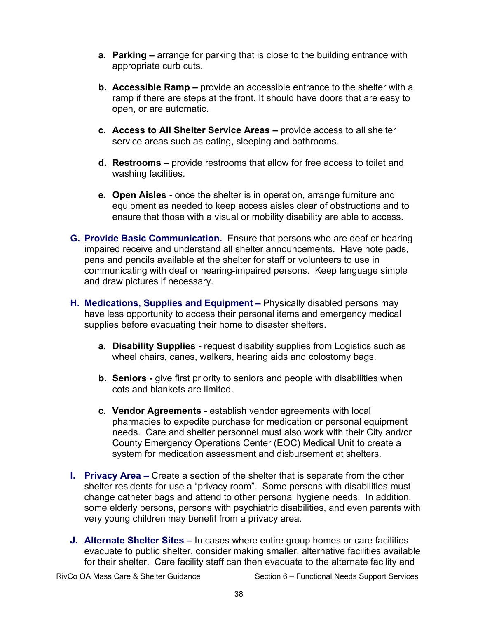- **a. Parking** arrange for parking that is close to the building entrance with appropriate curb cuts.
- **b. Accessible Ramp** provide an accessible entrance to the shelter with a ramp if there are steps at the front. It should have doors that are easy to open, or are automatic.
- **c. Access to All Shelter Service Areas** provide access to all shelter service areas such as eating, sleeping and bathrooms.
- **d. Restrooms** provide restrooms that allow for free access to toilet and washing facilities.
- **e. Open Aisles -** once the shelter is in operation, arrange furniture and equipment as needed to keep access aisles clear of obstructions and to ensure that those with a visual or mobility disability are able to access.
- **G. Provide Basic Communication.** Ensure that persons who are deaf or hearing impaired receive and understand all shelter announcements. Have note pads, pens and pencils available at the shelter for staff or volunteers to use in communicating with deaf or hearing-impaired persons. Keep language simple and draw pictures if necessary.
- **H. Medications, Supplies and Equipment –** Physically disabled persons may have less opportunity to access their personal items and emergency medical supplies before evacuating their home to disaster shelters.
	- **a. Disability Supplies** request disability supplies from Logistics such as wheel chairs, canes, walkers, hearing aids and colostomy bags.
	- **b. Seniors -** give first priority to seniors and people with disabilities when cots and blankets are limited.
	- **c. Vendor Agreements** establish vendor agreements with local pharmacies to expedite purchase for medication or personal equipment needs. Care and shelter personnel must also work with their City and/or County Emergency Operations Center (EOC) Medical Unit to create a system for medication assessment and disbursement at shelters.
- **I. Privacy Area –** Create a section of the shelter that is separate from the other shelter residents for use a "privacy room". Some persons with disabilities must change catheter bags and attend to other personal hygiene needs. In addition, some elderly persons, persons with psychiatric disabilities, and even parents with very young children may benefit from a privacy area.
- **J. Alternate Shelter Sites –** In cases where entire group homes or care facilities evacuate to public shelter, consider making smaller, alternative facilities available for their shelter. Care facility staff can then evacuate to the alternate facility and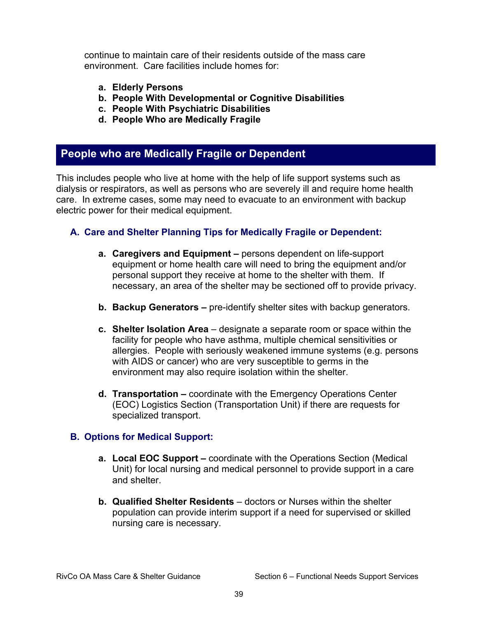continue to maintain care of their residents outside of the mass care environment. Care facilities include homes for:

- **a. Elderly Persons**
- **b. People With Developmental or Cognitive Disabilities**
- **c. People With Psychiatric Disabilities**
- **d. People Who are Medically Fragile**

## **People who are Medically Fragile or Dependent**

This includes people who live at home with the help of life support systems such as dialysis or respirators, as well as persons who are severely ill and require home health care. In extreme cases, some may need to evacuate to an environment with backup electric power for their medical equipment.

#### **A. Care and Shelter Planning Tips for Medically Fragile or Dependent:**

- **a. Caregivers and Equipment –** persons dependent on life-support equipment or home health care will need to bring the equipment and/or personal support they receive at home to the shelter with them. If necessary, an area of the shelter may be sectioned off to provide privacy.
- **b. Backup Generators –** pre-identify shelter sites with backup generators.
- **c. Shelter Isolation Area** designate a separate room or space within the facility for people who have asthma, multiple chemical sensitivities or allergies. People with seriously weakened immune systems (e.g. persons with AIDS or cancer) who are very susceptible to germs in the environment may also require isolation within the shelter.
- **d. Transportation –** coordinate with the Emergency Operations Center (EOC) Logistics Section (Transportation Unit) if there are requests for specialized transport.

#### **B. Options for Medical Support:**

- **a. Local EOC Support –** coordinate with the Operations Section (Medical Unit) for local nursing and medical personnel to provide support in a care and shelter.
- **b. Qualified Shelter Residents** doctors or Nurses within the shelter population can provide interim support if a need for supervised or skilled nursing care is necessary.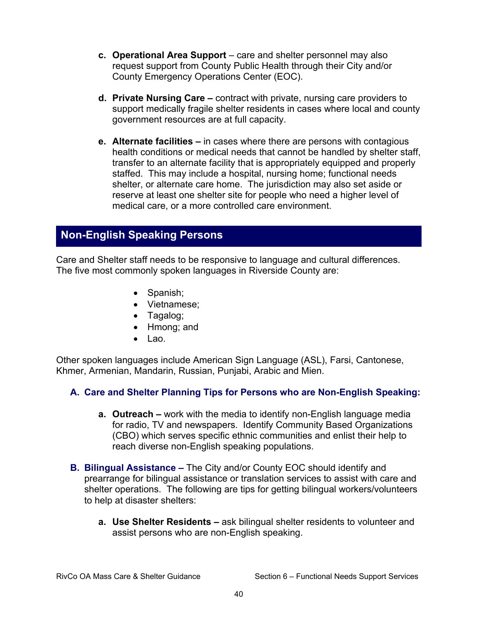- **c. Operational Area Support** care and shelter personnel may also request support from County Public Health through their City and/or County Emergency Operations Center (EOC).
- **d. Private Nursing Care –** contract with private, nursing care providers to support medically fragile shelter residents in cases where local and county government resources are at full capacity.
- **e. Alternate facilities –** in cases where there are persons with contagious health conditions or medical needs that cannot be handled by shelter staff, transfer to an alternate facility that is appropriately equipped and properly staffed. This may include a hospital, nursing home; functional needs shelter, or alternate care home. The jurisdiction may also set aside or reserve at least one shelter site for people who need a higher level of medical care, or a more controlled care environment.

# **Non-English Speaking Persons**

Care and Shelter staff needs to be responsive to language and cultural differences. The five most commonly spoken languages in Riverside County are:

- Spanish;
- Vietnamese;
- Tagalog;
- Hmong; and
- $\bullet$  Lao.

Other spoken languages include American Sign Language (ASL), Farsi, Cantonese, Khmer, Armenian, Mandarin, Russian, Punjabi, Arabic and Mien.

#### **A. Care and Shelter Planning Tips for Persons who are Non-English Speaking:**

- **a. Outreach –** work with the media to identify non-English language media for radio, TV and newspapers. Identify Community Based Organizations (CBO) which serves specific ethnic communities and enlist their help to reach diverse non-English speaking populations.
- **B. Bilingual Assistance –** The City and/or County EOC should identify and prearrange for bilingual assistance or translation services to assist with care and shelter operations. The following are tips for getting bilingual workers/volunteers to help at disaster shelters:
	- **a. Use Shelter Residents –** ask bilingual shelter residents to volunteer and assist persons who are non-English speaking.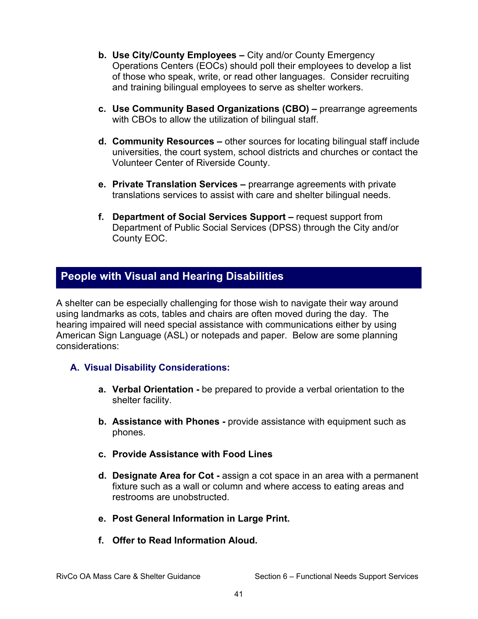- **b. Use City/County Employees –** City and/or County Emergency Operations Centers (EOCs) should poll their employees to develop a list of those who speak, write, or read other languages. Consider recruiting and training bilingual employees to serve as shelter workers.
- **c. Use Community Based Organizations (CBO) –** prearrange agreements with CBOs to allow the utilization of bilingual staff.
- **d. Community Resources –** other sources for locating bilingual staff include universities, the court system, school districts and churches or contact the Volunteer Center of Riverside County.
- **e. Private Translation Services –** prearrange agreements with private translations services to assist with care and shelter bilingual needs.
- **f. Department of Social Services Support –** request support from Department of Public Social Services (DPSS) through the City and/or County EOC.

# **People with Visual and Hearing Disabilities**

A shelter can be especially challenging for those wish to navigate their way around using landmarks as cots, tables and chairs are often moved during the day. The hearing impaired will need special assistance with communications either by using American Sign Language (ASL) or notepads and paper. Below are some planning considerations:

#### **A. Visual Disability Considerations:**

- **a. Verbal Orientation** be prepared to provide a verbal orientation to the shelter facility.
- **b. Assistance with Phones** provide assistance with equipment such as phones.
- **c. Provide Assistance with Food Lines**
- **d. Designate Area for Cot** assign a cot space in an area with a permanent fixture such as a wall or column and where access to eating areas and restrooms are unobstructed.
- **e. Post General Information in Large Print.**
- **f. Offer to Read Information Aloud.**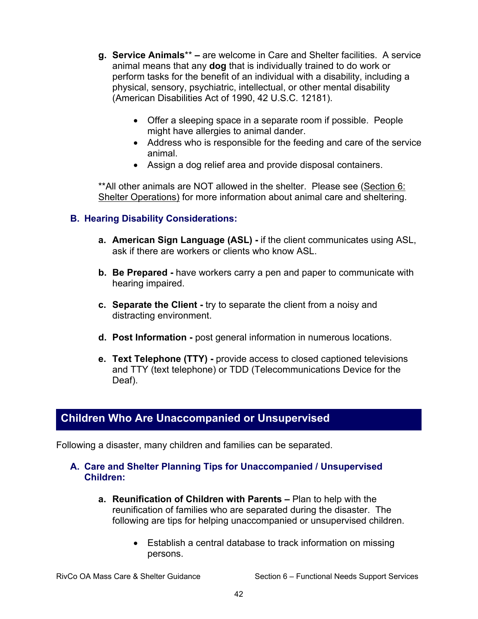- **g. Service Animals**\*\* **–** are welcome in Care and Shelter facilities. A service animal means that any **dog** that is individually trained to do work or perform tasks for the benefit of an individual with a disability, including a physical, sensory, psychiatric, intellectual, or other mental disability (American Disabilities Act of 1990, 42 U.S.C. 12181).
	- Offer a sleeping space in a separate room if possible. People might have allergies to animal dander.
	- Address who is responsible for the feeding and care of the service animal.
	- Assign a dog relief area and provide disposal containers.

\*\*All other animals are NOT allowed in the shelter. Please see (Section 6: Shelter Operations) for more information about animal care and sheltering.

#### **B. Hearing Disability Considerations:**

- **a. American Sign Language (ASL)** if the client communicates using ASL, ask if there are workers or clients who know ASL.
- **b. Be Prepared** have workers carry a pen and paper to communicate with hearing impaired.
- **c. Separate the Client** try to separate the client from a noisy and distracting environment.
- **d. Post Information** post general information in numerous locations.
- **e. Text Telephone (TTY)** provide access to closed captioned televisions and TTY (text telephone) or TDD (Telecommunications Device for the Deaf).

# **Children Who Are Unaccompanied or Unsupervised**

Following a disaster, many children and families can be separated.

#### **A. Care and Shelter Planning Tips for Unaccompanied / Unsupervised Children:**

- **a. Reunification of Children with Parents –** Plan to help with the reunification of families who are separated during the disaster. The following are tips for helping unaccompanied or unsupervised children.
	- Establish a central database to track information on missing persons.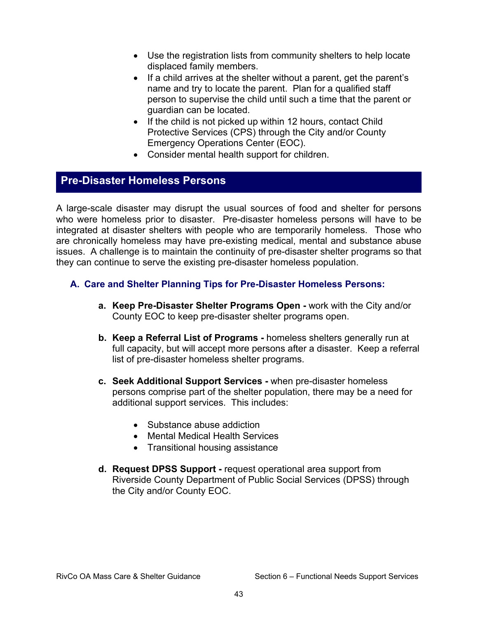- Use the registration lists from community shelters to help locate displaced family members.
- If a child arrives at the shelter without a parent, get the parent's name and try to locate the parent. Plan for a qualified staff person to supervise the child until such a time that the parent or guardian can be located.
- If the child is not picked up within 12 hours, contact Child Protective Services (CPS) through the City and/or County Emergency Operations Center (EOC).
- Consider mental health support for children.

# **Pre-Disaster Homeless Persons**

A large-scale disaster may disrupt the usual sources of food and shelter for persons who were homeless prior to disaster. Pre-disaster homeless persons will have to be integrated at disaster shelters with people who are temporarily homeless. Those who are chronically homeless may have pre-existing medical, mental and substance abuse issues. A challenge is to maintain the continuity of pre-disaster shelter programs so that they can continue to serve the existing pre-disaster homeless population.

#### **A. Care and Shelter Planning Tips for Pre-Disaster Homeless Persons:**

- **a. Keep Pre-Disaster Shelter Programs Open** work with the City and/or County EOC to keep pre-disaster shelter programs open.
- **b. Keep a Referral List of Programs** homeless shelters generally run at full capacity, but will accept more persons after a disaster. Keep a referral list of pre-disaster homeless shelter programs.
- **c. Seek Additional Support Services** when pre-disaster homeless persons comprise part of the shelter population, there may be a need for additional support services. This includes:
	- Substance abuse addiction
	- Mental Medical Health Services
	- Transitional housing assistance
- **d. Request DPSS Support** request operational area support from Riverside County Department of Public Social Services (DPSS) through the City and/or County EOC.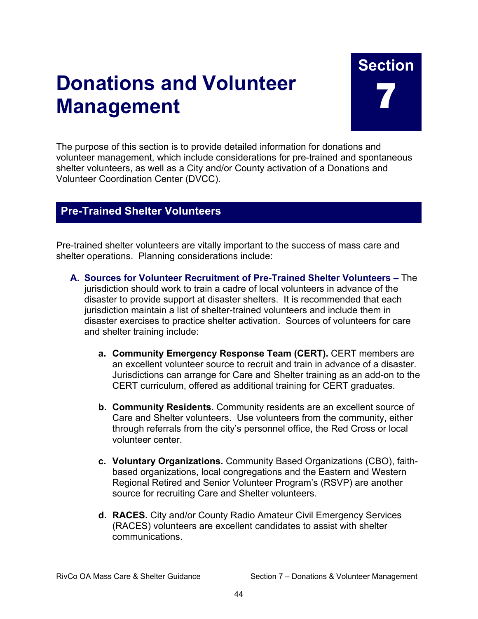# **Donations and Volunteer Management**

**Section** 7

The purpose of this section is to provide detailed information for donations and volunteer management, which include considerations for pre-trained and spontaneous shelter volunteers, as well as a City and/or County activation of a Donations and Volunteer Coordination Center (DVCC).

## **Pre-Trained Shelter Volunteers**

Pre-trained shelter volunteers are vitally important to the success of mass care and shelter operations. Planning considerations include:

- **A. Sources for Volunteer Recruitment of Pre-Trained Shelter Volunteers** The jurisdiction should work to train a cadre of local volunteers in advance of the disaster to provide support at disaster shelters. It is recommended that each jurisdiction maintain a list of shelter-trained volunteers and include them in disaster exercises to practice shelter activation. Sources of volunteers for care and shelter training include:
	- **a. Community Emergency Response Team (CERT).** CERT members are an excellent volunteer source to recruit and train in advance of a disaster. Jurisdictions can arrange for Care and Shelter training as an add-on to the CERT curriculum, offered as additional training for CERT graduates.
	- **b. Community Residents.** Community residents are an excellent source of Care and Shelter volunteers. Use volunteers from the community, either through referrals from the city's personnel office, the Red Cross or local volunteer center.
	- **c. Voluntary Organizations.** Community Based Organizations (CBO), faithbased organizations, local congregations and the Eastern and Western Regional Retired and Senior Volunteer Program's (RSVP) are another source for recruiting Care and Shelter volunteers.
	- **d. RACES.** City and/or County Radio Amateur Civil Emergency Services (RACES) volunteers are excellent candidates to assist with shelter communications.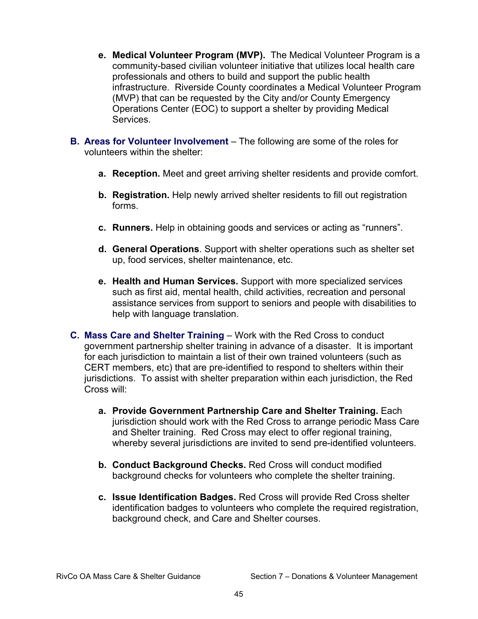- **e. Medical Volunteer Program (MVP).** The Medical Volunteer Program is a community-based civilian volunteer initiative that utilizes local health care professionals and others to build and support the public health infrastructure. Riverside County coordinates a Medical Volunteer Program (MVP) that can be requested by the City and/or County Emergency Operations Center (EOC) to support a shelter by providing Medical Services.
- **B. Areas for Volunteer Involvement** The following are some of the roles for volunteers within the shelter:
	- **a. Reception.** Meet and greet arriving shelter residents and provide comfort.
	- **b. Registration.** Help newly arrived shelter residents to fill out registration forms.
	- **c. Runners.** Help in obtaining goods and services or acting as "runners".
	- **d. General Operations**. Support with shelter operations such as shelter set up, food services, shelter maintenance, etc.
	- **e. Health and Human Services.** Support with more specialized services such as first aid, mental health, child activities, recreation and personal assistance services from support to seniors and people with disabilities to help with language translation.
- **C. Mass Care and Shelter Training** Work with the Red Cross to conduct government partnership shelter training in advance of a disaster. It is important for each jurisdiction to maintain a list of their own trained volunteers (such as CERT members, etc) that are pre-identified to respond to shelters within their jurisdictions. To assist with shelter preparation within each jurisdiction, the Red Cross will:
	- **a. Provide Government Partnership Care and Shelter Training.** Each jurisdiction should work with the Red Cross to arrange periodic Mass Care and Shelter training. Red Cross may elect to offer regional training, whereby several jurisdictions are invited to send pre-identified volunteers.
	- **b. Conduct Background Checks.** Red Cross will conduct modified background checks for volunteers who complete the shelter training.
	- **c. Issue Identification Badges.** Red Cross will provide Red Cross shelter identification badges to volunteers who complete the required registration, background check, and Care and Shelter courses.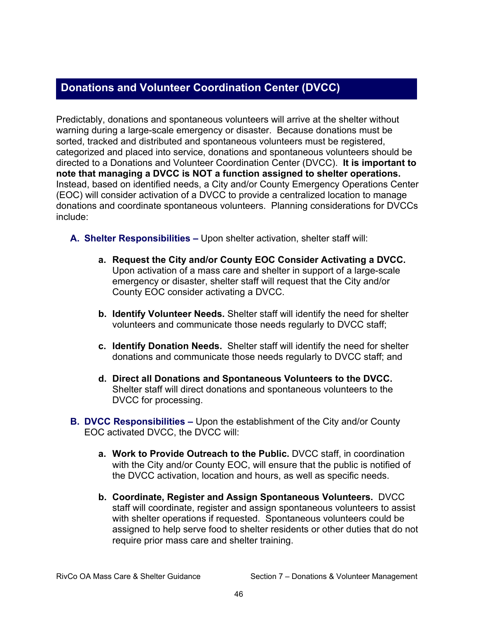# **Donations and Volunteer Coordination Center (DVCC)**

Predictably, donations and spontaneous volunteers will arrive at the shelter without warning during a large-scale emergency or disaster. Because donations must be sorted, tracked and distributed and spontaneous volunteers must be registered, categorized and placed into service, donations and spontaneous volunteers should be directed to a Donations and Volunteer Coordination Center (DVCC). **It is important to note that managing a DVCC is NOT a function assigned to shelter operations.** Instead, based on identified needs, a City and/or County Emergency Operations Center (EOC) will consider activation of a DVCC to provide a centralized location to manage donations and coordinate spontaneous volunteers. Planning considerations for DVCCs include:

- **A. Shelter Responsibilities** Upon shelter activation, shelter staff will:
	- **a. Request the City and/or County EOC Consider Activating a DVCC.**  Upon activation of a mass care and shelter in support of a large-scale emergency or disaster, shelter staff will request that the City and/or County EOC consider activating a DVCC.
	- **b. Identify Volunteer Needs.** Shelter staff will identify the need for shelter volunteers and communicate those needs regularly to DVCC staff;
	- **c. Identify Donation Needs.** Shelter staff will identify the need for shelter donations and communicate those needs regularly to DVCC staff; and
	- **d. Direct all Donations and Spontaneous Volunteers to the DVCC.**  Shelter staff will direct donations and spontaneous volunteers to the DVCC for processing.
- **B. DVCC Responsibilities** Upon the establishment of the City and/or County EOC activated DVCC, the DVCC will:
	- **a. Work to Provide Outreach to the Public.** DVCC staff, in coordination with the City and/or County EOC, will ensure that the public is notified of the DVCC activation, location and hours, as well as specific needs.
	- **b. Coordinate, Register and Assign Spontaneous Volunteers.** DVCC staff will coordinate, register and assign spontaneous volunteers to assist with shelter operations if requested. Spontaneous volunteers could be assigned to help serve food to shelter residents or other duties that do not require prior mass care and shelter training.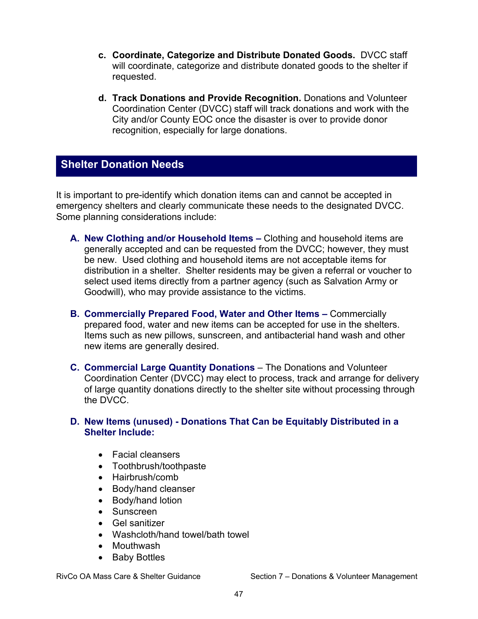- **c. Coordinate, Categorize and Distribute Donated Goods.** DVCC staff will coordinate, categorize and distribute donated goods to the shelter if requested.
- **d. Track Donations and Provide Recognition.** Donations and Volunteer Coordination Center (DVCC) staff will track donations and work with the City and/or County EOC once the disaster is over to provide donor recognition, especially for large donations.

# **Shelter Donation Needs**

It is important to pre-identify which donation items can and cannot be accepted in emergency shelters and clearly communicate these needs to the designated DVCC. Some planning considerations include:

- **A. New Clothing and/or Household Items** Clothing and household items are generally accepted and can be requested from the DVCC; however, they must be new. Used clothing and household items are not acceptable items for distribution in a shelter. Shelter residents may be given a referral or voucher to select used items directly from a partner agency (such as Salvation Army or Goodwill), who may provide assistance to the victims.
- **B. Commercially Prepared Food, Water and Other Items –** Commercially prepared food, water and new items can be accepted for use in the shelters. Items such as new pillows, sunscreen, and antibacterial hand wash and other new items are generally desired.
- **C. Commercial Large Quantity Donations** The Donations and Volunteer Coordination Center (DVCC) may elect to process, track and arrange for delivery of large quantity donations directly to the shelter site without processing through the DVCC.

#### **D. New Items (unused) - Donations That Can be Equitably Distributed in a Shelter Include:**

- Facial cleansers
- Toothbrush/toothpaste
- Hairbrush/comb
- Body/hand cleanser
- Body/hand lotion
- Sunscreen
- Gel sanitizer
- Washcloth/hand towel/bath towel
- Mouthwash
- Baby Bottles

RivCo OA Mass Care & Shelter Guidance Section 7 – Donations & Volunteer Management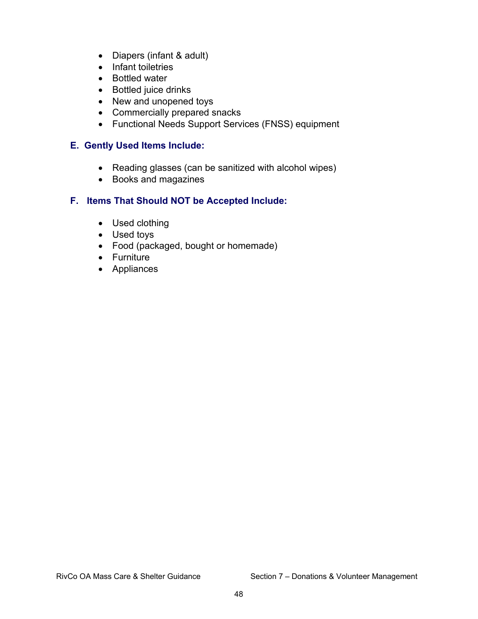- Diapers (infant & adult)
- Infant toiletries
- Bottled water
- Bottled juice drinks
- New and unopened toys
- Commercially prepared snacks
- Functional Needs Support Services (FNSS) equipment

#### **E. Gently Used Items Include:**

- Reading glasses (can be sanitized with alcohol wipes)
- Books and magazines

#### **F. Items That Should NOT be Accepted Include:**

- Used clothing
- Used toys
- Food (packaged, bought or homemade)
- Furniture
- Appliances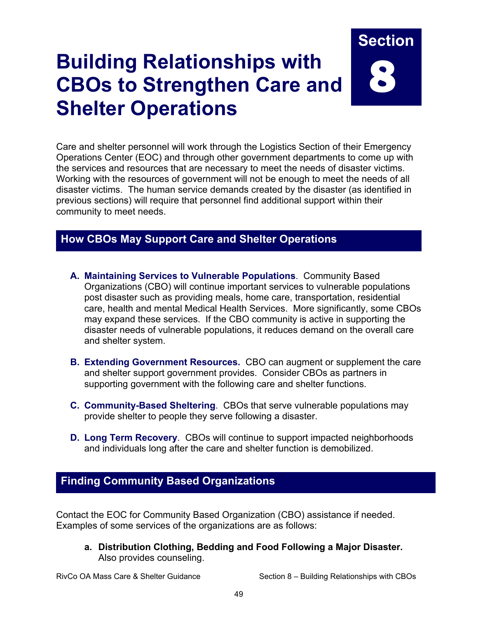# **Building Relationships with CBOs to Strengthen Care and Shelter Operations**



Care and shelter personnel will work through the Logistics Section of their Emergency Operations Center (EOC) and through other government departments to come up with the services and resources that are necessary to meet the needs of disaster victims. Working with the resources of government will not be enough to meet the needs of all disaster victims. The human service demands created by the disaster (as identified in previous sections) will require that personnel find additional support within their community to meet needs.

# **How CBOs May Support Care and Shelter Operations**

- **A. Maintaining Services to Vulnerable Populations**. Community Based Organizations (CBO) will continue important services to vulnerable populations post disaster such as providing meals, home care, transportation, residential care, health and mental Medical Health Services. More significantly, some CBOs may expand these services. If the CBO community is active in supporting the disaster needs of vulnerable populations, it reduces demand on the overall care and shelter system.
- **B. Extending Government Resources.** CBO can augment or supplement the care and shelter support government provides. Consider CBOs as partners in supporting government with the following care and shelter functions.
- **C. Community-Based Sheltering**. CBOs that serve vulnerable populations may provide shelter to people they serve following a disaster.
- **D. Long Term Recovery**. CBOs will continue to support impacted neighborhoods and individuals long after the care and shelter function is demobilized.

# **Finding Community Based Organizations**

Contact the EOC for Community Based Organization (CBO) assistance if needed. Examples of some services of the organizations are as follows:

**a. Distribution Clothing, Bedding and Food Following a Major Disaster.**  Also provides counseling.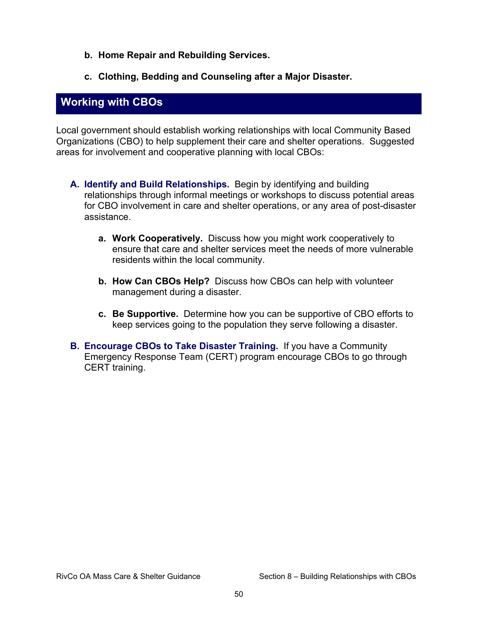- **b. Home Repair and Rebuilding Services.**
- **c. Clothing, Bedding and Counseling after a Major Disaster.**

# **Working with CBOs**

Local government should establish working relationships with local Community Based Organizations (CBO) to help supplement their care and shelter operations. Suggested areas for involvement and cooperative planning with local CBOs:

- **A. Identify and Build Relationships.** Begin by identifying and building relationships through informal meetings or workshops to discuss potential areas for CBO involvement in care and shelter operations, or any area of post-disaster assistance.
	- **a. Work Cooperatively.** Discuss how you might work cooperatively to ensure that care and shelter services meet the needs of more vulnerable residents within the local community.
	- **b. How Can CBOs Help?** Discuss how CBOs can help with volunteer management during a disaster.
	- **c. Be Supportive.** Determine how you can be supportive of CBO efforts to keep services going to the population they serve following a disaster.
- **B. Encourage CBOs to Take Disaster Training.** If you have a Community Emergency Response Team (CERT) program encourage CBOs to go through CERT training.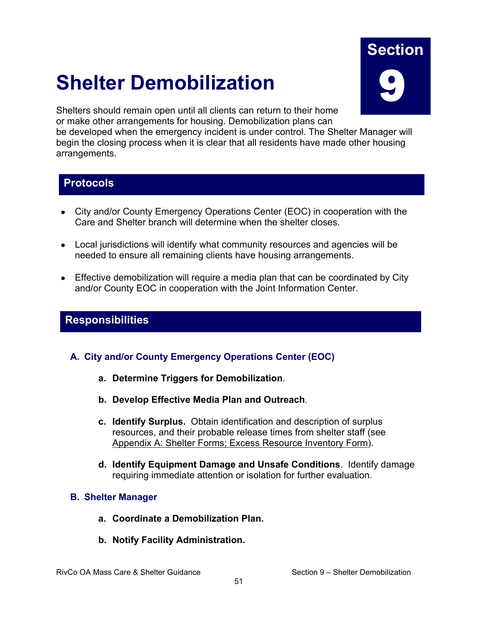# **Shelter Demobilization**



Shelters should remain open until all clients can return to their home or make other arrangements for housing. Demobilization plans can be developed when the emergency incident is under control. The Shelter Manager will begin the closing process when it is clear that all residents have made other housing arrangements.

# **Protocols**

- City and/or County Emergency Operations Center (EOC) in cooperation with the Care and Shelter branch will determine when the shelter closes.
- Local jurisdictions will identify what community resources and agencies will be needed to ensure all remaining clients have housing arrangements.
- Effective demobilization will require a media plan that can be coordinated by City and/or County EOC in cooperation with the Joint Information Center.

# **Responsibilities**

#### **A. City and/or County Emergency Operations Center (EOC)**

- **a. Determine Triggers for Demobilization**.
- **b. Develop Effective Media Plan and Outreach**.
- **c. Identify Surplus.** Obtain identification and description of surplus resources, and their probable release times from shelter staff (see Appendix A: Shelter Forms; Excess Resource Inventory Form).
- **d. Identify Equipment Damage and Unsafe Conditions**. Identify damage requiring immediate attention or isolation for further evaluation.

#### **B. Shelter Manager**

- **a. Coordinate a Demobilization Plan.**
- **b. Notify Facility Administration.**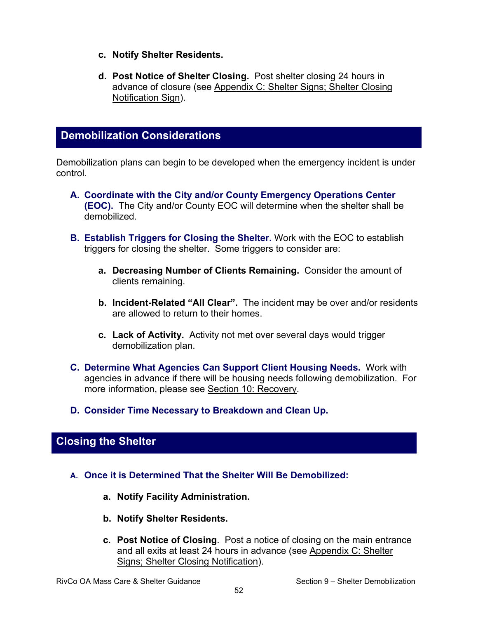- **c. Notify Shelter Residents.**
- **d. Post Notice of Shelter Closing.** Post shelter closing 24 hours in advance of closure (see Appendix C: Shelter Signs; Shelter Closing Notification Sign).

# **Demobilization Considerations**

Demobilization plans can begin to be developed when the emergency incident is under control.

- **A. Coordinate with the City and/or County Emergency Operations Center (EOC).** The City and/or County EOC will determine when the shelter shall be demobilized.
- **B. Establish Triggers for Closing the Shelter.** Work with the EOC to establish triggers for closing the shelter. Some triggers to consider are:
	- **a. Decreasing Number of Clients Remaining.** Consider the amount of clients remaining.
	- **b. Incident-Related "All Clear".** The incident may be over and/or residents are allowed to return to their homes.
	- **c. Lack of Activity.** Activity not met over several days would trigger demobilization plan.
- **C. Determine What Agencies Can Support Client Housing Needs.** Work with agencies in advance if there will be housing needs following demobilization. For more information, please see Section 10: Recovery.
- **D. Consider Time Necessary to Breakdown and Clean Up.**

# **Closing the Shelter**

- **A. Once it is Determined That the Shelter Will Be Demobilized:** 
	- **a. Notify Facility Administration.**
	- **b. Notify Shelter Residents.**
	- **c. Post Notice of Closing**. Post a notice of closing on the main entrance and all exits at least 24 hours in advance (see Appendix C: Shelter Signs; Shelter Closing Notification).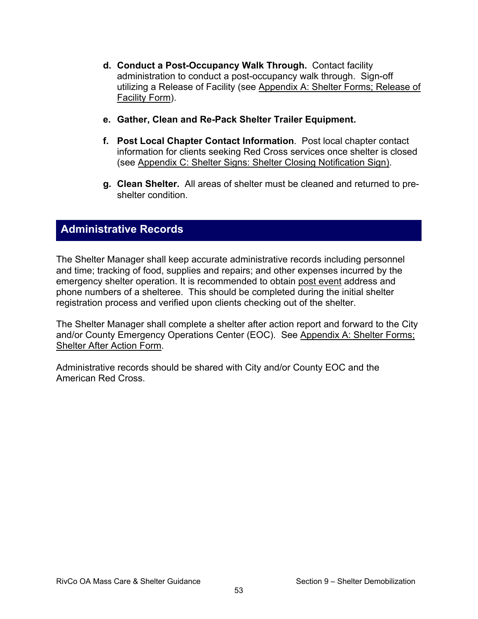- **d. Conduct a Post-Occupancy Walk Through.** Contact facility administration to conduct a post-occupancy walk through. Sign-off utilizing a Release of Facility (see Appendix A: Shelter Forms; Release of Facility Form).
- **e. Gather, Clean and Re-Pack Shelter Trailer Equipment.**
- **f. Post Local Chapter Contact Information**. Post local chapter contact information for clients seeking Red Cross services once shelter is closed (see Appendix C: Shelter Signs: Shelter Closing Notification Sign).
- **g. Clean Shelter.** All areas of shelter must be cleaned and returned to preshelter condition.

# **Administrative Records**

The Shelter Manager shall keep accurate administrative records including personnel and time; tracking of food, supplies and repairs; and other expenses incurred by the emergency shelter operation. It is recommended to obtain post event address and phone numbers of a shelteree. This should be completed during the initial shelter registration process and verified upon clients checking out of the shelter.

The Shelter Manager shall complete a shelter after action report and forward to the City and/or County Emergency Operations Center (EOC). See Appendix A: Shelter Forms; Shelter After Action Form.

Administrative records should be shared with City and/or County EOC and the American Red Cross.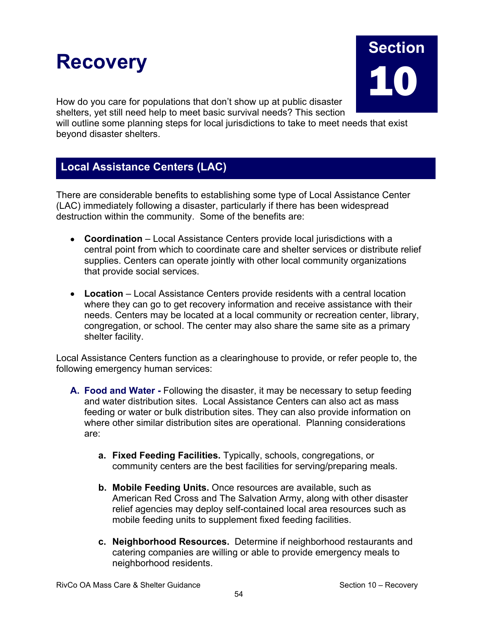



How do you care for populations that don't show up at public disaster shelters, yet still need help to meet basic survival needs? This section will outline some planning steps for local jurisdictions to take to meet needs that exist beyond disaster shelters.

# **Local Assistance Centers (LAC)**

There are considerable benefits to establishing some type of Local Assistance Center (LAC) immediately following a disaster, particularly if there has been widespread destruction within the community. Some of the benefits are:

- **Coordination** Local Assistance Centers provide local jurisdictions with a central point from which to coordinate care and shelter services or distribute relief supplies. Centers can operate jointly with other local community organizations that provide social services.
- **Location** Local Assistance Centers provide residents with a central location where they can go to get recovery information and receive assistance with their needs. Centers may be located at a local community or recreation center, library, congregation, or school. The center may also share the same site as a primary shelter facility.

Local Assistance Centers function as a clearinghouse to provide, or refer people to, the following emergency human services:

- **A. Food and Water -** Following the disaster, it may be necessary to setup feeding and water distribution sites. Local Assistance Centers can also act as mass feeding or water or bulk distribution sites. They can also provide information on where other similar distribution sites are operational. Planning considerations are:
	- **a. Fixed Feeding Facilities.** Typically, schools, congregations, or community centers are the best facilities for serving/preparing meals.
	- **b. Mobile Feeding Units.** Once resources are available, such as American Red Cross and The Salvation Army, along with other disaster relief agencies may deploy self-contained local area resources such as mobile feeding units to supplement fixed feeding facilities.
	- **c. Neighborhood Resources.** Determine if neighborhood restaurants and catering companies are willing or able to provide emergency meals to neighborhood residents.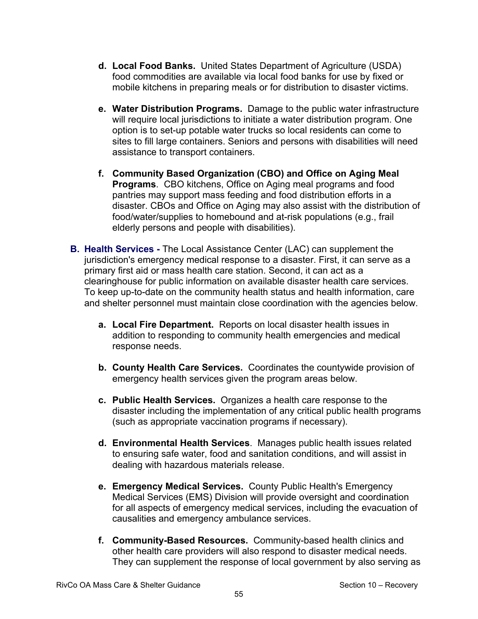- **d. Local Food Banks.** United States Department of Agriculture (USDA) food commodities are available via local food banks for use by fixed or mobile kitchens in preparing meals or for distribution to disaster victims.
- **e. Water Distribution Programs.** Damage to the public water infrastructure will require local jurisdictions to initiate a water distribution program. One option is to set-up potable water trucks so local residents can come to sites to fill large containers. Seniors and persons with disabilities will need assistance to transport containers.
- **f. Community Based Organization (CBO) and Office on Aging Meal Programs**. CBO kitchens, Office on Aging meal programs and food pantries may support mass feeding and food distribution efforts in a disaster. CBOs and Office on Aging may also assist with the distribution of food/water/supplies to homebound and at-risk populations (e.g., frail elderly persons and people with disabilities).
- **B. Health Services -** The Local Assistance Center (LAC) can supplement the jurisdiction's emergency medical response to a disaster. First, it can serve as a primary first aid or mass health care station. Second, it can act as a clearinghouse for public information on available disaster health care services. To keep up-to-date on the community health status and health information, care and shelter personnel must maintain close coordination with the agencies below.
	- **a. Local Fire Department.** Reports on local disaster health issues in addition to responding to community health emergencies and medical response needs.
	- **b. County Health Care Services.** Coordinates the countywide provision of emergency health services given the program areas below.
	- **c. Public Health Services.** Organizes a health care response to the disaster including the implementation of any critical public health programs (such as appropriate vaccination programs if necessary).
	- **d. Environmental Health Services**. Manages public health issues related to ensuring safe water, food and sanitation conditions, and will assist in dealing with hazardous materials release.
	- **e. Emergency Medical Services.** County Public Health's Emergency Medical Services (EMS) Division will provide oversight and coordination for all aspects of emergency medical services, including the evacuation of causalities and emergency ambulance services.
	- **f. Community-Based Resources.** Community-based health clinics and other health care providers will also respond to disaster medical needs. They can supplement the response of local government by also serving as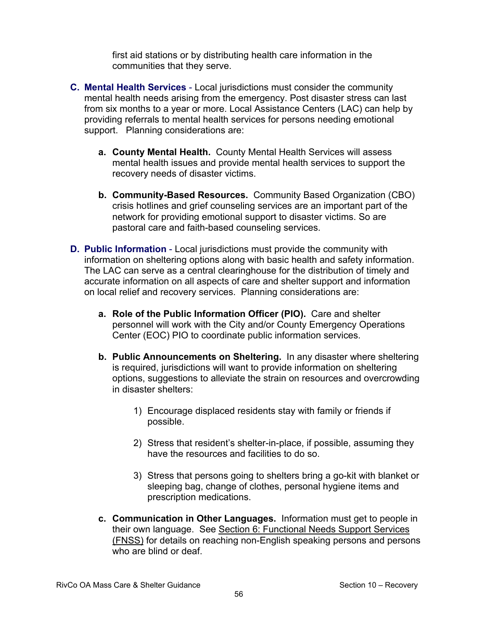first aid stations or by distributing health care information in the communities that they serve.

- **C. Mental Health Services** Local jurisdictions must consider the community mental health needs arising from the emergency. Post disaster stress can last from six months to a year or more. Local Assistance Centers (LAC) can help by providing referrals to mental health services for persons needing emotional support. Planning considerations are:
	- **a. County Mental Health.** County Mental Health Services will assess mental health issues and provide mental health services to support the recovery needs of disaster victims.
	- **b. Community-Based Resources.** Community Based Organization (CBO) crisis hotlines and grief counseling services are an important part of the network for providing emotional support to disaster victims. So are pastoral care and faith-based counseling services.
- **D. Public Information** Local jurisdictions must provide the community with information on sheltering options along with basic health and safety information. The LAC can serve as a central clearinghouse for the distribution of timely and accurate information on all aspects of care and shelter support and information on local relief and recovery services. Planning considerations are:
	- **a. Role of the Public Information Officer (PIO).** Care and shelter personnel will work with the City and/or County Emergency Operations Center (EOC) PIO to coordinate public information services.
	- **b. Public Announcements on Sheltering.** In any disaster where sheltering is required, jurisdictions will want to provide information on sheltering options, suggestions to alleviate the strain on resources and overcrowding in disaster shelters:
		- 1) Encourage displaced residents stay with family or friends if possible.
		- 2) Stress that resident's shelter-in-place, if possible, assuming they have the resources and facilities to do so.
		- 3) Stress that persons going to shelters bring a go-kit with blanket or sleeping bag, change of clothes, personal hygiene items and prescription medications.
	- **c. Communication in Other Languages.** Information must get to people in their own language. See Section 6: Functional Needs Support Services (FNSS) for details on reaching non-English speaking persons and persons who are blind or deaf.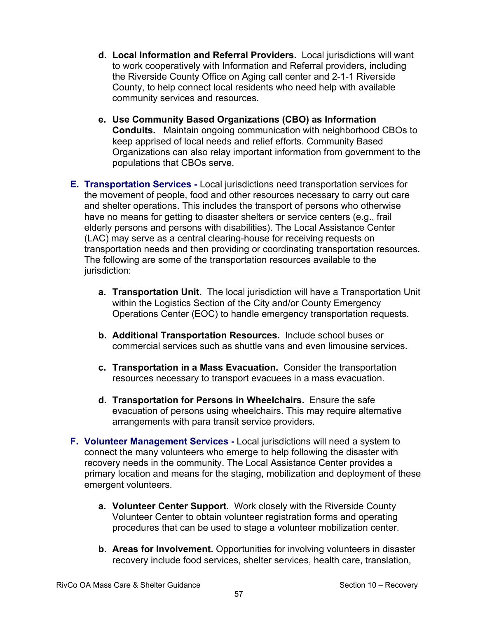- **d. Local Information and Referral Providers.** Local jurisdictions will want to work cooperatively with Information and Referral providers, including the Riverside County Office on Aging call center and 2-1-1 Riverside County, to help connect local residents who need help with available community services and resources.
- **e. Use Community Based Organizations (CBO) as Information Conduits.** Maintain ongoing communication with neighborhood CBOs to keep apprised of local needs and relief efforts. Community Based Organizations can also relay important information from government to the populations that CBOs serve.
- **E. Transportation Services -** Local jurisdictions need transportation services for the movement of people, food and other resources necessary to carry out care and shelter operations. This includes the transport of persons who otherwise have no means for getting to disaster shelters or service centers (e.g., frail elderly persons and persons with disabilities). The Local Assistance Center (LAC) may serve as a central clearing-house for receiving requests on transportation needs and then providing or coordinating transportation resources. The following are some of the transportation resources available to the jurisdiction:
	- **a. Transportation Unit.** The local jurisdiction will have a Transportation Unit within the Logistics Section of the City and/or County Emergency Operations Center (EOC) to handle emergency transportation requests.
	- **b. Additional Transportation Resources.** Include school buses or commercial services such as shuttle vans and even limousine services.
	- **c. Transportation in a Mass Evacuation.** Consider the transportation resources necessary to transport evacuees in a mass evacuation.
	- **d. Transportation for Persons in Wheelchairs.** Ensure the safe evacuation of persons using wheelchairs. This may require alternative arrangements with para transit service providers.
- **F. Volunteer Management Services -** Local jurisdictions will need a system to connect the many volunteers who emerge to help following the disaster with recovery needs in the community. The Local Assistance Center provides a primary location and means for the staging, mobilization and deployment of these emergent volunteers.
	- **a. Volunteer Center Support.** Work closely with the Riverside County Volunteer Center to obtain volunteer registration forms and operating procedures that can be used to stage a volunteer mobilization center.
	- **b. Areas for Involvement.** Opportunities for involving volunteers in disaster recovery include food services, shelter services, health care, translation,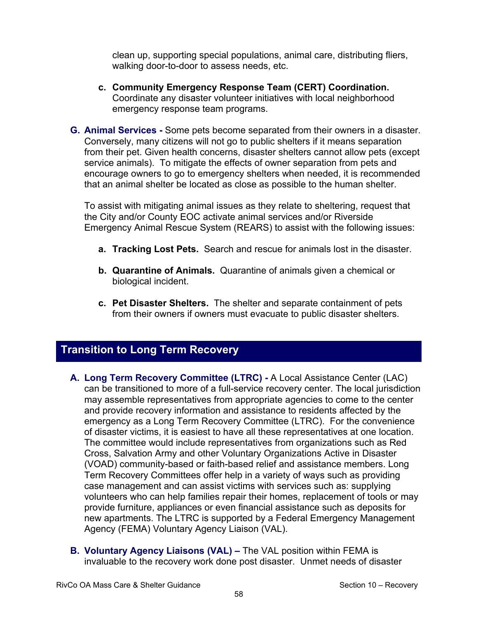clean up, supporting special populations, animal care, distributing fliers, walking door-to-door to assess needs, etc.

- **c. Community Emergency Response Team (CERT) Coordination.** Coordinate any disaster volunteer initiatives with local neighborhood emergency response team programs.
- **G. Animal Services -** Some pets become separated from their owners in a disaster. Conversely, many citizens will not go to public shelters if it means separation from their pet. Given health concerns, disaster shelters cannot allow pets (except service animals). To mitigate the effects of owner separation from pets and encourage owners to go to emergency shelters when needed, it is recommended that an animal shelter be located as close as possible to the human shelter.

To assist with mitigating animal issues as they relate to sheltering, request that the City and/or County EOC activate animal services and/or Riverside Emergency Animal Rescue System (REARS) to assist with the following issues:

- **a. Tracking Lost Pets.** Search and rescue for animals lost in the disaster.
- **b. Quarantine of Animals.** Quarantine of animals given a chemical or biological incident.
- **c. Pet Disaster Shelters.** The shelter and separate containment of pets from their owners if owners must evacuate to public disaster shelters.

# **Transition to Long Term Recovery**

- **A. Long Term Recovery Committee (LTRC) -** A Local Assistance Center (LAC) can be transitioned to more of a full-service recovery center. The local jurisdiction may assemble representatives from appropriate agencies to come to the center and provide recovery information and assistance to residents affected by the emergency as a Long Term Recovery Committee (LTRC). For the convenience of disaster victims, it is easiest to have all these representatives at one location. The committee would include representatives from organizations such as Red Cross, Salvation Army and other Voluntary Organizations Active in Disaster (VOAD) community-based or faith-based relief and assistance members. Long Term Recovery Committees offer help in a variety of ways such as providing case management and can assist victims with services such as: supplying volunteers who can help families repair their homes, replacement of tools or may provide furniture, appliances or even financial assistance such as deposits for new apartments. The LTRC is supported by a Federal Emergency Management Agency (FEMA) Voluntary Agency Liaison (VAL).
- **B. Voluntary Agency Liaisons (VAL) –** The VAL position within FEMA is invaluable to the recovery work done post disaster. Unmet needs of disaster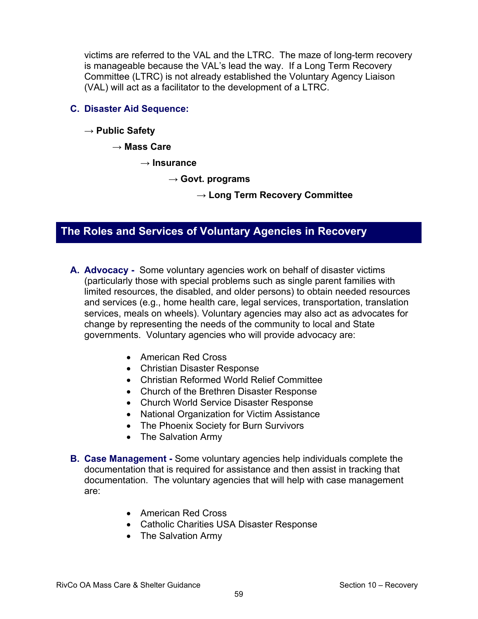victims are referred to the VAL and the LTRC. The maze of long-term recovery is manageable because the VAL's lead the way. If a Long Term Recovery Committee (LTRC) is not already established the Voluntary Agency Liaison (VAL) will act as a facilitator to the development of a LTRC.

#### **C. Disaster Aid Sequence:**

#### **→ Public Safety**

 **→ Mass Care** 

 **→ Insurance** 

 **→ Govt. programs** 

 **→ Long Term Recovery Committee** 

## **The Roles and Services of Voluntary Agencies in Recovery**

- **A. Advocacy** Some voluntary agencies work on behalf of disaster victims (particularly those with special problems such as single parent families with limited resources, the disabled, and older persons) to obtain needed resources and services (e.g., home health care, legal services, transportation, translation services, meals on wheels). Voluntary agencies may also act as advocates for change by representing the needs of the community to local and State governments. Voluntary agencies who will provide advocacy are:
	- American Red Cross
	- Christian Disaster Response
	- Christian Reformed World Relief Committee
	- Church of the Brethren Disaster Response
	- Church World Service Disaster Response
	- National Organization for Victim Assistance
	- The Phoenix Society for Burn Survivors
	- The Salvation Army
- **B. Case Management -** Some voluntary agencies help individuals complete the documentation that is required for assistance and then assist in tracking that documentation. The voluntary agencies that will help with case management are:
	- American Red Cross
	- Catholic Charities USA Disaster Response
	- The Salvation Army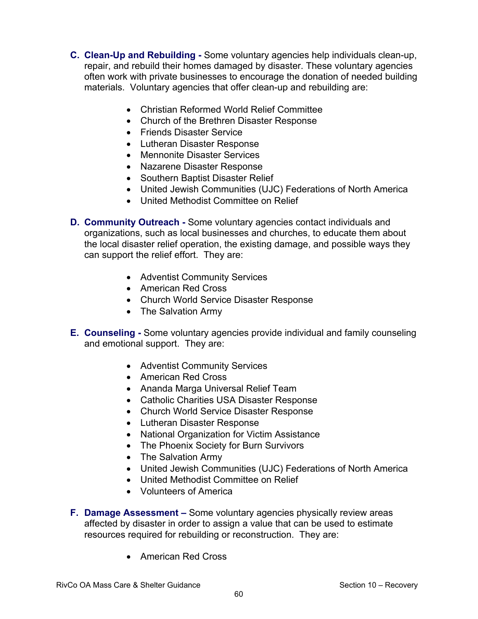- **C. Clean-Up and Rebuilding** Some voluntary agencies help individuals clean-up, repair, and rebuild their homes damaged by disaster. These voluntary agencies often work with private businesses to encourage the donation of needed building materials. Voluntary agencies that offer clean-up and rebuilding are:
	- Christian Reformed World Relief Committee
	- Church of the Brethren Disaster Response
	- Friends Disaster Service
	- Lutheran Disaster Response
	- Mennonite Disaster Services
	- Nazarene Disaster Response
	- Southern Baptist Disaster Relief
	- United Jewish Communities (UJC) Federations of North America
	- United Methodist Committee on Relief
- **D. Community Outreach -** Some voluntary agencies contact individuals and organizations, such as local businesses and churches, to educate them about the local disaster relief operation, the existing damage, and possible ways they can support the relief effort. They are:
	- Adventist Community Services
	- American Red Cross
	- Church World Service Disaster Response
	- The Salvation Army
- **E. Counseling -** Some voluntary agencies provide individual and family counseling and emotional support. They are:
	- Adventist Community Services
	- American Red Cross
	- Ananda Marga Universal Relief Team
	- Catholic Charities USA Disaster Response
	- Church World Service Disaster Response
	- Lutheran Disaster Response
	- National Organization for Victim Assistance
	- The Phoenix Society for Burn Survivors
	- The Salvation Army
	- United Jewish Communities (UJC) Federations of North America
	- United Methodist Committee on Relief
	- Volunteers of America
- **F. Damage Assessment –** Some voluntary agencies physically review areas affected by disaster in order to assign a value that can be used to estimate resources required for rebuilding or reconstruction. They are:
	- American Red Cross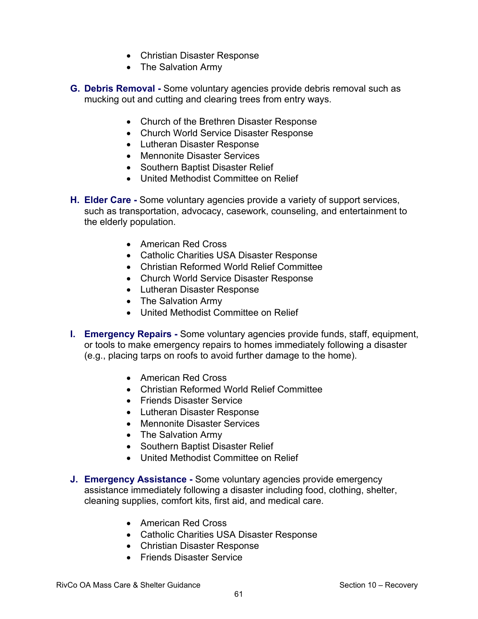- Christian Disaster Response
- The Salvation Army
- **G. Debris Removal -** Some voluntary agencies provide debris removal such as mucking out and cutting and clearing trees from entry ways.
	- Church of the Brethren Disaster Response
	- Church World Service Disaster Response
	- Lutheran Disaster Response
	- Mennonite Disaster Services
	- Southern Baptist Disaster Relief
	- United Methodist Committee on Relief

**H. Elder Care -** Some voluntary agencies provide a variety of support services, such as transportation, advocacy, casework, counseling, and entertainment to the elderly population.

- American Red Cross
- Catholic Charities USA Disaster Response
- Christian Reformed World Relief Committee
- Church World Service Disaster Response
- Lutheran Disaster Response
- The Salvation Army
- United Methodist Committee on Relief
- **I. Emergency Repairs** Some voluntary agencies provide funds, staff, equipment, or tools to make emergency repairs to homes immediately following a disaster (e.g., placing tarps on roofs to avoid further damage to the home).
	- American Red Cross
	- Christian Reformed World Relief Committee
	- Friends Disaster Service
	- Lutheran Disaster Response
	- Mennonite Disaster Services
	- The Salvation Army
	- Southern Baptist Disaster Relief
	- United Methodist Committee on Relief
- **J. Emergency Assistance** Some voluntary agencies provide emergency assistance immediately following a disaster including food, clothing, shelter, cleaning supplies, comfort kits, first aid, and medical care.
	- American Red Cross
	- Catholic Charities USA Disaster Response
	- Christian Disaster Response
	- **•** Friends Disaster Service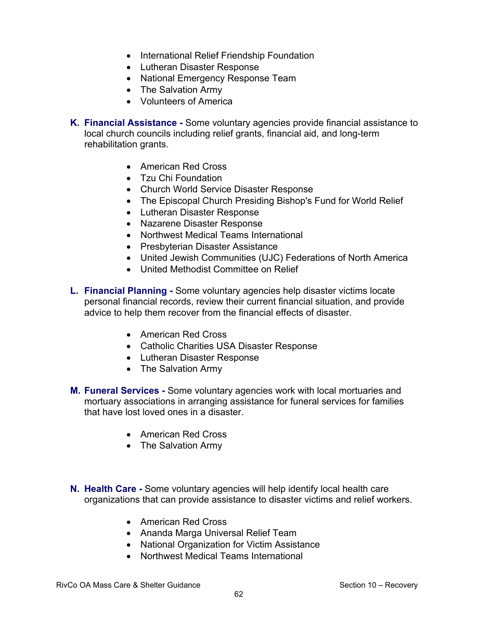- International Relief Friendship Foundation
- Lutheran Disaster Response
- National Emergency Response Team
- The Salvation Army
- Volunteers of America
- **K. Financial Assistance** Some voluntary agencies provide financial assistance to local church councils including relief grants, financial aid, and long-term rehabilitation grants.
	- American Red Cross
	- Tzu Chi Foundation
	- Church World Service Disaster Response
	- The Episcopal Church Presiding Bishop's Fund for World Relief
	- Lutheran Disaster Response
	- Nazarene Disaster Response
	- Northwest Medical Teams International
	- Presbyterian Disaster Assistance
	- United Jewish Communities (UJC) Federations of North America
	- United Methodist Committee on Relief
- **L. Financial Planning -** Some voluntary agencies help disaster victims locate personal financial records, review their current financial situation, and provide advice to help them recover from the financial effects of disaster.
	- American Red Cross
	- Catholic Charities USA Disaster Response
	- Lutheran Disaster Response
	- The Salvation Army
- **M. Funeral Services** Some voluntary agencies work with local mortuaries and mortuary associations in arranging assistance for funeral services for families that have lost loved ones in a disaster.
	- American Red Cross
	- The Salvation Army
- **N. Health Care** Some voluntary agencies will help identify local health care organizations that can provide assistance to disaster victims and relief workers.
	- American Red Cross
	- Ananda Marga Universal Relief Team
	- National Organization for Victim Assistance
	- Northwest Medical Teams International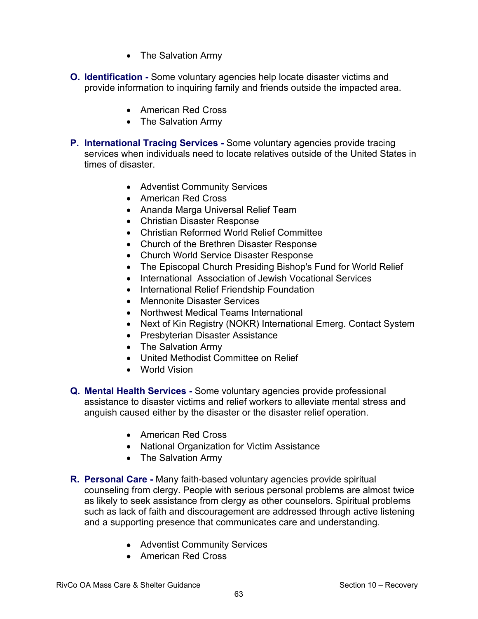- The Salvation Army
- **O. Identification** Some voluntary agencies help locate disaster victims and provide information to inquiring family and friends outside the impacted area.
	- American Red Cross
	- The Salvation Army
- **P. International Tracing Services** Some voluntary agencies provide tracing services when individuals need to locate relatives outside of the United States in times of disaster.
	- Adventist Community Services
	- American Red Cross
	- Ananda Marga Universal Relief Team
	- Christian Disaster Response
	- Christian Reformed World Relief Committee
	- Church of the Brethren Disaster Response
	- Church World Service Disaster Response
	- The Episcopal Church Presiding Bishop's Fund for World Relief
	- International Association of Jewish Vocational Services
	- International Relief Friendship Foundation
	- Mennonite Disaster Services
	- Northwest Medical Teams International
	- Next of Kin Registry (NOKR) International Emerg. Contact System
	- Presbyterian Disaster Assistance
	- The Salvation Army
	- United Methodist Committee on Relief
	- World Vision
- **Q. Mental Health Services** Some voluntary agencies provide professional assistance to disaster victims and relief workers to alleviate mental stress and anguish caused either by the disaster or the disaster relief operation.
	- American Red Cross
	- National Organization for Victim Assistance
	- The Salvation Army
- **R. Personal Care** Many faith-based voluntary agencies provide spiritual counseling from clergy. People with serious personal problems are almost twice as likely to seek assistance from clergy as other counselors. Spiritual problems such as lack of faith and discouragement are addressed through active listening and a supporting presence that communicates care and understanding.
	- Adventist Community Services
	- American Red Cross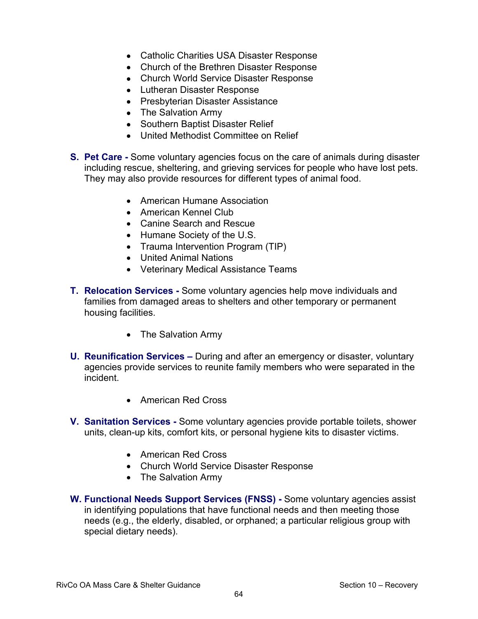- Catholic Charities USA Disaster Response
- Church of the Brethren Disaster Response
- Church World Service Disaster Response
- Lutheran Disaster Response
- Presbyterian Disaster Assistance
- The Salvation Army
- Southern Baptist Disaster Relief
- United Methodist Committee on Relief
- **S. Pet Care -** Some voluntary agencies focus on the care of animals during disaster including rescue, sheltering, and grieving services for people who have lost pets. They may also provide resources for different types of animal food.
	- American Humane Association
	- American Kennel Club
	- Canine Search and Rescue
	- Humane Society of the U.S.
	- Trauma Intervention Program (TIP)
	- United Animal Nations
	- Veterinary Medical Assistance Teams
- **T. Relocation Services -** Some voluntary agencies help move individuals and families from damaged areas to shelters and other temporary or permanent housing facilities.
	- The Salvation Army
- **U. Reunification Services –** During and after an emergency or disaster, voluntary agencies provide services to reunite family members who were separated in the incident.
	- American Red Cross
- **V. Sanitation Services -** Some voluntary agencies provide portable toilets, shower units, clean-up kits, comfort kits, or personal hygiene kits to disaster victims.
	- American Red Cross
	- Church World Service Disaster Response
	- The Salvation Army
- **W. Functional Needs Support Services (FNSS) -** Some voluntary agencies assist in identifying populations that have functional needs and then meeting those needs (e.g., the elderly, disabled, or orphaned; a particular religious group with special dietary needs).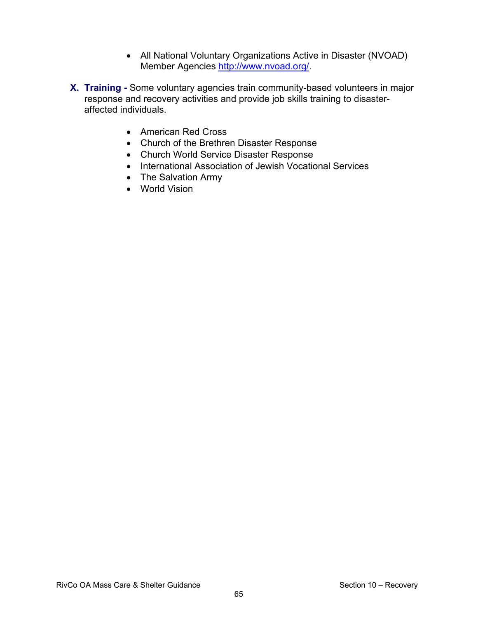- All National Voluntary Organizations Active in Disaster (NVOAD) Member Agencies http://www.nvoad.org/.
- **X. Training -** Some voluntary agencies train community-based volunteers in major response and recovery activities and provide job skills training to disasteraffected individuals.
	- American Red Cross
	- Church of the Brethren Disaster Response
	- Church World Service Disaster Response
	- International Association of Jewish Vocational Services
	- The Salvation Army
	- World Vision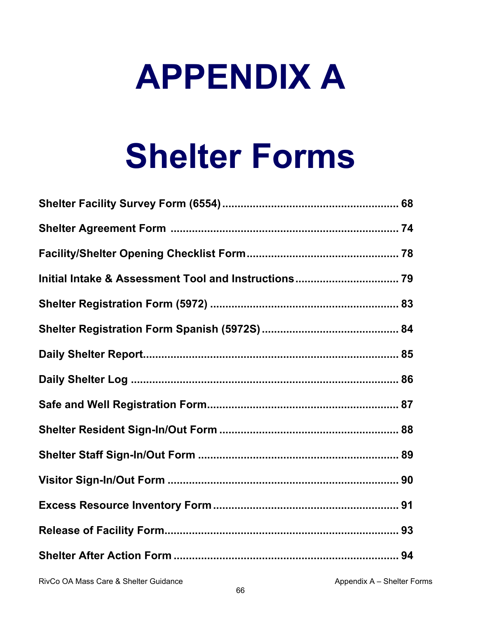# **APPENDIX A**

# **Shelter Forms**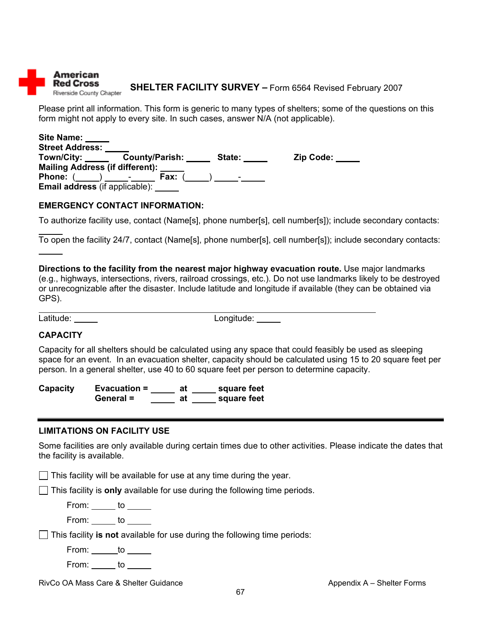

**SHELTER FACILITY SURVEY –** Form 6564 Revised February 2007

Please print all information. This form is generic to many types of shelters; some of the questions on this form might not apply to every site. In such cases, answer N/A (not applicable).

| <b>Site Name:</b>                      |                    |                          |                  |
|----------------------------------------|--------------------|--------------------------|------------------|
| <b>Street Address:</b>                 |                    |                          |                  |
| Town/City: ____                        | County/Parish: ___ | State:                   | <b>Zip Code:</b> |
| <b>Mailing Address (if different):</b> |                    |                          |                  |
| Phone: $(\_\_\_\_) \_\_\_\$            | Fax:               | <b>Contract Contract</b> |                  |
| <b>Email address (if applicable):</b>  |                    |                          |                  |

#### **EMERGENCY CONTACT INFORMATION:**

To authorize facility use, contact (Name[s], phone number[s], cell number[s]); include secondary contacts:

To open the facility 24/7, contact (Name[s], phone number[s], cell number[s]); include secondary contacts:

**Directions to the facility from the nearest major highway evacuation route.** Use major landmarks (e.g., highways, intersections, rivers, railroad crossings, etc.). Do not use landmarks likely to be destroyed or unrecognizable after the disaster. Include latitude and longitude if available (they can be obtained via GPS).

 $\overline{a}$ 

Latitude: Latitude: Longitude: Longitude: Longitude: Longitude: Longitude: Longitude: Longitude: Longitude: Longitude: Longitude: Longitude: Longitude: Longitude: Longitude: Longitude: Longitude: Longitude: Longitude: Long

#### **CAPACITY**

Capacity for all shelters should be calculated using any space that could feasibly be used as sleeping space for an event. In an evacuation shelter, capacity should be calculated using 15 to 20 square feet per person. In a general shelter, use 40 to 60 square feet per person to determine capacity.

Capacity Evacuation = \_\_\_\_\_ at \_\_\_\_\_ square feet General = \_\_\_\_\_\_ at \_\_\_\_\_ square feet

#### **LIMITATIONS ON FACILITY USE**

Some facilities are only available during certain times due to other activities. Please indicate the dates that the facility is available.

 $\Box$  This facility will be available for use at any time during the year.

This facility is **only** available for use during the following time periods.

From:  $\_\_\_\_$  to  $\_\_\_\_\_\$ 

From: \_\_\_\_\_ to \_\_\_\_\_

This facility **is not** available for use during the following time periods:

From:  $\_\_\_\_$  to  $\_\_\_\_\_$ 

From: \_\_\_\_\_ to \_\_\_\_\_

RivCo OA Mass Care & Shelter Guidance **Appendix A** – Shelter Forms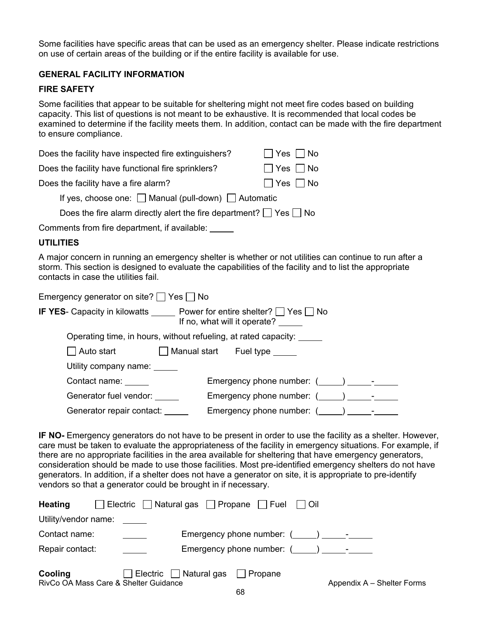Some facilities have specific areas that can be used as an emergency shelter. Please indicate restrictions on use of certain areas of the building or if the entire facility is available for use.

#### **GENERAL FACILITY INFORMATION**

#### **FIRE SAFETY**

Some facilities that appear to be suitable for sheltering might not meet fire codes based on building capacity. This list of questions is not meant to be exhaustive. It is recommended that local codes be examined to determine if the facility meets them. In addition, contact can be made with the fire department to ensure compliance.

| Does the facility have inspected fire extinguishers?                         | $\Box$ Yes $\Box$ No |
|------------------------------------------------------------------------------|----------------------|
| Does the facility have functional fire sprinklers?                           | $\Box$ Yes $\Box$ No |
| Does the facility have a fire alarm?                                         | $\Box$ Yes $\Box$ No |
| If yes, choose one: $\Box$ Manual (pull-down) $\Box$ Automatic               |                      |
| Does the fire alarm directly alert the fire department? $\Box$ Yes $\Box$ No |                      |
|                                                                              |                      |

Comments from fire department, if available:

#### **UTILITIES**

A major concern in running an emergency shelter is whether or not utilities can continue to run after a storm. This section is designed to evaluate the capabilities of the facility and to list the appropriate contacts in case the utilities fail.

| Emergency generator on site? $\Box$ Yes $\Box$ No                                           |                                               |
|---------------------------------------------------------------------------------------------|-----------------------------------------------|
| <b>IF YES</b> - Capacity in kilowatts ______ Power for entire shelter? $\Box$ Yes $\Box$ No | If no, what will it operate?                  |
| Operating time, in hours, without refueling, at rated capacity:                             |                                               |
| Auto start                                                                                  | Manual start Fuel type _____                  |
| Utility company name: ______                                                                |                                               |
| Contact name:                                                                               | Emergency phone number: $(\_\_\_\_) \_\_\_\_$ |
| Generator fuel vendor: ______                                                               | Emergency phone number: $(\_\_) \_\_$ -       |
| Generator repair contact:                                                                   | Emergency phone number: $(\_\_\_\_) \_\_\_\_$ |
|                                                                                             |                                               |

**IF NO-** Emergency generators do not have to be present in order to use the facility as a shelter. However, care must be taken to evaluate the appropriateness of the facility in emergency situations. For example, if there are no appropriate facilities in the area available for sheltering that have emergency generators, consideration should be made to use those facilities. Most pre-identified emergency shelters do not have generators. In addition, if a shelter does not have a generator on site, it is appropriate to pre-identify vendors so that a generator could be brought in if necessary.

| <b>Heating</b>                                   | $\Box$ Electric $\Box$ Natural gas $\Box$ Propane $\Box$ Fuel $\Box$ Oil |                            |
|--------------------------------------------------|--------------------------------------------------------------------------|----------------------------|
| Utility/vendor name:                             |                                                                          |                            |
| Contact name:                                    | Emergency phone number: $(\_\_)$ __________                              |                            |
| Repair contact:                                  | Emergency phone number: (____) ______-                                   |                            |
| Cooling<br>RivCo OA Mass Care & Shelter Guidance | Electric $\Box$ Natural gas $\Box$ Propane                               | Appendix A - Shelter Forms |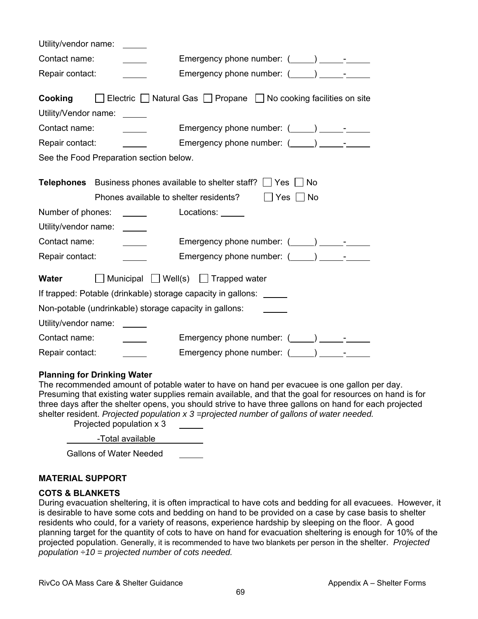| Utility/vendor name: |                                                        |                                                                                  |
|----------------------|--------------------------------------------------------|----------------------------------------------------------------------------------|
| Contact name:        | <u> 1999 - John Barnett</u>                            | Emergency phone number: $(\_\_) \_\_$ -                                          |
| Repair contact:      |                                                        | Emergency phone number: $(\_\_) \_\_$ -                                          |
| Cooking              |                                                        | Electric Natural Gas Propane No cooking facilities on site                       |
|                      | Utility/Vendor name: _____                             |                                                                                  |
| Contact name:        |                                                        | Emergency phone number: $(\_\_\_\_) \_\_\_\$                                     |
| Repair contact:      |                                                        |                                                                                  |
|                      | See the Food Preparation section below.                |                                                                                  |
|                      |                                                        | <b>Telephones</b> Business phones available to shelter staff? $\Box$ Yes<br>l No |
|                      | Phones available to shelter residents?                 | Yes     No                                                                       |
| Number of phones:    | $\overline{a}$ and $\overline{a}$ and $\overline{a}$   | Locations: _____                                                                 |
| Utility/vendor name: |                                                        |                                                                                  |
| Contact name:        |                                                        | Emergency phone number: (____) _____- ______                                     |
| Repair contact:      |                                                        | Emergency phone number: (____) _____- _____                                      |
| Water                |                                                        | $\Box$ Municipal $\Box$ Well(s) $\Box$ Trapped water                             |
|                      |                                                        |                                                                                  |
|                      |                                                        | If trapped: Potable (drinkable) storage capacity in gallons: _____               |
|                      | Non-potable (undrinkable) storage capacity in gallons: |                                                                                  |
| Utility/vendor name: |                                                        |                                                                                  |
| Contact name:        |                                                        | Emergency phone number: (____) _____- ______                                     |

#### **Planning for Drinking Water**

The recommended amount of potable water to have on hand per evacuee is one gallon per day. Presuming that existing water supplies remain available, and that the goal for resources on hand is for three days after the shelter opens, you should strive to have three gallons on hand for each projected shelter resident. *Projected population x 3 =projected number of gallons of water needed.* 

Projected population x 3

-Total available

Gallons of Water Needed

#### **MATERIAL SUPPORT**

#### **COTS & BLANKETS**

During evacuation sheltering, it is often impractical to have cots and bedding for all evacuees. However, it is desirable to have some cots and bedding on hand to be provided on a case by case basis to shelter residents who could, for a variety of reasons, experience hardship by sleeping on the floor. A good planning target for the quantity of cots to have on hand for evacuation sheltering is enough for 10% of the projected population. Generally, it is recommended to have two blankets per person in the shelter. *Projected population ÷10 = projected number of cots needed.*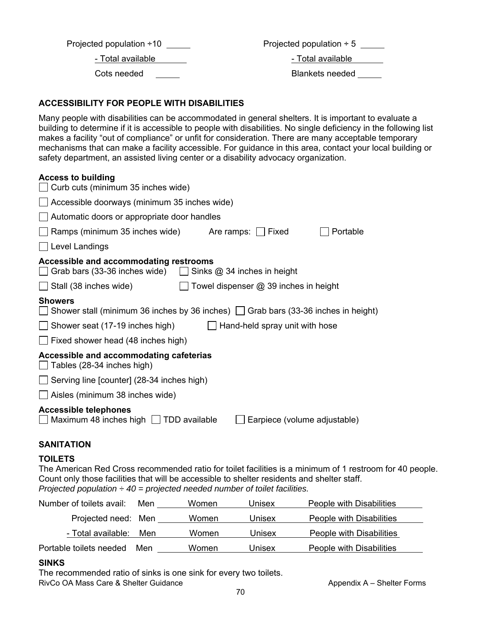| Projected population $\div 10$ | Projected population $\div$ 5 |
|--------------------------------|-------------------------------|
| - Total available              | - Total available             |
| Cots needed                    | <b>Blankets needed</b>        |

#### **ACCESSIBILITY FOR PEOPLE WITH DISABILITIES**

Many people with disabilities can be accommodated in general shelters. It is important to evaluate a building to determine if it is accessible to people with disabilities. No single deficiency in the following list makes a facility "out of compliance" or unfit for consideration. There are many acceptable temporary mechanisms that can make a facility accessible. For guidance in this area, contact your local building or safety department, an assisted living center or a disability advocacy organization.

| <b>Access to building</b><br>Curb cuts (minimum 35 inches wide)                                                                                                                |
|--------------------------------------------------------------------------------------------------------------------------------------------------------------------------------|
| Accessible doorways (minimum 35 inches wide)                                                                                                                                   |
| Automatic doors or appropriate door handles                                                                                                                                    |
| Portable<br>Ramps (minimum 35 inches wide)<br>Are ramps: $\Box$ Fixed                                                                                                          |
| Level Landings                                                                                                                                                                 |
| Accessible and accommodating restrooms<br>Grab bars (33-36 inches wide) $\Box$ Sinks @ 34 inches in height                                                                     |
| Stall (38 inches wide)<br>Towel dispenser $@39$ inches in height                                                                                                               |
| <b>Showers</b><br>Shower stall (minimum 36 inches by 36 inches) $\Box$ Grab bars (33-36 inches in height)<br>Shower seat (17-19 inches high)<br>Hand-held spray unit with hose |
| Fixed shower head (48 inches high)                                                                                                                                             |
| Accessible and accommodating cafeterias<br>Tables (28-34 inches high)                                                                                                          |
| Serving line [counter] (28-34 inches high)                                                                                                                                     |
| Aisles (minimum 38 inches wide)                                                                                                                                                |
| <b>Accessible telephones</b><br>Maximum 48 inches high<br>TDD available<br>Earpiece (volume adjustable)                                                                        |

#### **SANITATION**

#### **TOILETS**

The American Red Cross recommended ratio for toilet facilities is a minimum of 1 restroom for 40 people. Count only those facilities that will be accessible to shelter residents and shelter staff. *Projected population ÷ 40 = projected needed number of toilet facilities.* 

| Number of toilets avail: | Men | <b>Women</b> | Unisex | People with Disabilities |
|--------------------------|-----|--------------|--------|--------------------------|
| Projected need: Men      |     | Women        | Unisex | People with Disabilities |
| - Total available:       | Men | Women        | Unisex | People with Disabilities |
| Portable toilets needed  | Men | Women        | Unisex | People with Disabilities |

#### **SINKS**

RivCo OA Mass Care & Shelter Guidance Appendix A – Shelter Forms The recommended ratio of sinks is one sink for every two toilets.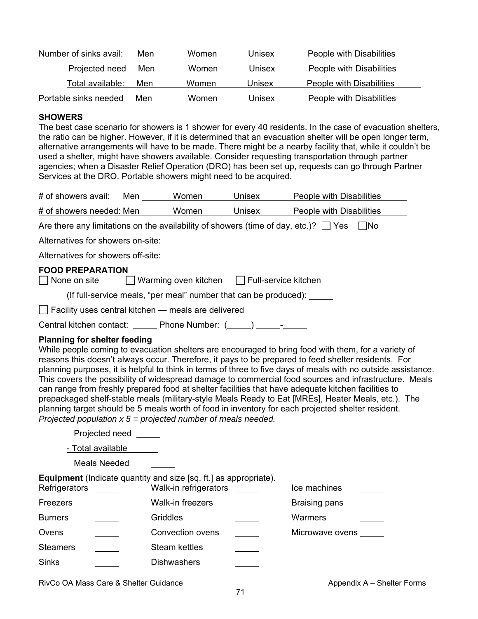| Number of sinks avail: | Men | Women | Unisex | People with Disabilities |
|------------------------|-----|-------|--------|--------------------------|
| Projected need         | Men | Women | Unisex | People with Disabilities |
| Total available:       | Men | Women | Unisex | People with Disabilities |
| Portable sinks needed  | Men | Women | Unisex | People with Disabilities |

#### **SHOWERS**

The best case scenario for showers is 1 shower for every 40 residents. In the case of evacuation shelters, the ratio can be higher. However, if it is determined that an evacuation shelter will be open longer term, alternative arrangements will have to be made. There might be a nearby facility that, while it couldn't be used a shelter, might have showers available. Consider requesting transportation through partner agencies; when a Disaster Relief Operation (DRO) has been set up, requests can go through Partner Services at the DRO. Portable showers might need to be acquired.

| # of showers avail:                                                                                                                                                                                                                                                                                                                                                                                                                                                                                                                                                                                                                                                                                                                                                                                                                                                                                                           |          |                                                                  |                          | Men Women Unisex People with Disabilities                                                          |
|-------------------------------------------------------------------------------------------------------------------------------------------------------------------------------------------------------------------------------------------------------------------------------------------------------------------------------------------------------------------------------------------------------------------------------------------------------------------------------------------------------------------------------------------------------------------------------------------------------------------------------------------------------------------------------------------------------------------------------------------------------------------------------------------------------------------------------------------------------------------------------------------------------------------------------|----------|------------------------------------------------------------------|--------------------------|----------------------------------------------------------------------------------------------------|
| # of showers needed: Men                                                                                                                                                                                                                                                                                                                                                                                                                                                                                                                                                                                                                                                                                                                                                                                                                                                                                                      |          | Women                                                            | <b>Unisex</b>            | People with Disabilities                                                                           |
|                                                                                                                                                                                                                                                                                                                                                                                                                                                                                                                                                                                                                                                                                                                                                                                                                                                                                                                               |          |                                                                  |                          | Are there any limitations on the availability of showers (time of day, etc.)? $\Box$ Yes $\Box$ No |
| Alternatives for showers on-site:                                                                                                                                                                                                                                                                                                                                                                                                                                                                                                                                                                                                                                                                                                                                                                                                                                                                                             |          |                                                                  |                          |                                                                                                    |
| Alternatives for showers off-site:                                                                                                                                                                                                                                                                                                                                                                                                                                                                                                                                                                                                                                                                                                                                                                                                                                                                                            |          |                                                                  |                          |                                                                                                    |
| <b>FOOD PREPARATION</b><br>None on site                                                                                                                                                                                                                                                                                                                                                                                                                                                                                                                                                                                                                                                                                                                                                                                                                                                                                       |          | Warming oven kitchen Full-service kitchen                        |                          |                                                                                                    |
|                                                                                                                                                                                                                                                                                                                                                                                                                                                                                                                                                                                                                                                                                                                                                                                                                                                                                                                               |          | (If full-service meals, "per meal" number that can be produced): |                          |                                                                                                    |
| $\Box$ Facility uses central kitchen $-$ meals are delivered                                                                                                                                                                                                                                                                                                                                                                                                                                                                                                                                                                                                                                                                                                                                                                                                                                                                  |          |                                                                  |                          |                                                                                                    |
| Central kitchen contact: _______ Phone Number: (_____) ______-                                                                                                                                                                                                                                                                                                                                                                                                                                                                                                                                                                                                                                                                                                                                                                                                                                                                |          |                                                                  |                          |                                                                                                    |
| <b>Planning for shelter feeding</b><br>While people coming to evacuation shelters are encouraged to bring food with them, for a variety of<br>reasons this doesn't always occur. Therefore, it pays to be prepared to feed shelter residents. For<br>planning purposes, it is helpful to think in terms of three to five days of meals with no outside assistance.<br>This covers the possibility of widespread damage to commercial food sources and infrastructure. Meals<br>can range from freshly prepared food at shelter facilities that have adequate kitchen facilities to<br>prepackaged shelf-stable meals (military-style Meals Ready to Eat [MREs], Heater Meals, etc.). The<br>planning target should be 5 meals worth of food in inventory for each projected shelter resident.<br>Projected population $x 5 =$ projected number of meals needed.<br>Projected need ______<br>- Total available<br>Meals Needed |          |                                                                  |                          |                                                                                                    |
| <b>Equipment</b> (Indicate quantity and size [sq. ft.] as appropriate).                                                                                                                                                                                                                                                                                                                                                                                                                                                                                                                                                                                                                                                                                                                                                                                                                                                       |          |                                                                  |                          |                                                                                                    |
| Refrigerators ______                                                                                                                                                                                                                                                                                                                                                                                                                                                                                                                                                                                                                                                                                                                                                                                                                                                                                                          |          | Walk-in refrigerators _____                                      |                          | Ice machines                                                                                       |
| Freezers                                                                                                                                                                                                                                                                                                                                                                                                                                                                                                                                                                                                                                                                                                                                                                                                                                                                                                                      |          | Walk-in freezers                                                 |                          | Braising pans                                                                                      |
| <b>Burners</b>                                                                                                                                                                                                                                                                                                                                                                                                                                                                                                                                                                                                                                                                                                                                                                                                                                                                                                                | Griddles |                                                                  | $\overline{\phantom{a}}$ | Warmers                                                                                            |
| Ovens                                                                                                                                                                                                                                                                                                                                                                                                                                                                                                                                                                                                                                                                                                                                                                                                                                                                                                                         |          | Convection ovens                                                 |                          | Microwave ovens ______                                                                             |
| <b>Steamers</b>                                                                                                                                                                                                                                                                                                                                                                                                                                                                                                                                                                                                                                                                                                                                                                                                                                                                                                               |          | <b>Steam kettles</b>                                             |                          |                                                                                                    |
| <b>Sinks</b>                                                                                                                                                                                                                                                                                                                                                                                                                                                                                                                                                                                                                                                                                                                                                                                                                                                                                                                  |          | <b>Dishwashers</b>                                               |                          |                                                                                                    |
| RivCo OA Mass Care & Shelter Guidance                                                                                                                                                                                                                                                                                                                                                                                                                                                                                                                                                                                                                                                                                                                                                                                                                                                                                         |          |                                                                  |                          | Appendix A - Shelter Forms                                                                         |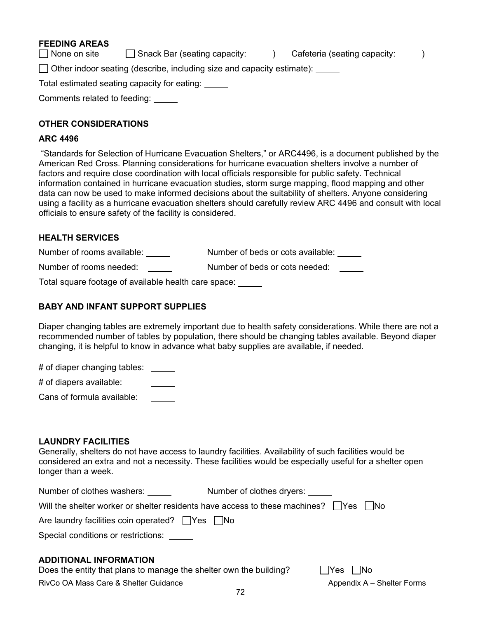#### **FEEDING AREAS**

 $\Box$  None on site  $\Box$  Snack Bar (seating capacity:  $\Box$ ) Cafeteria (seating capacity:  $\Box$ )

□ Other indoor seating (describe, including size and capacity estimate): □

Total estimated seating capacity for eating:

Comments related to feeding:

#### **OTHER CONSIDERATIONS**

#### **ARC 4496**

 "Standards for Selection of Hurricane Evacuation Shelters," or ARC4496, is a document published by the American Red Cross. Planning considerations for hurricane evacuation shelters involve a number of factors and require close coordination with local officials responsible for public safety. Technical information contained in hurricane evacuation studies, storm surge mapping, flood mapping and other data can now be used to make informed decisions about the suitability of shelters. Anyone considering using a facility as a hurricane evacuation shelters should carefully review ARC 4496 and consult with local officials to ensure safety of the facility is considered.

#### **HEALTH SERVICES**

| Number of rooms available: | Number of beds or cots available: |
|----------------------------|-----------------------------------|
| Number of rooms needed:    | Number of beds or cots needed:    |

Total square footage of available health care space:

#### **BABY AND INFANT SUPPORT SUPPLIES**

Diaper changing tables are extremely important due to health safety considerations. While there are not a recommended number of tables by population, there should be changing tables available. Beyond diaper changing, it is helpful to know in advance what baby supplies are available, if needed.

# of diaper changing tables:

# of diapers available:

Cans of formula available:

#### **LAUNDRY FACILITIES**

Generally, shelters do not have access to laundry facilities. Availability of such facilities would be considered an extra and not a necessity. These facilities would be especially useful for a shelter open longer than a week.

| Number of clothes washers:<br>Number of clothes dryers:                                             |                            |
|-----------------------------------------------------------------------------------------------------|----------------------------|
| Will the shelter worker or shelter residents have access to these machines?    Yes    No            |                            |
| Are laundry facilities coin operated? Yes No                                                        |                            |
| Special conditions or restrictions:                                                                 |                            |
| <b>ADDITIONAL INFORMATION</b><br>Does the entity that plans to manage the shelter own the building? | l INo<br>  Yes             |
| RivCo OA Mass Care & Shelter Guidance                                                               | Appendix A – Shelter Forms |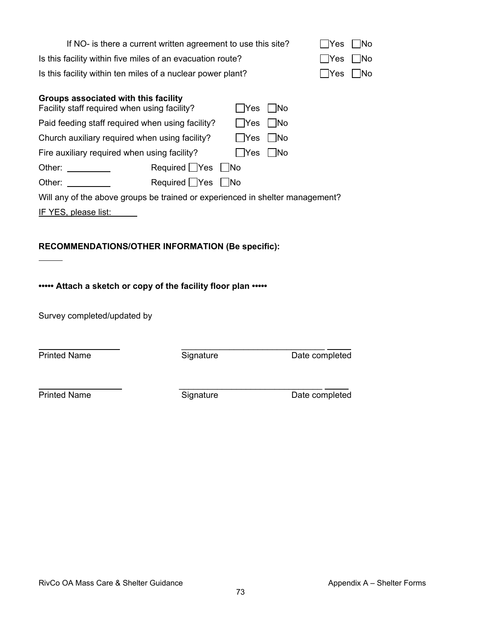| Groups associated with this facility                          |                      |
|---------------------------------------------------------------|----------------------|
| Is this facility within ten miles of a nuclear power plant?   | $\Box$ Yes $\Box$ No |
| Is this facility within five miles of an evacuation route?    | $\Box$ Yes $\Box$ No |
| If NO- is there a current written agreement to use this site? | $\Box$ Yes $\Box$ No |

| Yes    No |  |
|-----------|--|
| Yes    No |  |
| ∐Yes ∐No  |  |

| Groups associated with this facility<br>Facility staff required when using facility? |                               | Yes        | INo        |
|--------------------------------------------------------------------------------------|-------------------------------|------------|------------|
| Paid feeding staff required when using facility?                                     |                               |            | <b>No</b>  |
| Church auxiliary required when using facility?                                       | Yes                           | <b>INo</b> |            |
| Fire auxiliary required when using facility?                                         |                               |            | <b>INo</b> |
| Other:                                                                               | Required Yes No               |            |            |
| Other:                                                                               | Required $\Box$ Yes $\Box$ No |            |            |
| Will any of the above groups be trained or experienced in shelter management?        |                               |            |            |

IF YES, please list:

#### **RECOMMENDATIONS/OTHER INFORMATION (Be specific):**

#### **••••• Attach a sketch or copy of the facility floor plan •••••**

Survey completed/updated by

 $\overline{a}$ 

\_\_\_\_\_\_\_\_\_\_\_\_\_\_\_\_\_\_\_\_\_\_\_\_\_\_\_\_\_\_

Printed Name Signature Date completed

 $\overline{\phantom{a}}$  ,  $\overline{\phantom{a}}$  ,  $\overline{\phantom{a}}$  ,  $\overline{\phantom{a}}$  ,  $\overline{\phantom{a}}$  ,  $\overline{\phantom{a}}$  ,  $\overline{\phantom{a}}$  ,  $\overline{\phantom{a}}$  ,  $\overline{\phantom{a}}$  ,  $\overline{\phantom{a}}$  ,  $\overline{\phantom{a}}$  ,  $\overline{\phantom{a}}$  ,  $\overline{\phantom{a}}$  ,  $\overline{\phantom{a}}$  ,  $\overline{\phantom{a}}$  ,  $\overline{\phantom{a}}$ 

Printed Name Signature Date completed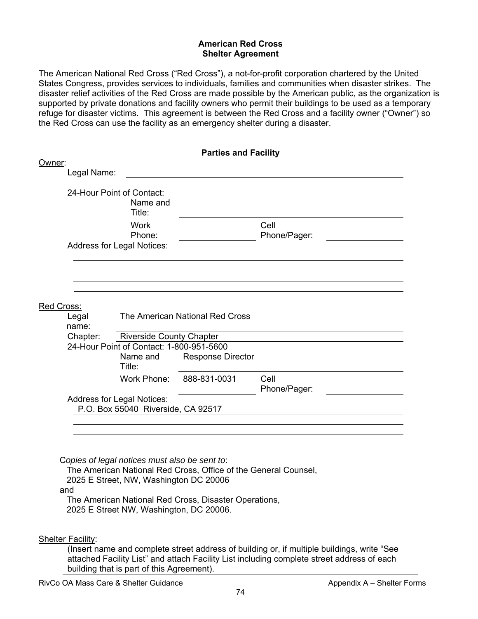#### **American Red Cross Shelter Agreement**

The American National Red Cross ("Red Cross"), a not-for-profit corporation chartered by the United States Congress, provides services to individuals, families and communities when disaster strikes. The disaster relief activities of the Red Cross are made possible by the American public, as the organization is supported by private donations and facility owners who permit their buildings to be used as a temporary refuge for disaster victims. This agreement is between the Red Cross and a facility owner ("Owner") so the Red Cross can use the facility as an emergency shelter during a disaster.

|                       |                                                                             | <b>Parties and Facility</b>                                     |              |
|-----------------------|-----------------------------------------------------------------------------|-----------------------------------------------------------------|--------------|
| Owner:<br>Legal Name: |                                                                             |                                                                 |              |
|                       |                                                                             |                                                                 |              |
|                       | 24-Hour Point of Contact:                                                   |                                                                 |              |
|                       | Name and                                                                    |                                                                 |              |
|                       | Title:                                                                      |                                                                 |              |
|                       | <b>Work</b>                                                                 |                                                                 | Cell         |
|                       | Phone:                                                                      |                                                                 | Phone/Pager: |
|                       | <b>Address for Legal Notices:</b>                                           |                                                                 |              |
|                       |                                                                             |                                                                 |              |
|                       |                                                                             |                                                                 |              |
|                       |                                                                             |                                                                 |              |
|                       |                                                                             |                                                                 |              |
| Red Cross:            |                                                                             |                                                                 |              |
| Legal                 |                                                                             | The American National Red Cross                                 |              |
| name:                 |                                                                             |                                                                 |              |
| Chapter:              | <b>Riverside County Chapter</b><br>24-Hour Point of Contact: 1-800-951-5600 |                                                                 |              |
|                       | Name and                                                                    | <b>Response Director</b>                                        |              |
|                       | Title:                                                                      |                                                                 |              |
|                       |                                                                             | Work Phone: 888-831-0031                                        | Cell         |
|                       |                                                                             |                                                                 | Phone/Pager: |
|                       | <b>Address for Legal Notices:</b>                                           |                                                                 |              |
|                       | P.O. Box 55040 Riverside, CA 92517                                          |                                                                 |              |
|                       |                                                                             |                                                                 |              |
|                       |                                                                             |                                                                 |              |
|                       |                                                                             |                                                                 |              |
|                       | Copies of legal notices must also be sent to:                               |                                                                 |              |
|                       |                                                                             | The American National Red Cross, Office of the General Counsel, |              |
|                       | 2025 E Street, NW, Washington DC 20006                                      |                                                                 |              |
| and                   |                                                                             |                                                                 |              |
|                       |                                                                             | The American National Red Cross, Disaster Operations,           |              |
|                       | 2025 E Street NW, Washington, DC 20006.                                     |                                                                 |              |
|                       |                                                                             |                                                                 |              |

Shelter Facility:

(Insert name and complete street address of building or, if multiple buildings, write "See attached Facility List" and attach Facility List including complete street address of each building that is part of this Agreement).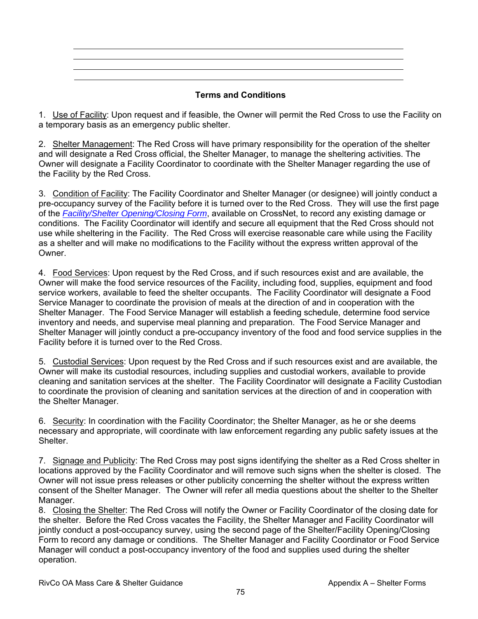| <u>. In the contract of the contract of the contract of the contract of the contract of the contract of the contract of the contract of the contract of the contract of the contract of the contract of the contract of the cont</u> |  |  |
|--------------------------------------------------------------------------------------------------------------------------------------------------------------------------------------------------------------------------------------|--|--|
|                                                                                                                                                                                                                                      |  |  |
|                                                                                                                                                                                                                                      |  |  |
|                                                                                                                                                                                                                                      |  |  |
| <u> 1999 - Johann Harry Harry Harry Harry Harry Harry Harry Harry Harry Harry Harry Harry Harry Harry Harry Harry</u>                                                                                                                |  |  |
|                                                                                                                                                                                                                                      |  |  |
|                                                                                                                                                                                                                                      |  |  |
|                                                                                                                                                                                                                                      |  |  |
|                                                                                                                                                                                                                                      |  |  |

#### **Terms and Conditions**

1. Use of Facility: Upon request and if feasible, the Owner will permit the Red Cross to use the Facility on a temporary basis as an emergency public shelter.

2. Shelter Management: The Red Cross will have primary responsibility for the operation of the shelter and will designate a Red Cross official, the Shelter Manager, to manage the sheltering activities. The Owner will designate a Facility Coordinator to coordinate with the Shelter Manager regarding the use of the Facility by the Red Cross.

3. Condition of Facility: The Facility Coordinator and Shelter Manager (or designee) will jointly conduct a pre-occupancy survey of the Facility before it is turned over to the Red Cross. They will use the first page of the *Facility/Shelter Opening/Closing Form*, available on CrossNet, to record any existing damage or conditions. The Facility Coordinator will identify and secure all equipment that the Red Cross should not use while sheltering in the Facility. The Red Cross will exercise reasonable care while using the Facility as a shelter and will make no modifications to the Facility without the express written approval of the Owner.

4. Food Services: Upon request by the Red Cross, and if such resources exist and are available, the Owner will make the food service resources of the Facility, including food, supplies, equipment and food service workers, available to feed the shelter occupants. The Facility Coordinator will designate a Food Service Manager to coordinate the provision of meals at the direction of and in cooperation with the Shelter Manager. The Food Service Manager will establish a feeding schedule, determine food service inventory and needs, and supervise meal planning and preparation. The Food Service Manager and Shelter Manager will jointly conduct a pre-occupancy inventory of the food and food service supplies in the Facility before it is turned over to the Red Cross.

5. Custodial Services: Upon request by the Red Cross and if such resources exist and are available, the Owner will make its custodial resources, including supplies and custodial workers, available to provide cleaning and sanitation services at the shelter. The Facility Coordinator will designate a Facility Custodian to coordinate the provision of cleaning and sanitation services at the direction of and in cooperation with the Shelter Manager.

6. Security: In coordination with the Facility Coordinator; the Shelter Manager, as he or she deems necessary and appropriate, will coordinate with law enforcement regarding any public safety issues at the **Shelter** 

7. Signage and Publicity: The Red Cross may post signs identifying the shelter as a Red Cross shelter in locations approved by the Facility Coordinator and will remove such signs when the shelter is closed. The Owner will not issue press releases or other publicity concerning the shelter without the express written consent of the Shelter Manager. The Owner will refer all media questions about the shelter to the Shelter Manager.

8. Closing the Shelter: The Red Cross will notify the Owner or Facility Coordinator of the closing date for the shelter. Before the Red Cross vacates the Facility, the Shelter Manager and Facility Coordinator will jointly conduct a post-occupancy survey, using the second page of the Shelter/Facility Opening/Closing Form to record any damage or conditions. The Shelter Manager and Facility Coordinator or Food Service Manager will conduct a post-occupancy inventory of the food and supplies used during the shelter operation.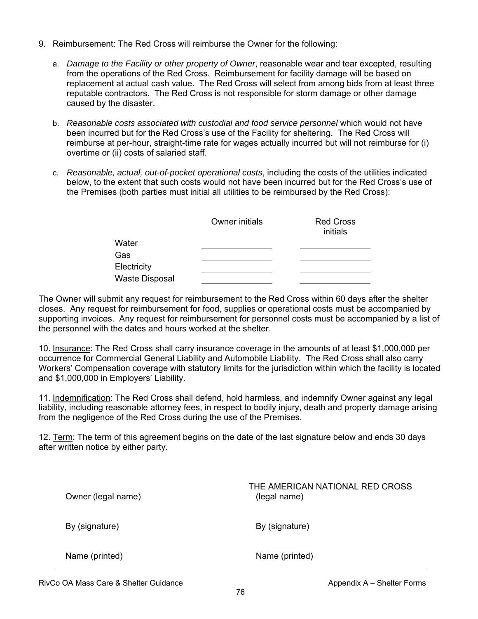- 9. Reimbursement: The Red Cross will reimburse the Owner for the following:
	- a. *Damage to the Facility or other property of Owner*, reasonable wear and tear excepted, resulting from the operations of the Red Cross. Reimbursement for facility damage will be based on replacement at actual cash value. The Red Cross will select from among bids from at least three reputable contractors. The Red Cross is not responsible for storm damage or other damage caused by the disaster.
	- b. *Reasonable costs associated with custodial and food service personnel* which would not have been incurred but for the Red Cross's use of the Facility for sheltering. The Red Cross will reimburse at per-hour, straight-time rate for wages actually incurred but will not reimburse for (i) overtime or (ii) costs of salaried staff.
	- c. *Reasonable, actual, out-of-pocket operational costs*, including the costs of the utilities indicated below, to the extent that such costs would not have been incurred but for the Red Cross's use of the Premises (both parties must initial all utilities to be reimbursed by the Red Cross):

|                       | Owner initials | <b>Red Cross</b><br>initials |
|-----------------------|----------------|------------------------------|
| Water                 |                |                              |
| Gas                   |                |                              |
| Electricity           |                |                              |
| <b>Waste Disposal</b> |                |                              |

The Owner will submit any request for reimbursement to the Red Cross within 60 days after the shelter closes. Any request for reimbursement for food, supplies or operational costs must be accompanied by supporting invoices. Any request for reimbursement for personnel costs must be accompanied by a list of the personnel with the dates and hours worked at the shelter.

10. Insurance: The Red Cross shall carry insurance coverage in the amounts of at least \$1,000,000 per occurrence for Commercial General Liability and Automobile Liability. The Red Cross shall also carry Workers' Compensation coverage with statutory limits for the jurisdiction within which the facility is located and \$1,000,000 in Employers' Liability.

11. Indemnification: The Red Cross shall defend, hold harmless, and indemnify Owner against any legal liability, including reasonable attorney fees, in respect to bodily injury, death and property damage arising from the negligence of the Red Cross during the use of the Premises.

12. Term: The term of this agreement begins on the date of the last signature below and ends 30 days after written notice by either party.

| Owner (legal name) | THE AMERICAN NATIONAL RED CROSS<br>(legal name) |
|--------------------|-------------------------------------------------|
| By (signature)     | By (signature)                                  |
| Name (printed)     | Name (printed)                                  |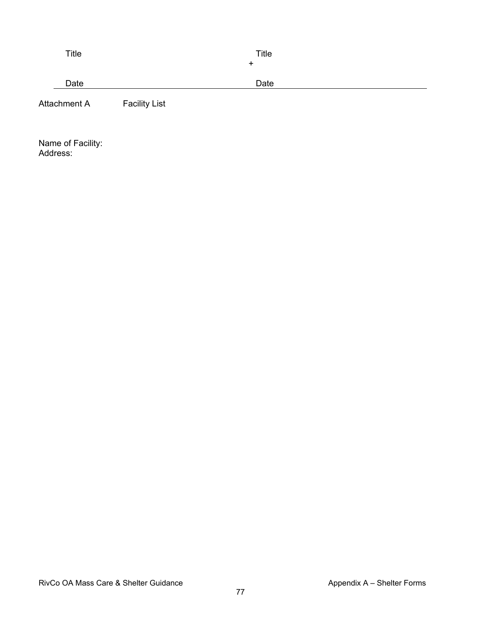| <b>Title</b>        |                      | Title<br>$\ddot{}$ |  |
|---------------------|----------------------|--------------------|--|
| Date                |                      | Date               |  |
| <b>Attachment A</b> | <b>Facility List</b> |                    |  |
|                     |                      |                    |  |

Name of Facility: Address: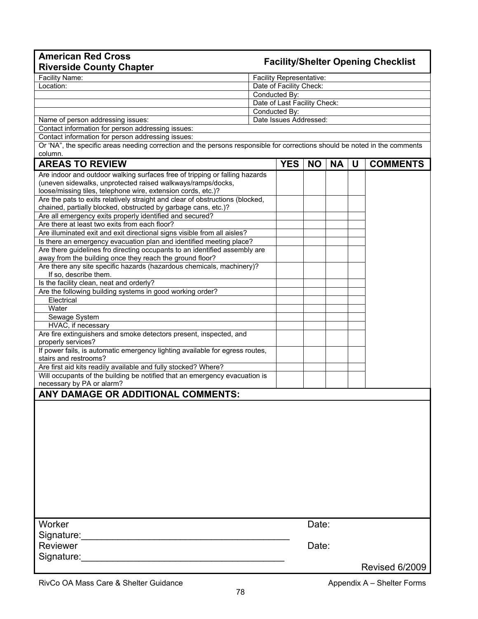**American Red Cross** 

**Riverside County Chapter Facility/Shelter Opening Checklist** 

| Facility Name:                                                                                                             |                              | Facility Representative: |           |           |   |                 |
|----------------------------------------------------------------------------------------------------------------------------|------------------------------|--------------------------|-----------|-----------|---|-----------------|
| Date of Facility Check:<br>Location:                                                                                       |                              |                          |           |           |   |                 |
|                                                                                                                            | Conducted By:                |                          |           |           |   |                 |
|                                                                                                                            | Date of Last Facility Check: |                          |           |           |   |                 |
|                                                                                                                            | Conducted By:                |                          |           |           |   |                 |
| Name of person addressing issues:                                                                                          |                              | Date Issues Addressed:   |           |           |   |                 |
| Contact information for person addressing issues:                                                                          |                              |                          |           |           |   |                 |
| Contact information for person addressing issues:                                                                          |                              |                          |           |           |   |                 |
| Or 'NA", the specific areas needing correction and the persons responsible for corrections should be noted in the comments |                              |                          |           |           |   |                 |
| column.                                                                                                                    |                              |                          |           |           |   |                 |
| <b>AREAS TO REVIEW</b>                                                                                                     |                              | <b>YES</b>               | <b>NO</b> | <b>NA</b> | U | <b>COMMENTS</b> |
| Are indoor and outdoor walking surfaces free of tripping or falling hazards                                                |                              |                          |           |           |   |                 |
| (uneven sidewalks, unprotected raised walkways/ramps/docks,                                                                |                              |                          |           |           |   |                 |
| loose/missing tiles, telephone wire, extension cords, etc.)?                                                               |                              |                          |           |           |   |                 |
| Are the pats to exits relatively straight and clear of obstructions (blocked,                                              |                              |                          |           |           |   |                 |
| chained, partially blocked, obstructed by garbage cans, etc.)?                                                             |                              |                          |           |           |   |                 |
| Are all emergency exits properly identified and secured?                                                                   |                              |                          |           |           |   |                 |
| Are there at least two exits from each floor?                                                                              |                              |                          |           |           |   |                 |
|                                                                                                                            |                              |                          |           |           |   |                 |
| Are illuminated exit and exit directional signs visible from all aisles?                                                   |                              |                          |           |           |   |                 |
| Is there an emergency evacuation plan and identified meeting place?                                                        |                              |                          |           |           |   |                 |
| Are there guidelines fro directing occupants to an identified assembly are                                                 |                              |                          |           |           |   |                 |
| away from the building once they reach the ground floor?                                                                   |                              |                          |           |           |   |                 |
| Are there any site specific hazards (hazardous chemicals, machinery)?<br>If so, describe them.                             |                              |                          |           |           |   |                 |
| Is the facility clean, neat and orderly?                                                                                   |                              |                          |           |           |   |                 |
| Are the following building systems in good working order?                                                                  |                              |                          |           |           |   |                 |
| Electrical                                                                                                                 |                              |                          |           |           |   |                 |
| Water                                                                                                                      |                              |                          |           |           |   |                 |
| Sewage System                                                                                                              |                              |                          |           |           |   |                 |
| HVAC, if necessary                                                                                                         |                              |                          |           |           |   |                 |
| Are fire extinguishers and smoke detectors present, inspected, and                                                         |                              |                          |           |           |   |                 |
| properly services?                                                                                                         |                              |                          |           |           |   |                 |
| If power fails, is automatic emergency lighting available for egress routes,                                               |                              |                          |           |           |   |                 |
| stairs and restrooms?                                                                                                      |                              |                          |           |           |   |                 |
| Are first aid kits readily available and fully stocked? Where?                                                             |                              |                          |           |           |   |                 |
| Will occupants of the building be notified that an emergency evacuation is                                                 |                              |                          |           |           |   |                 |
| necessary by PA or alarm?                                                                                                  |                              |                          |           |           |   |                 |
| ANY DAMAGE OR ADDITIONAL COMMENTS:                                                                                         |                              |                          |           |           |   |                 |
|                                                                                                                            |                              |                          |           |           |   |                 |
|                                                                                                                            |                              |                          |           |           |   |                 |
|                                                                                                                            |                              |                          |           |           |   |                 |
|                                                                                                                            |                              |                          |           |           |   |                 |
|                                                                                                                            |                              |                          |           |           |   |                 |
|                                                                                                                            |                              |                          |           |           |   |                 |
|                                                                                                                            |                              |                          |           |           |   |                 |
|                                                                                                                            |                              |                          |           |           |   |                 |
|                                                                                                                            |                              |                          |           |           |   |                 |
|                                                                                                                            |                              |                          |           |           |   |                 |
|                                                                                                                            |                              |                          |           |           |   |                 |
|                                                                                                                            |                              |                          |           |           |   |                 |
|                                                                                                                            |                              |                          |           |           |   |                 |
|                                                                                                                            |                              |                          |           |           |   |                 |
|                                                                                                                            |                              |                          |           |           |   |                 |
| Worker                                                                                                                     |                              |                          | Date:     |           |   |                 |
| Signature:                                                                                                                 |                              |                          |           |           |   |                 |
|                                                                                                                            |                              |                          |           |           |   |                 |
| Reviewer                                                                                                                   |                              |                          | Date:     |           |   |                 |
| Signature:                                                                                                                 |                              |                          |           |           |   |                 |
|                                                                                                                            |                              |                          |           |           |   | Revised 6/2009  |

Revised 6/2009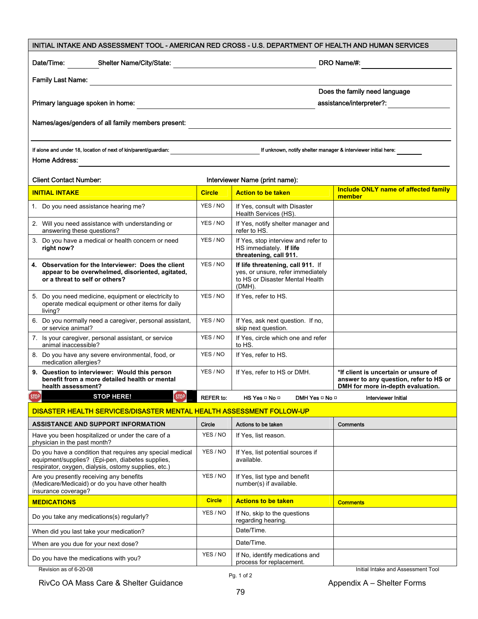|                                                                                                                                                                       |                  | INITIAL INTAKE AND ASSESSMENT TOOL - AMERICAN RED CROSS - U.S. DEPARTMENT OF HEALTH AND HUMAN SERVICES              |                                                                                                                     |
|-----------------------------------------------------------------------------------------------------------------------------------------------------------------------|------------------|---------------------------------------------------------------------------------------------------------------------|---------------------------------------------------------------------------------------------------------------------|
| <b>Shelter Name/City/State:</b><br>Date/Time:                                                                                                                         |                  |                                                                                                                     | DRO Name/#:                                                                                                         |
| <b>Family Last Name:</b>                                                                                                                                              |                  |                                                                                                                     |                                                                                                                     |
| Primary language spoken in home:                                                                                                                                      |                  |                                                                                                                     | Does the family need language<br>assistance/interpreter?:                                                           |
| Names/ages/genders of all family members present:                                                                                                                     |                  |                                                                                                                     |                                                                                                                     |
| If alone and under 18, location of next of kin/parent/guardian:<br>Home Address:                                                                                      |                  | If unknown, notify shelter manager & interviewer initial here:                                                      |                                                                                                                     |
| <b>Client Contact Number:</b>                                                                                                                                         |                  | Interviewer Name (print name):                                                                                      |                                                                                                                     |
| <b>INITIAL INTAKE</b>                                                                                                                                                 | <b>Circle</b>    | <b>Action to be taken</b>                                                                                           | <b>Include ONLY name of affected family</b><br>member                                                               |
| 1. Do you need assistance hearing me?                                                                                                                                 | YES / NO         | If Yes, consult with Disaster<br>Health Services (HS).                                                              |                                                                                                                     |
| 2. Will you need assistance with understanding or<br>answering these questions?                                                                                       | YES / NO         | If Yes, notify shelter manager and<br>refer to HS.                                                                  |                                                                                                                     |
| 3. Do you have a medical or health concern or need<br>right now?                                                                                                      | YES / NO         | If Yes, stop interview and refer to<br>HS immediately. If life<br>threatening, call 911.                            |                                                                                                                     |
| 4. Observation for the Interviewer: Does the client<br>appear to be overwhelmed, disoriented, agitated,<br>or a threat to self or others?                             | YES / NO         | If life threatening, call 911. If<br>yes, or unsure, refer immediately<br>to HS or Disaster Mental Health<br>(DMH). |                                                                                                                     |
| 5. Do you need medicine, equipment or electricity to<br>operate medical equipment or other items for daily<br>living?                                                 | YES / NO         | If Yes, refer to HS.                                                                                                |                                                                                                                     |
| 6. Do you normally need a caregiver, personal assistant,<br>or service animal?                                                                                        | YES / NO         | If Yes, ask next question. If no,<br>skip next question.                                                            |                                                                                                                     |
| 7. Is your caregiver, personal assistant, or service<br>animal inaccessible?                                                                                          | YES / NO         | If Yes, circle which one and refer<br>to HS.                                                                        |                                                                                                                     |
| 8. Do you have any severe environmental, food, or<br>medication allergies?                                                                                            | YES / NO         | If Yes, refer to HS.                                                                                                |                                                                                                                     |
| 9. Question to interviewer: Would this person<br>benefit from a more detailed health or mental<br>health assessment?                                                  | YES / NO         | If Yes, refer to HS or DMH.                                                                                         | *If client is uncertain or unsure of<br>answer to any question, refer to HS or<br>DMH for more in-depth evaluation. |
| <b>STOP</b><br><b>STOP HERE!</b><br>STOP                                                                                                                              | <b>REFER to:</b> | HS Yes □ No □<br>DMH Yes D No D                                                                                     | Interviewer Initial                                                                                                 |
| DISASTER HEALTH SERVICES/DISASTER MENTAL HEALTH ASSESSMENT FOLLOW-UP                                                                                                  |                  |                                                                                                                     |                                                                                                                     |
| <b>ASSISTANCE AND SUPPORT INFORMATION</b>                                                                                                                             | Circle           | Actions to be taken                                                                                                 | Comments                                                                                                            |
| Have you been hospitalized or under the care of a<br>physician in the past month?                                                                                     | YES / NO         | If Yes, list reason.                                                                                                |                                                                                                                     |
| Do you have a condition that requires any special medical<br>equipment/supplies? (Epi-pen, diabetes supplies,<br>respirator, oxygen, dialysis, ostomy supplies, etc.) | YES / NO         | If Yes, list potential sources if<br>available.                                                                     |                                                                                                                     |
| Are you presently receiving any benefits<br>(Medicare/Medicaid) or do you have other health<br>insurance coverage?                                                    | YES / NO         | If Yes, list type and benefit<br>number(s) if available.                                                            |                                                                                                                     |
| <b>MEDICATIONS</b>                                                                                                                                                    | <b>Circle</b>    | <b>Actions to be taken</b>                                                                                          | <b>Comments</b>                                                                                                     |
| Do you take any medications(s) regularly?                                                                                                                             | YES / NO         | If No, skip to the questions<br>regarding hearing.                                                                  |                                                                                                                     |
| When did you last take your medication?                                                                                                                               |                  | Date/Time.                                                                                                          |                                                                                                                     |
| When are you due for your next dose?                                                                                                                                  |                  | Date/Time.                                                                                                          |                                                                                                                     |
| Do you have the medications with you?<br>Revision as of 6-20-08                                                                                                       | YES / NO         | If No, identify medications and<br>process for replacement.                                                         | Initial Intake and Assessment Tool                                                                                  |

RivCo OA Mass Care & Shelter Guidance Appendix A – Shelter Forms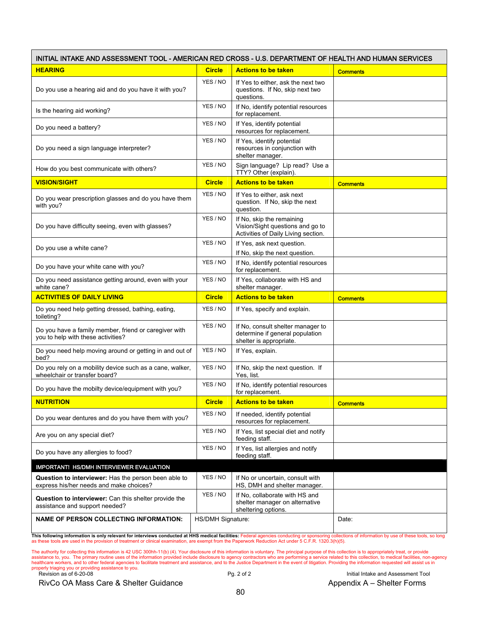| INITIAL INTAKE AND ASSESSMENT TOOL - AMERICAN RED CROSS - U.S. DEPARTMENT OF HEALTH AND HUMAN SERVICES |               |                                                                                                      |                 |  |  |  |
|--------------------------------------------------------------------------------------------------------|---------------|------------------------------------------------------------------------------------------------------|-----------------|--|--|--|
| <b>HEARING</b>                                                                                         | <b>Circle</b> | <b>Actions to be taken</b>                                                                           | <b>Comments</b> |  |  |  |
| Do you use a hearing aid and do you have it with you?                                                  | YES / NO      | If Yes to either, ask the next two<br>questions. If No, skip next two<br>questions.                  |                 |  |  |  |
| Is the hearing aid working?                                                                            | YES / NO      | If No, identify potential resources<br>for replacement.                                              |                 |  |  |  |
| Do you need a battery?                                                                                 | YES / NO      | If Yes, identify potential<br>resources for replacement.                                             |                 |  |  |  |
| Do you need a sign language interpreter?                                                               | YES / NO      | If Yes, identify potential<br>resources in conjunction with<br>shelter manager.                      |                 |  |  |  |
| How do you best communicate with others?                                                               | YES / NO      | Sign language? Lip read? Use a<br>TTY? Other (explain).                                              |                 |  |  |  |
| <b>VISION/SIGHT</b>                                                                                    | <b>Circle</b> | <b>Actions to be taken</b>                                                                           | <b>Comments</b> |  |  |  |
| Do you wear prescription glasses and do you have them<br>with you?                                     | YES / NO      | If Yes to either, ask next<br>question. If No, skip the next<br>question.                            |                 |  |  |  |
| Do you have difficulty seeing, even with glasses?                                                      | YES / NO      | If No, skip the remaining<br>Vision/Sight questions and go to<br>Activities of Daily Living section. |                 |  |  |  |
| Do you use a white cane?                                                                               | YES / NO      | If Yes, ask next question.<br>If No, skip the next question.                                         |                 |  |  |  |
| Do you have your white cane with you?                                                                  | YES / NO      | If No, identify potential resources<br>for replacement.                                              |                 |  |  |  |
| Do you need assistance getting around, even with your<br>white cane?                                   | YES / NO      | If Yes, collaborate with HS and<br>shelter manager.                                                  |                 |  |  |  |
|                                                                                                        |               |                                                                                                      |                 |  |  |  |
| <b>ACTIVITIES OF DAILY LIVING</b>                                                                      | <b>Circle</b> | <b>Actions to be taken</b>                                                                           | <b>Comments</b> |  |  |  |
| Do you need help getting dressed, bathing, eating,<br>toileting?                                       | YES / NO      | If Yes, specify and explain.                                                                         |                 |  |  |  |
| Do you have a family member, friend or caregiver with<br>you to help with these activities?            | YES / NO      | If No, consult shelter manager to<br>determine if general population<br>shelter is appropriate.      |                 |  |  |  |
| Do you need help moving around or getting in and out of<br>bed?                                        | YES / NO      | If Yes, explain.                                                                                     |                 |  |  |  |
| Do you rely on a mobility device such as a cane, walker,<br>wheelchair or transfer board?              | YES / NO      | If No, skip the next question. If<br>Yes, list.                                                      |                 |  |  |  |
| Do you have the mobilty device/equipment with you?                                                     | YES / NO      | If No, identify potential resources<br>for replacement.                                              |                 |  |  |  |
| <b>NUTRITION</b>                                                                                       | <b>Circle</b> | <b>Actions to be taken</b>                                                                           | <b>Comments</b> |  |  |  |
| Do you wear dentures and do you have them with you?                                                    | YES / NO      | If needed, identify potential<br>resources for replacement.                                          |                 |  |  |  |
| Are you on any special diet?                                                                           | YES / NO      | If Yes, list special diet and notify<br>feeding staff.                                               |                 |  |  |  |
| Do you have any allergies to food?                                                                     | YES / NO      | If Yes, list allergies and notify<br>feeding staff.                                                  |                 |  |  |  |
| IMPORTANT! HS/DMH INTERVIEWER EVALUATION                                                               |               |                                                                                                      |                 |  |  |  |
| Question to interviewer: Has the person been able to<br>express his/her needs and make choices?        | YES / NO      | If No or uncertain, consult with<br>HS, DMH and shelter manager.                                     |                 |  |  |  |
| Question to interviewer: Can this shelter provide the<br>assistance and support needed?                | YES / NO      | If No, collaborate with HS and<br>shelter manager on alternative<br>sheltering options.              |                 |  |  |  |

This following information is only relevant for interviews conducted at HHS medical facilities: Federal agencies conducting or sponsoring collections of information by use of these tools, so long<br>as these tools are used in

The authority for collecting this information is 42 USC 300hh-11(b) (4). Your disclosure of this information is voluntary. The principal purpose of this collection is to appropriately treat, or provide<br>assistance to, you. healthcare workers, and to other federal agencies to facilitate treatment and assistance, and to the Justice Department in the event of litigation. Providing the information requested will assist us in<br>properly triaging yo

80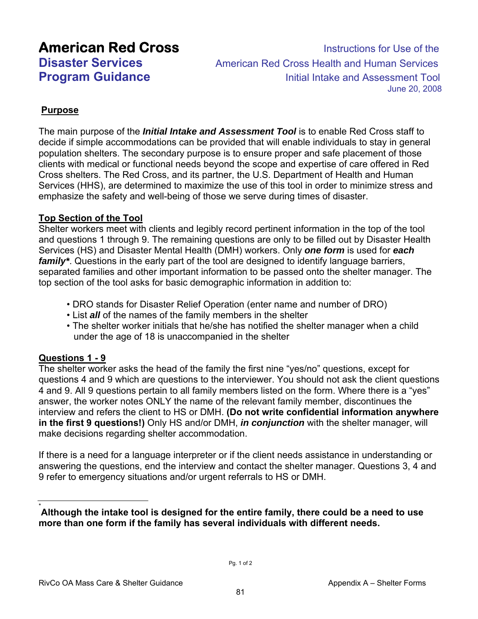**American Red Cross Instructions for Use of the Disaster Services American Red Cross Health and Human Services Program Guidance Initial Intake and Assessment Tool** June 20, 2008

#### **Purpose**

The main purpose of the *Initial Intake and Assessment Tool* is to enable Red Cross staff to decide if simple accommodations can be provided that will enable individuals to stay in general population shelters. The secondary purpose is to ensure proper and safe placement of those clients with medical or functional needs beyond the scope and expertise of care offered in Red Cross shelters. The Red Cross, and its partner, the U.S. Department of Health and Human Services (HHS), are determined to maximize the use of this tool in order to minimize stress and emphasize the safety and well-being of those we serve during times of disaster.

#### **Top Section of the Tool**

Shelter workers meet with clients and legibly record pertinent information in the top of the tool and questions 1 through 9. The remaining questions are only to be filled out by Disaster Health Services (HS) and Disaster Mental Health (DMH) workers. Only *one form* is used for *each family\**. Questions in the early part of the tool are designed to identify language barriers, separated families and other important information to be passed onto the shelter manager. The top section of the tool asks for basic demographic information in addition to:

- DRO stands for Disaster Relief Operation (enter name and number of DRO)
- List *all* of the names of the family members in the shelter
- The shelter worker initials that he/she has notified the shelter manager when a child under the age of 18 is unaccompanied in the shelter

#### **Questions 1 - 9**

The shelter worker asks the head of the family the first nine "yes/no" questions, except for questions 4 and 9 which are questions to the interviewer. You should not ask the client questions 4 and 9. All 9 questions pertain to all family members listed on the form. Where there is a "yes" answer, the worker notes ONLY the name of the relevant family member, discontinues the interview and refers the client to HS or DMH. **(Do not write confidential information anywhere in the first 9 questions!)** Only HS and/or DMH, *in conjunction* with the shelter manager, will make decisions regarding shelter accommodation.

If there is a need for a language interpreter or if the client needs assistance in understanding or answering the questions, end the interview and contact the shelter manager. Questions 3, 4 and 9 refer to emergency situations and/or urgent referrals to HS or DMH.

<sup>\*</sup> **Although the intake tool is designed for the entire family, there could be a need to use more than one form if the family has several individuals with different needs.**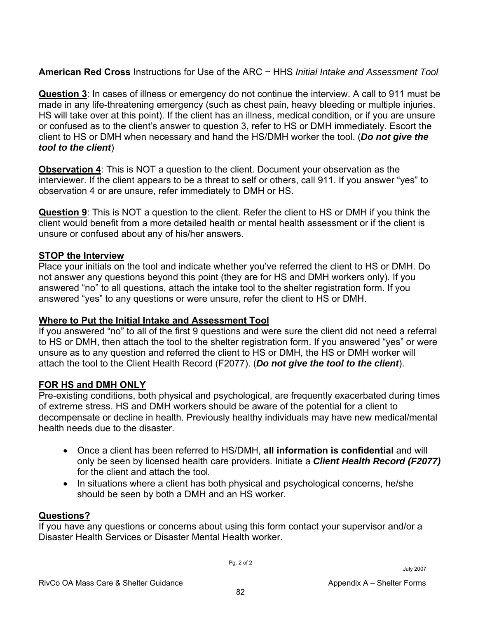**American Red Cross** Instructions for Use of the ARC − HHS *Initial Intake and Assessment Tool* 

**Question 3**: In cases of illness or emergency do not continue the interview. A call to 911 must be made in any life-threatening emergency (such as chest pain, heavy bleeding or multiple injuries. HS will take over at this point). If the client has an illness, medical condition, or if you are unsure or confused as to the client's answer to question 3, refer to HS or DMH immediately. Escort the client to HS or DMH when necessary and hand the HS/DMH worker the tool. (*Do not give the tool to the client*)

**Observation 4**: This is NOT a question to the client. Document your observation as the interviewer. If the client appears to be a threat to self or others, call 911. If you answer "yes" to observation 4 or are unsure, refer immediately to DMH or HS.

**Question 9**: This is NOT a question to the client. Refer the client to HS or DMH if you think the client would benefit from a more detailed health or mental health assessment or if the client is unsure or confused about any of his/her answers.

#### **STOP the Interview**

Place your initials on the tool and indicate whether you've referred the client to HS or DMH. Do not answer any questions beyond this point (they are for HS and DMH workers only). If you answered "no" to all questions, attach the intake tool to the shelter registration form. If you answered "yes" to any questions or were unsure, refer the client to HS or DMH.

#### **Where to Put the Initial Intake and Assessment Tool**

If you answered "no" to all of the first 9 questions and were sure the client did not need a referral to HS or DMH, then attach the tool to the shelter registration form. If you answered "yes" or were unsure as to any question and referred the client to HS or DMH, the HS or DMH worker will attach the tool to the Client Health Record (F2077). (*Do not give the tool to the client*).

#### **FOR HS and DMH ONLY**

Pre-existing conditions, both physical and psychological, are frequently exacerbated during times of extreme stress. HS and DMH workers should be aware of the potential for a client to decompensate or decline in health. Previously healthy individuals may have new medical/mental health needs due to the disaster.

- Once a client has been referred to HS/DMH, **all information is confidential** and will only be seen by licensed health care providers. Initiate a *Client Health Record (F2077)*  for the client and attach the tool*.*
- In situations where a client has both physical and psychological concerns, he/she should be seen by both a DMH and an HS worker.

#### **Questions?**

If you have any questions or concerns about using this form contact your supervisor and/or a Disaster Health Services or Disaster Mental Health worker.

Pg. 2 of 2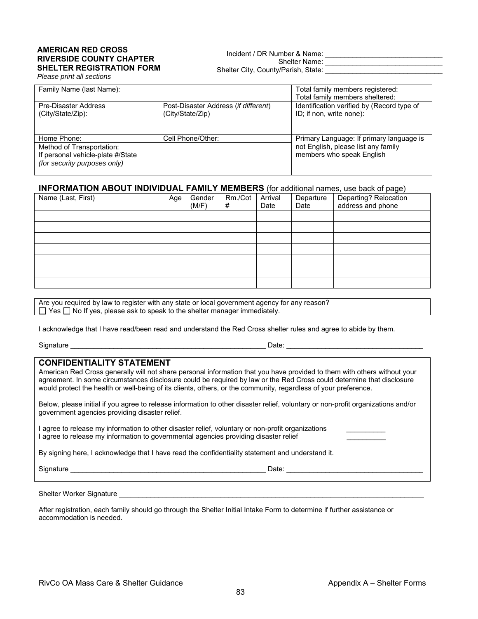#### **AMERICAN RED CROSS RIVERSIDE COUNTY CHAPTER SHELTER REGISTRATION FORM**

#### Incident / DR Number & Name: \_\_\_\_\_\_\_\_\_\_\_\_\_\_\_\_\_\_\_\_\_\_\_\_\_\_\_\_\_\_ Shelter Name: \_\_\_\_\_\_\_\_\_\_\_\_\_\_\_\_\_\_\_\_\_\_\_\_\_\_\_\_\_\_ Shelter City, County/Parish, State: \_\_\_\_\_\_\_\_\_\_\_\_\_\_\_\_\_\_\_\_\_\_\_\_\_\_\_\_\_\_

*Please print all sections* 

| Family Name (last Name):                                                                                      |                                                          | Total family members registered:<br>Total family members sheltered:                                          |
|---------------------------------------------------------------------------------------------------------------|----------------------------------------------------------|--------------------------------------------------------------------------------------------------------------|
| Pre-Disaster Address<br>(City/State/Zip):                                                                     | Post-Disaster Address (if different)<br>(City/State/Zip) | Identification verified by (Record type of<br>ID; if non, write none):                                       |
| Home Phone:<br>Method of Transportation:<br>If personal vehicle-plate #/State<br>(for security purposes only) | Cell Phone/Other:                                        | Primary Language: If primary language is<br>not English, please list any family<br>members who speak English |

#### **INFORMATION ABOUT INDIVIDUAL FAMILY MEMBERS** (for additional names, use back of page)

| Name (Last, First) | Age | Gender<br>(M/F) | Rm./Cot<br># | Arrival<br>Date | Departure<br>Date | Departing? Relocation<br>address and phone |
|--------------------|-----|-----------------|--------------|-----------------|-------------------|--------------------------------------------|
|                    |     |                 |              |                 |                   |                                            |
|                    |     |                 |              |                 |                   |                                            |
|                    |     |                 |              |                 |                   |                                            |
|                    |     |                 |              |                 |                   |                                            |
|                    |     |                 |              |                 |                   |                                            |
|                    |     |                 |              |                 |                   |                                            |
|                    |     |                 |              |                 |                   |                                            |

Are you required by law to register with any state or local government agency for any reason?  $\Box$  Yes  $\Box$  No If yes, please ask to speak to the shelter manager immediately.

I acknowledge that I have read/been read and understand the Red Cross shelter rules and agree to abide by them.

Signature **Example 2** and the set of the set of the set of the set of the set of the set of the set of the set of the set of the set of the set of the set of the set of the set of the set of the set of the set of the set o

#### **CONFIDENTIALITY STATEMENT**

American Red Cross generally will not share personal information that you have provided to them with others without your agreement. In some circumstances disclosure could be required by law or the Red Cross could determine that disclosure would protect the health or well-being of its clients, others, or the community, regardless of your preference.

Below, please initial if you agree to release information to other disaster relief, voluntary or non-profit organizations and/or government agencies providing disaster relief.

I agree to release my information to other disaster relief, voluntary or non-profit organizations I agree to release my information to governmental agencies providing disaster relief

By signing here, I acknowledge that I have read the confidentiality statement and understand it.

Signature \_\_\_\_\_\_\_\_\_\_\_\_\_\_\_\_\_\_\_\_\_\_\_\_\_\_\_\_\_\_\_\_\_\_\_\_\_\_\_\_\_\_\_\_\_\_\_\_\_\_ Date: \_\_\_\_\_\_\_\_\_\_\_\_\_\_\_\_\_\_\_\_\_\_\_\_\_\_\_\_\_\_\_\_\_\_\_

Shelter Worker Signature \_\_\_\_\_\_\_\_\_\_\_\_\_\_\_\_\_\_\_\_\_\_\_\_\_\_\_\_\_\_\_\_\_\_\_\_\_\_\_\_\_\_\_\_\_\_\_\_\_\_\_\_\_\_\_\_\_\_\_\_\_\_\_\_\_\_\_\_\_\_\_\_\_\_\_\_\_\_

After registration, each family should go through the Shelter Initial Intake Form to determine if further assistance or accommodation is needed.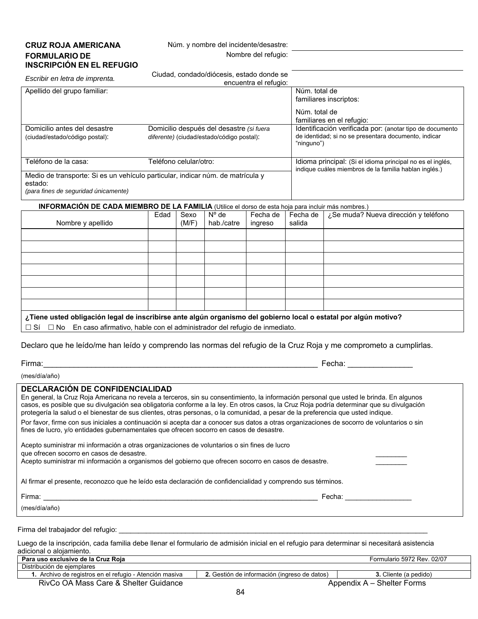## **FORMULARIO DE**

#### **CRUZ ROJA AMERICANA** Núm. y nombre del incidente/desastre:

Nombre del refugio:

| Escribir en letra de imprenta.                                                                                                                                                                                                                                                                                                                                                                                           |                        |               | Ciudad, condado/diócesis, estado donde se |                       |                    |                                                                                                                     |  |  |
|--------------------------------------------------------------------------------------------------------------------------------------------------------------------------------------------------------------------------------------------------------------------------------------------------------------------------------------------------------------------------------------------------------------------------|------------------------|---------------|-------------------------------------------|-----------------------|--------------------|---------------------------------------------------------------------------------------------------------------------|--|--|
| Apellido del grupo familiar:                                                                                                                                                                                                                                                                                                                                                                                             |                        |               |                                           | encuentra el refugio: |                    |                                                                                                                     |  |  |
|                                                                                                                                                                                                                                                                                                                                                                                                                          |                        |               |                                           |                       |                    | Núm. total de<br>familiares inscriptos:                                                                             |  |  |
|                                                                                                                                                                                                                                                                                                                                                                                                                          |                        |               |                                           |                       |                    | Núm. total de<br>familiares en el refugio:                                                                          |  |  |
| Domicilio antes del desastre                                                                                                                                                                                                                                                                                                                                                                                             |                        |               | Domicilio después del desastre (si fuera  |                       |                    | Identificación verificada por: (anotar tipo de documento                                                            |  |  |
| (ciudad/estado/código postal):                                                                                                                                                                                                                                                                                                                                                                                           |                        |               | diferente) (ciudad/estado/código postal): |                       | "ninguno")         | de identidad; si no se presentara documento, indicar                                                                |  |  |
| Teléfono de la casa:                                                                                                                                                                                                                                                                                                                                                                                                     | Teléfono celular/otro: |               |                                           |                       |                    | Idioma principal: (Si el idioma principal no es el inglés,<br>indique cuáles miembros de la familia hablan inglés.) |  |  |
| Medio de transporte: Si es un vehículo particular, indicar núm. de matrícula y                                                                                                                                                                                                                                                                                                                                           |                        |               |                                           |                       |                    |                                                                                                                     |  |  |
| estado:<br>(para fines de seguridad únicamente)                                                                                                                                                                                                                                                                                                                                                                          |                        |               |                                           |                       |                    |                                                                                                                     |  |  |
| INFORMACIÓN DE CADA MIEMBRO DE LA FAMILIA (Utilice el dorso de esta hoja para incluir más nombres.)                                                                                                                                                                                                                                                                                                                      |                        |               |                                           |                       |                    |                                                                                                                     |  |  |
| Nombre y apellido                                                                                                                                                                                                                                                                                                                                                                                                        | Edad                   | Sexo<br>(M/F) | $N^{\circ}$ de<br>hab./catre              | Fecha de              | Fecha de<br>salida | ¿Se muda? Nueva dirección y teléfono                                                                                |  |  |
|                                                                                                                                                                                                                                                                                                                                                                                                                          |                        |               |                                           | ingreso               |                    |                                                                                                                     |  |  |
|                                                                                                                                                                                                                                                                                                                                                                                                                          |                        |               |                                           |                       |                    |                                                                                                                     |  |  |
|                                                                                                                                                                                                                                                                                                                                                                                                                          |                        |               |                                           |                       |                    |                                                                                                                     |  |  |
|                                                                                                                                                                                                                                                                                                                                                                                                                          |                        |               |                                           |                       |                    |                                                                                                                     |  |  |
|                                                                                                                                                                                                                                                                                                                                                                                                                          |                        |               |                                           |                       |                    |                                                                                                                     |  |  |
|                                                                                                                                                                                                                                                                                                                                                                                                                          |                        |               |                                           |                       |                    |                                                                                                                     |  |  |
|                                                                                                                                                                                                                                                                                                                                                                                                                          |                        |               |                                           |                       |                    |                                                                                                                     |  |  |
|                                                                                                                                                                                                                                                                                                                                                                                                                          |                        |               |                                           |                       |                    |                                                                                                                     |  |  |
|                                                                                                                                                                                                                                                                                                                                                                                                                          |                        |               |                                           |                       |                    |                                                                                                                     |  |  |
| ¿Tiene usted obligación legal de inscribirse ante algún organismo del gobierno local o estatal por algún motivo?<br>□ Sí □ No En caso afirmativo, hable con el administrador del refugio de inmediato.                                                                                                                                                                                                                   |                        |               |                                           |                       |                    |                                                                                                                     |  |  |
|                                                                                                                                                                                                                                                                                                                                                                                                                          |                        |               |                                           |                       |                    | Declaro que he leído/me han leído y comprendo las normas del refugio de la Cruz Roja y me comprometo a cumplirlas.  |  |  |
| Firma:                                                                                                                                                                                                                                                                                                                                                                                                                   |                        |               |                                           |                       |                    | Fecha: $\frac{1}{2}$                                                                                                |  |  |
| (mes/día/año)                                                                                                                                                                                                                                                                                                                                                                                                            |                        |               |                                           |                       |                    |                                                                                                                     |  |  |
| <b>DECLARACIÓN DE CONFIDENCIALIDAD</b>                                                                                                                                                                                                                                                                                                                                                                                   |                        |               |                                           |                       |                    |                                                                                                                     |  |  |
| En general, la Cruz Roja Americana no revela a terceros, sin su consentimiento, la información personal que usted le brinda. En algunos<br>casos, es posible que su divulgación sea obligatoria conforme a la ley. En otros casos, la Cruz Roja podría determinar que su divulgación<br>protegería la salud o el bienestar de sus clientes, otras personas, o la comunidad, a pesar de la preferencia que usted indique. |                        |               |                                           |                       |                    |                                                                                                                     |  |  |
| Por favor, firme con sus iniciales a continuación si acepta dar a conocer sus datos a otras organizaciones de socorro de voluntarios o sin                                                                                                                                                                                                                                                                               |                        |               |                                           |                       |                    |                                                                                                                     |  |  |
| fines de lucro, y/o entidades gubernamentales que ofrecen socorro en casos de desastre.                                                                                                                                                                                                                                                                                                                                  |                        |               |                                           |                       |                    |                                                                                                                     |  |  |
| Acepto suministrar mi información a otras organizaciones de voluntarios o sin fines de lucro<br>que ofrecen socorro en casos de desastre.<br>Acepto suministrar mi información a organismos del gobierno que ofrecen socorro en casos de desastre.                                                                                                                                                                       |                        |               |                                           |                       |                    |                                                                                                                     |  |  |
| Al firmar el presente, reconozco que he leído esta declaración de confidencialidad y comprendo sus términos.                                                                                                                                                                                                                                                                                                             |                        |               |                                           |                       |                    |                                                                                                                     |  |  |
|                                                                                                                                                                                                                                                                                                                                                                                                                          |                        |               |                                           |                       |                    | Fecha: ________________                                                                                             |  |  |
|                                                                                                                                                                                                                                                                                                                                                                                                                          |                        |               |                                           |                       |                    |                                                                                                                     |  |  |
| (mes/día/año)                                                                                                                                                                                                                                                                                                                                                                                                            |                        |               |                                           |                       |                    |                                                                                                                     |  |  |

| adicional o aloiamiento.                                |                                              |                              |
|---------------------------------------------------------|----------------------------------------------|------------------------------|
| Para uso exclusivo de la Cruz Roia                      |                                              | Formulario 5972 Rev. 02/07   |
| Distribución de eiemplares                              |                                              |                              |
| 1. Archivo de registros en el refugio - Atención masiva | 2. Gestión de información (ingreso de datos) | <b>3.</b> Cliente (a pedido) |
| RivCo OA Mass Care & Shelter Guidance                   |                                              | Appendix A – Shelter Forms   |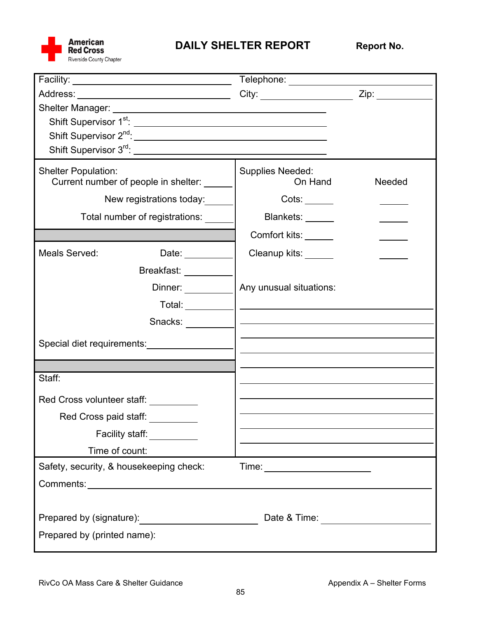

## American **DAILY SHELTER REPORT** Report No.

|                                         |                                                           | Telephone: _____________        |        |
|-----------------------------------------|-----------------------------------------------------------|---------------------------------|--------|
|                                         |                                                           |                                 |        |
|                                         |                                                           |                                 |        |
|                                         |                                                           |                                 |        |
|                                         |                                                           |                                 |        |
|                                         |                                                           |                                 |        |
| <b>Shelter Population:</b>              | Current number of people in shelter:                      | Supplies Needed:<br>On Hand     | Needed |
|                                         | New registrations today:                                  | Cots:                           |        |
|                                         |                                                           |                                 |        |
|                                         | Total number of registrations:                            | Blankets: _____                 |        |
|                                         |                                                           | Comfort kits:                   |        |
| Meals Served:                           | Date: <u>_________</u>                                    | Cleanup kits: _____             |        |
|                                         | Breakfast: _______                                        |                                 |        |
|                                         | Dinner:                                                   | Any unusual situations:         |        |
|                                         | Total: <u>_________</u>                                   |                                 |        |
|                                         | Snacks:                                                   |                                 |        |
| Special diet requirements:              |                                                           |                                 |        |
|                                         |                                                           |                                 |        |
|                                         |                                                           |                                 |        |
| Staff:                                  |                                                           |                                 |        |
| Red Cross volunteer staff:              |                                                           |                                 |        |
| Red Cross paid staff:                   |                                                           |                                 |        |
|                                         | Facility staff: __________                                |                                 |        |
| Time of count:                          |                                                           |                                 |        |
| Safety, security, & housekeeping check: |                                                           | Time: _________________________ |        |
|                                         |                                                           |                                 |        |
|                                         |                                                           |                                 |        |
|                                         | Prepared by (signature): <u>_________________________</u> |                                 |        |
| Prepared by (printed name):             |                                                           |                                 |        |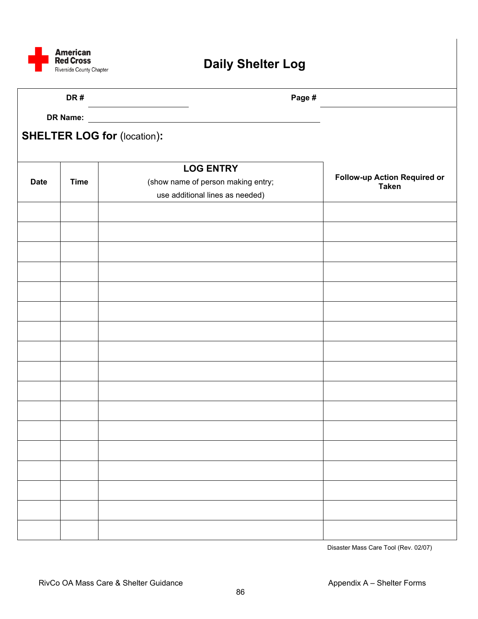

## **Daily Shelter Log**

|             | DR#         |                                      | Page #                                       |
|-------------|-------------|--------------------------------------|----------------------------------------------|
|             | DR Name:    | <u> 1980 - Johann Barbara, martx</u> |                                              |
|             |             | <b>SHELTER LOG for (location):</b>   |                                              |
|             |             |                                      |                                              |
|             |             | <b>LOG ENTRY</b>                     |                                              |
| <b>Date</b> | <b>Time</b> | (show name of person making entry;   | Follow-up Action Required or<br><b>Taken</b> |
|             |             | use additional lines as needed)      |                                              |
|             |             |                                      |                                              |
|             |             |                                      |                                              |
|             |             |                                      |                                              |
|             |             |                                      |                                              |
|             |             |                                      |                                              |
|             |             |                                      |                                              |
|             |             |                                      |                                              |
|             |             |                                      |                                              |
|             |             |                                      |                                              |
|             |             |                                      |                                              |
|             |             |                                      |                                              |
|             |             |                                      |                                              |
|             |             |                                      |                                              |
|             |             |                                      |                                              |
|             |             |                                      |                                              |
|             |             |                                      |                                              |
|             |             |                                      |                                              |
|             |             |                                      |                                              |
|             |             |                                      |                                              |

Disaster Mass Care Tool (Rev. 02/07)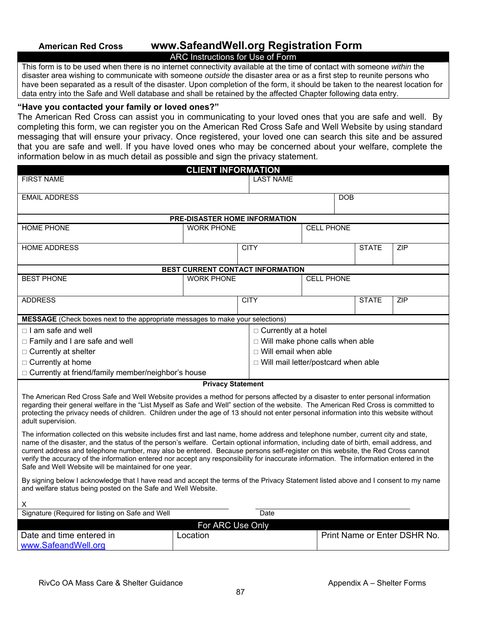#### **American Red Cross www.SafeandWell.org Registration Form** ARC Instructions for Use of Form

This form is to be used when there is no internet connectivity available at the time of contact with someone *within* the disaster area wishing to communicate with someone *outside* the disaster area or as a first step to reunite persons who have been separated as a result of the disaster. Upon completion of the form, it should be taken to the nearest location for data entry into the Safe and Well database and shall be retained by the affected Chapter following data entry.

#### **"Have you contacted your family or loved ones?"**

The American Red Cross can assist you in communicating to your loved ones that you are safe and well. By completing this form, we can register you on the American Red Cross Safe and Well Website by using standard messaging that will ensure your privacy. Once registered, your loved one can search this site and be assured that you are safe and well. If you have loved ones who may be concerned about your welfare, complete the information below in as much detail as possible and sign the privacy statement.

|                                                                                                                                                                                                                                                                                                                                                                                                                                                                                                                                                                                                                      | <b>CLIENT INFORMATION</b>        |  |                                                                       |  |                   |              |                              |  |
|----------------------------------------------------------------------------------------------------------------------------------------------------------------------------------------------------------------------------------------------------------------------------------------------------------------------------------------------------------------------------------------------------------------------------------------------------------------------------------------------------------------------------------------------------------------------------------------------------------------------|----------------------------------|--|-----------------------------------------------------------------------|--|-------------------|--------------|------------------------------|--|
| <b>FIRST NAME</b>                                                                                                                                                                                                                                                                                                                                                                                                                                                                                                                                                                                                    |                                  |  | <b>LAST NAME</b>                                                      |  |                   |              |                              |  |
| <b>EMAIL ADDRESS</b>                                                                                                                                                                                                                                                                                                                                                                                                                                                                                                                                                                                                 |                                  |  |                                                                       |  | <b>DOB</b>        |              |                              |  |
|                                                                                                                                                                                                                                                                                                                                                                                                                                                                                                                                                                                                                      |                                  |  |                                                                       |  |                   |              |                              |  |
|                                                                                                                                                                                                                                                                                                                                                                                                                                                                                                                                                                                                                      | PRE-DISASTER HOME INFORMATION    |  |                                                                       |  |                   |              |                              |  |
| <b>HOME PHONE</b>                                                                                                                                                                                                                                                                                                                                                                                                                                                                                                                                                                                                    | <b>WORK PHONE</b>                |  |                                                                       |  | <b>CELL PHONE</b> |              |                              |  |
| <b>HOME ADDRESS</b>                                                                                                                                                                                                                                                                                                                                                                                                                                                                                                                                                                                                  |                                  |  | <b>CITY</b>                                                           |  |                   | <b>STATE</b> | <b>ZIP</b>                   |  |
|                                                                                                                                                                                                                                                                                                                                                                                                                                                                                                                                                                                                                      |                                  |  |                                                                       |  |                   |              |                              |  |
|                                                                                                                                                                                                                                                                                                                                                                                                                                                                                                                                                                                                                      | BEST CURRENT CONTACT INFORMATION |  |                                                                       |  |                   |              |                              |  |
| <b>BEST PHONE</b>                                                                                                                                                                                                                                                                                                                                                                                                                                                                                                                                                                                                    | <b>WORK PHONE</b>                |  |                                                                       |  | <b>CELL PHONE</b> |              |                              |  |
|                                                                                                                                                                                                                                                                                                                                                                                                                                                                                                                                                                                                                      |                                  |  |                                                                       |  |                   |              |                              |  |
| <b>ADDRESS</b>                                                                                                                                                                                                                                                                                                                                                                                                                                                                                                                                                                                                       |                                  |  | <b>CITY</b>                                                           |  |                   | <b>STATE</b> | <b>ZIP</b>                   |  |
| <b>MESSAGE</b> (Check boxes next to the appropriate messages to make your selections)                                                                                                                                                                                                                                                                                                                                                                                                                                                                                                                                |                                  |  |                                                                       |  |                   |              |                              |  |
| $\Box$ I am safe and well                                                                                                                                                                                                                                                                                                                                                                                                                                                                                                                                                                                            |                                  |  |                                                                       |  |                   |              |                              |  |
| □ Family and I are safe and well                                                                                                                                                                                                                                                                                                                                                                                                                                                                                                                                                                                     |                                  |  | $\Box$ Currently at a hotel<br>$\Box$ Will make phone calls when able |  |                   |              |                              |  |
| □ Currently at shelter                                                                                                                                                                                                                                                                                                                                                                                                                                                                                                                                                                                               |                                  |  | □ Will email when able                                                |  |                   |              |                              |  |
| □ Currently at home                                                                                                                                                                                                                                                                                                                                                                                                                                                                                                                                                                                                  |                                  |  | □ Will mail letter/postcard when able                                 |  |                   |              |                              |  |
| □ Currently at friend/family member/neighbor's house                                                                                                                                                                                                                                                                                                                                                                                                                                                                                                                                                                 |                                  |  |                                                                       |  |                   |              |                              |  |
|                                                                                                                                                                                                                                                                                                                                                                                                                                                                                                                                                                                                                      | <b>Privacy Statement</b>         |  |                                                                       |  |                   |              |                              |  |
| The American Red Cross Safe and Well Website provides a method for persons affected by a disaster to enter personal information<br>regarding their general welfare in the "List Myself as Safe and Well" section of the website. The American Red Cross is committed to<br>protecting the privacy needs of children. Children under the age of 13 should not enter personal information into this website without<br>adult supervision.                                                                                                                                                                              |                                  |  |                                                                       |  |                   |              |                              |  |
| The information collected on this website includes first and last name, home address and telephone number, current city and state,<br>name of the disaster, and the status of the person's welfare. Certain optional information, including date of birth, email address, and<br>current address and telephone number, may also be entered. Because persons self-register on this website, the Red Cross cannot<br>verify the accuracy of the information entered nor accept any responsibility for inaccurate information. The information entered in the<br>Safe and Well Website will be maintained for one year. |                                  |  |                                                                       |  |                   |              |                              |  |
| By signing below I acknowledge that I have read and accept the terms of the Privacy Statement listed above and I consent to my name<br>and welfare status being posted on the Safe and Well Website.                                                                                                                                                                                                                                                                                                                                                                                                                 |                                  |  |                                                                       |  |                   |              |                              |  |
| X                                                                                                                                                                                                                                                                                                                                                                                                                                                                                                                                                                                                                    |                                  |  |                                                                       |  |                   |              |                              |  |
| Signature (Required for listing on Safe and Well                                                                                                                                                                                                                                                                                                                                                                                                                                                                                                                                                                     |                                  |  | Date                                                                  |  |                   |              |                              |  |
|                                                                                                                                                                                                                                                                                                                                                                                                                                                                                                                                                                                                                      | For ARC Use Only                 |  |                                                                       |  |                   |              |                              |  |
| Date and time entered in<br>www.SafeandWell.org                                                                                                                                                                                                                                                                                                                                                                                                                                                                                                                                                                      | Location                         |  |                                                                       |  |                   |              | Print Name or Enter DSHR No. |  |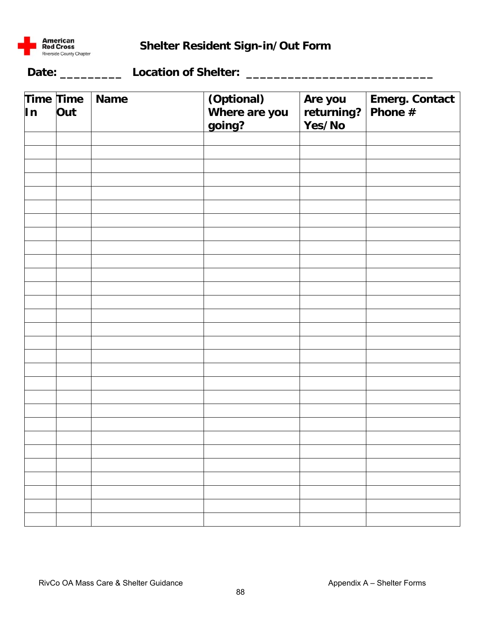

### **Shelter Resident Sign-in/Out Form**

#### **Date: \_\_\_\_\_\_\_\_\_ Location of Shelter: \_\_\_\_\_\_\_\_\_\_\_\_\_\_\_\_\_\_\_\_\_\_\_\_\_\_\_**

| I n | <b>Time Time</b><br>Out | <b>Name</b> | (Optional)<br>Where are you<br>going? | Are you<br>returning?<br>Yes/No | <b>Emerg. Contact</b><br>Phone # |
|-----|-------------------------|-------------|---------------------------------------|---------------------------------|----------------------------------|
|     |                         |             |                                       |                                 |                                  |
|     |                         |             |                                       |                                 |                                  |
|     |                         |             |                                       |                                 |                                  |
|     |                         |             |                                       |                                 |                                  |
|     |                         |             |                                       |                                 |                                  |
|     |                         |             |                                       |                                 |                                  |
|     |                         |             |                                       |                                 |                                  |
|     |                         |             |                                       |                                 |                                  |
|     |                         |             |                                       |                                 |                                  |
|     |                         |             |                                       |                                 |                                  |
|     |                         |             |                                       |                                 |                                  |
|     |                         |             |                                       |                                 |                                  |
|     |                         |             |                                       |                                 |                                  |
|     |                         |             |                                       |                                 |                                  |
|     |                         |             |                                       |                                 |                                  |
|     |                         |             |                                       |                                 |                                  |
|     |                         |             |                                       |                                 |                                  |
|     |                         |             |                                       |                                 |                                  |
|     |                         |             |                                       |                                 |                                  |
|     |                         |             |                                       |                                 |                                  |
|     |                         |             |                                       |                                 |                                  |
|     |                         |             |                                       |                                 |                                  |
|     |                         |             |                                       |                                 |                                  |
|     |                         |             |                                       |                                 |                                  |
|     |                         |             |                                       |                                 |                                  |
|     |                         |             |                                       |                                 |                                  |
|     |                         |             |                                       |                                 |                                  |
|     |                         |             |                                       |                                 |                                  |
|     |                         |             |                                       |                                 |                                  |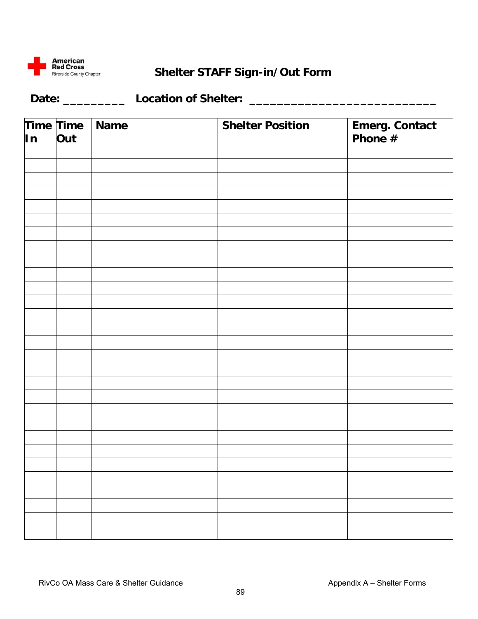

### **Shelter STAFF Sign-in/Out Form**

 **Date: \_\_\_\_\_\_\_\_\_ Location of Shelter: \_\_\_\_\_\_\_\_\_\_\_\_\_\_\_\_\_\_\_\_\_\_\_\_\_\_\_** 

| In | Time Time<br>Out | <b>Name</b> | <b>Shelter Position</b> | Emerg. Contact<br>Phone # |
|----|------------------|-------------|-------------------------|---------------------------|
|    |                  |             |                         |                           |
|    |                  |             |                         |                           |
|    |                  |             |                         |                           |
|    |                  |             |                         |                           |
|    |                  |             |                         |                           |
|    |                  |             |                         |                           |
|    |                  |             |                         |                           |
|    |                  |             |                         |                           |
|    |                  |             |                         |                           |
|    |                  |             |                         |                           |
|    |                  |             |                         |                           |
|    |                  |             |                         |                           |
|    |                  |             |                         |                           |
|    |                  |             |                         |                           |
|    |                  |             |                         |                           |
|    |                  |             |                         |                           |
|    |                  |             |                         |                           |
|    |                  |             |                         |                           |
|    |                  |             |                         |                           |
|    |                  |             |                         |                           |
|    |                  |             |                         |                           |
|    |                  |             |                         |                           |
|    |                  |             |                         |                           |
|    |                  |             |                         |                           |
|    |                  |             |                         |                           |
|    |                  |             |                         |                           |
|    |                  |             |                         |                           |
|    |                  |             |                         |                           |
|    |                  |             |                         |                           |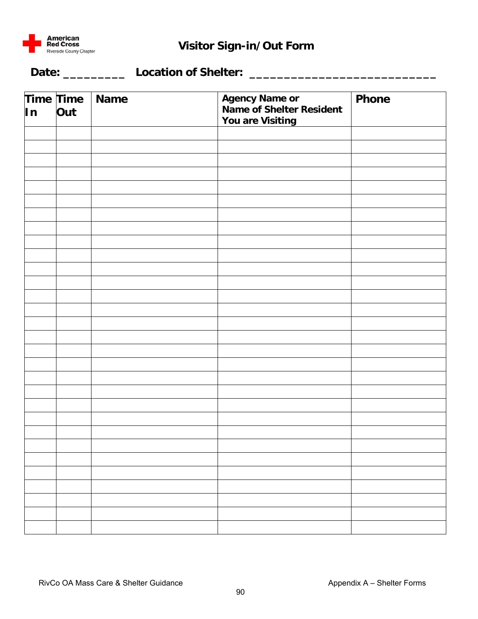

### **Visitor Sign-in/Out Form**

### **Date: \_\_\_\_\_\_\_\_\_ Location of Shelter: \_\_\_\_\_\_\_\_\_\_\_\_\_\_\_\_\_\_\_\_\_\_\_\_\_\_\_**

| $\ln$ | Time Time<br>Out | <b>Name</b> | <b>Agency Name or<br/>Name of Shelter Resident</b><br><b>You are Visiting</b> | Phone |
|-------|------------------|-------------|-------------------------------------------------------------------------------|-------|
|       |                  |             |                                                                               |       |
|       |                  |             |                                                                               |       |
|       |                  |             |                                                                               |       |
|       |                  |             |                                                                               |       |
|       |                  |             |                                                                               |       |
|       |                  |             |                                                                               |       |
|       |                  |             |                                                                               |       |
|       |                  |             |                                                                               |       |
|       |                  |             |                                                                               |       |
|       |                  |             |                                                                               |       |
|       |                  |             |                                                                               |       |
|       |                  |             |                                                                               |       |
|       |                  |             |                                                                               |       |
|       |                  |             |                                                                               |       |
|       |                  |             |                                                                               |       |
|       |                  |             |                                                                               |       |
|       |                  |             |                                                                               |       |
|       |                  |             |                                                                               |       |
|       |                  |             |                                                                               |       |
|       |                  |             |                                                                               |       |
|       |                  |             |                                                                               |       |
|       |                  |             |                                                                               |       |
|       |                  |             |                                                                               |       |
|       |                  |             |                                                                               |       |
|       |                  |             |                                                                               |       |
|       |                  |             |                                                                               |       |
|       |                  |             |                                                                               |       |
|       |                  |             |                                                                               |       |
|       |                  |             |                                                                               |       |
|       |                  |             |                                                                               |       |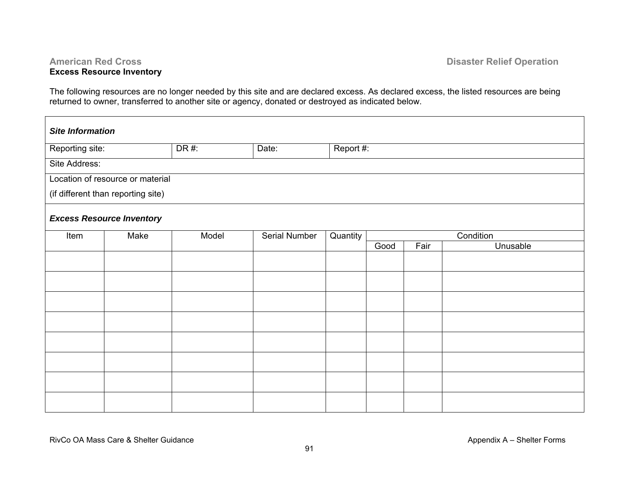#### **American Red CrossExcess Resource Inventory**

The following resources are no longer needed by this site and are declared excess. As declared excess, the listed resources are being returned to owner, transferred to another site or agency, donated or destroyed as indicated below.

| <b>Site Information</b>          |                                    |       |               |          |      |      |           |  |  |
|----------------------------------|------------------------------------|-------|---------------|----------|------|------|-----------|--|--|
| Reporting site:                  | Report #:<br>DR #:<br>Date:        |       |               |          |      |      |           |  |  |
| Site Address:                    |                                    |       |               |          |      |      |           |  |  |
| Location of resource or material |                                    |       |               |          |      |      |           |  |  |
|                                  | (if different than reporting site) |       |               |          |      |      |           |  |  |
| <b>Excess Resource Inventory</b> |                                    |       |               |          |      |      |           |  |  |
| Item                             | Make                               | Model | Serial Number | Quantity |      |      | Condition |  |  |
|                                  |                                    |       |               |          | Good | Fair | Unusable  |  |  |
|                                  |                                    |       |               |          |      |      |           |  |  |
|                                  |                                    |       |               |          |      |      |           |  |  |
|                                  |                                    |       |               |          |      |      |           |  |  |
|                                  |                                    |       |               |          |      |      |           |  |  |
|                                  |                                    |       |               |          |      |      |           |  |  |
|                                  |                                    |       |               |          |      |      |           |  |  |
|                                  |                                    |       |               |          |      |      |           |  |  |
|                                  |                                    |       |               |          |      |      |           |  |  |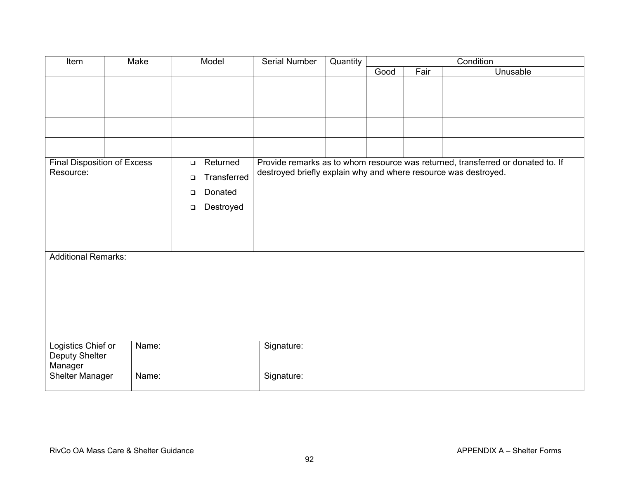| Item                                        | <b>Make</b> |       |        | Model       | <b>Serial Number</b>                                            | Quantity |      |      | Condition                                                                       |
|---------------------------------------------|-------------|-------|--------|-------------|-----------------------------------------------------------------|----------|------|------|---------------------------------------------------------------------------------|
|                                             |             |       |        |             |                                                                 |          | Good | Fair | Unusable                                                                        |
|                                             |             |       |        |             |                                                                 |          |      |      |                                                                                 |
|                                             |             |       |        |             |                                                                 |          |      |      |                                                                                 |
|                                             |             |       |        |             |                                                                 |          |      |      |                                                                                 |
|                                             |             |       |        |             |                                                                 |          |      |      |                                                                                 |
|                                             |             |       |        |             |                                                                 |          |      |      |                                                                                 |
|                                             |             |       |        |             |                                                                 |          |      |      |                                                                                 |
|                                             |             |       |        |             |                                                                 |          |      |      |                                                                                 |
| <b>Final Disposition of Excess</b>          |             |       | $\Box$ | Returned    |                                                                 |          |      |      | Provide remarks as to whom resource was returned, transferred or donated to. If |
| Resource:                                   |             |       | $\Box$ | Transferred | destroyed briefly explain why and where resource was destroyed. |          |      |      |                                                                                 |
|                                             |             |       |        |             |                                                                 |          |      |      |                                                                                 |
|                                             |             |       | $\Box$ | Donated     |                                                                 |          |      |      |                                                                                 |
|                                             |             |       | $\Box$ | Destroyed   |                                                                 |          |      |      |                                                                                 |
|                                             |             |       |        |             |                                                                 |          |      |      |                                                                                 |
|                                             |             |       |        |             |                                                                 |          |      |      |                                                                                 |
|                                             |             |       |        |             |                                                                 |          |      |      |                                                                                 |
| <b>Additional Remarks:</b>                  |             |       |        |             |                                                                 |          |      |      |                                                                                 |
|                                             |             |       |        |             |                                                                 |          |      |      |                                                                                 |
|                                             |             |       |        |             |                                                                 |          |      |      |                                                                                 |
|                                             |             |       |        |             |                                                                 |          |      |      |                                                                                 |
|                                             |             |       |        |             |                                                                 |          |      |      |                                                                                 |
|                                             |             |       |        |             |                                                                 |          |      |      |                                                                                 |
|                                             |             |       |        |             |                                                                 |          |      |      |                                                                                 |
|                                             |             |       |        |             |                                                                 |          |      |      |                                                                                 |
|                                             |             |       |        |             |                                                                 |          |      |      |                                                                                 |
| <b>Logistics Chief or</b><br>Deputy Shelter |             | Name: |        |             | Signature:                                                      |          |      |      |                                                                                 |
| Manager                                     |             |       |        |             |                                                                 |          |      |      |                                                                                 |
| Shelter Manager                             |             | Name: |        |             | Signature:                                                      |          |      |      |                                                                                 |
|                                             |             |       |        |             |                                                                 |          |      |      |                                                                                 |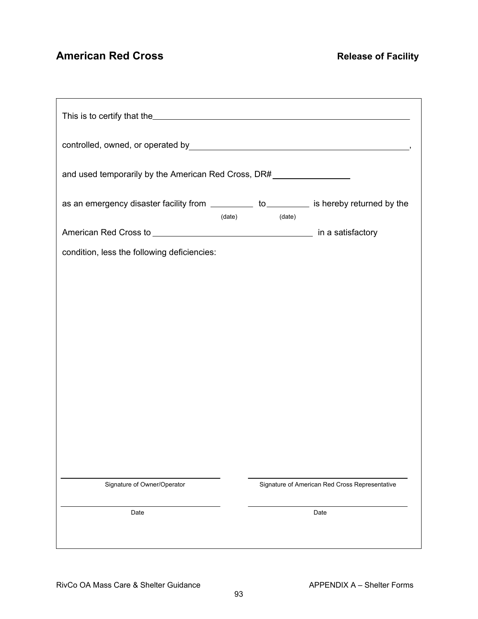### **American Red Cross American Red Cross** American Belease of Facility

| controlled, owned, or operated by example and a series of the series of the series of the series of the series |        |        |                                                |  |  |  |  |  |  |
|----------------------------------------------------------------------------------------------------------------|--------|--------|------------------------------------------------|--|--|--|--|--|--|
| and used temporarily by the American Red Cross, DR#_____________________________                               |        |        |                                                |  |  |  |  |  |  |
| as an emergency disaster facility from __________ to_________ is hereby returned by the                        | (date) | (date) |                                                |  |  |  |  |  |  |
|                                                                                                                |        |        |                                                |  |  |  |  |  |  |
| condition, less the following deficiencies:                                                                    |        |        |                                                |  |  |  |  |  |  |
|                                                                                                                |        |        |                                                |  |  |  |  |  |  |
|                                                                                                                |        |        |                                                |  |  |  |  |  |  |
|                                                                                                                |        |        |                                                |  |  |  |  |  |  |
|                                                                                                                |        |        |                                                |  |  |  |  |  |  |
|                                                                                                                |        |        |                                                |  |  |  |  |  |  |
|                                                                                                                |        |        |                                                |  |  |  |  |  |  |
|                                                                                                                |        |        |                                                |  |  |  |  |  |  |
|                                                                                                                |        |        |                                                |  |  |  |  |  |  |
| Signature of Owner/Operator                                                                                    |        |        | Signature of American Red Cross Representative |  |  |  |  |  |  |
| Date                                                                                                           |        |        | Date                                           |  |  |  |  |  |  |
|                                                                                                                |        |        |                                                |  |  |  |  |  |  |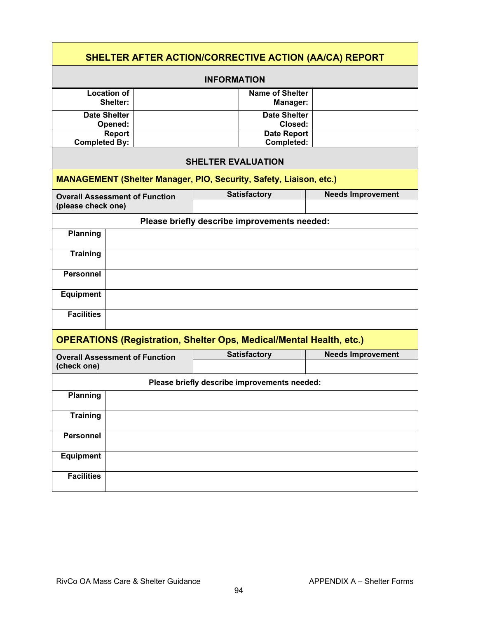| SHELTER AFTER ACTION/CORRECTIVE ACTION (AA/CA) REPORT |                                |  |                           |                                                                            |                          |  |  |  |  |  |
|-------------------------------------------------------|--------------------------------|--|---------------------------|----------------------------------------------------------------------------|--------------------------|--|--|--|--|--|
|                                                       | <b>INFORMATION</b>             |  |                           |                                                                            |                          |  |  |  |  |  |
|                                                       | <b>Location of</b><br>Shelter: |  |                           | <b>Name of Shelter</b><br>Manager:                                         |                          |  |  |  |  |  |
|                                                       | <b>Date Shelter</b><br>Opened: |  |                           | <b>Date Shelter</b><br>Closed:                                             |                          |  |  |  |  |  |
| <b>Completed By:</b>                                  | Report                         |  |                           | <b>Date Report</b><br>Completed:                                           |                          |  |  |  |  |  |
|                                                       |                                |  | <b>SHELTER EVALUATION</b> |                                                                            |                          |  |  |  |  |  |
|                                                       |                                |  |                           | <b>MANAGEMENT (Shelter Manager, PIO, Security, Safety, Liaison, etc.)</b>  |                          |  |  |  |  |  |
| <b>Overall Assessment of Function</b>                 |                                |  |                           | <b>Satisfactory</b>                                                        | <b>Needs Improvement</b> |  |  |  |  |  |
| (please check one)                                    |                                |  |                           |                                                                            |                          |  |  |  |  |  |
|                                                       |                                |  |                           | Please briefly describe improvements needed:                               |                          |  |  |  |  |  |
| <b>Planning</b>                                       |                                |  |                           |                                                                            |                          |  |  |  |  |  |
| <b>Training</b>                                       |                                |  |                           |                                                                            |                          |  |  |  |  |  |
| <b>Personnel</b>                                      |                                |  |                           |                                                                            |                          |  |  |  |  |  |
| <b>Equipment</b>                                      |                                |  |                           |                                                                            |                          |  |  |  |  |  |
| <b>Facilities</b>                                     |                                |  |                           |                                                                            |                          |  |  |  |  |  |
|                                                       |                                |  |                           | <b>OPERATIONS (Registration, Shelter Ops, Medical/Mental Health, etc.)</b> |                          |  |  |  |  |  |
| <b>Overall Assessment of Function</b><br>(check one)  |                                |  |                           | <b>Satisfactory</b>                                                        | <b>Needs Improvement</b> |  |  |  |  |  |
|                                                       |                                |  |                           | Please briefly describe improvements needed:                               |                          |  |  |  |  |  |
| <b>Planning</b>                                       |                                |  |                           |                                                                            |                          |  |  |  |  |  |
| <b>Training</b>                                       |                                |  |                           |                                                                            |                          |  |  |  |  |  |
| <b>Personnel</b>                                      |                                |  |                           |                                                                            |                          |  |  |  |  |  |
| <b>Equipment</b>                                      |                                |  |                           |                                                                            |                          |  |  |  |  |  |
| <b>Facilities</b>                                     |                                |  |                           |                                                                            |                          |  |  |  |  |  |

Ī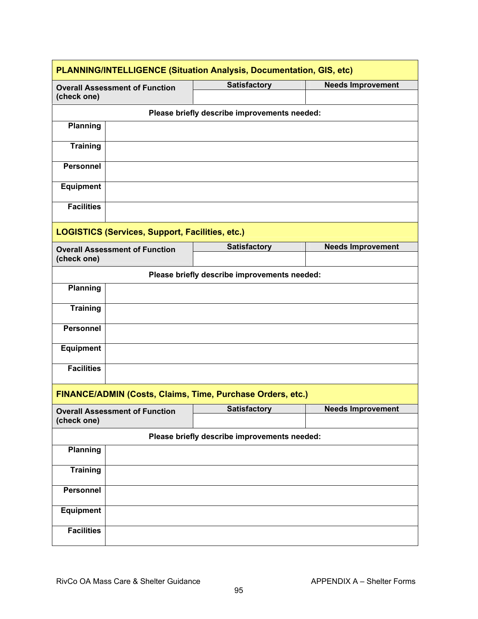| PLANNING/INTELLIGENCE (Situation Analysis, Documentation, GIS, etc) |                                       |                                              |                          |  |  |  |  |
|---------------------------------------------------------------------|---------------------------------------|----------------------------------------------|--------------------------|--|--|--|--|
| <b>Overall Assessment of Function</b><br>(check one)                |                                       | <b>Satisfactory</b>                          | <b>Needs Improvement</b> |  |  |  |  |
| Please briefly describe improvements needed:                        |                                       |                                              |                          |  |  |  |  |
| <b>Planning</b>                                                     |                                       |                                              |                          |  |  |  |  |
| <b>Training</b>                                                     |                                       |                                              |                          |  |  |  |  |
| <b>Personnel</b>                                                    |                                       |                                              |                          |  |  |  |  |
| <b>Equipment</b>                                                    |                                       |                                              |                          |  |  |  |  |
| <b>Facilities</b>                                                   |                                       |                                              |                          |  |  |  |  |
| <b>LOGISTICS (Services, Support, Facilities, etc.)</b>              |                                       |                                              |                          |  |  |  |  |
| <b>Overall Assessment of Function</b><br>(check one)                |                                       | <b>Satisfactory</b>                          | <b>Needs Improvement</b> |  |  |  |  |
|                                                                     |                                       | Please briefly describe improvements needed: |                          |  |  |  |  |
| <b>Planning</b>                                                     |                                       |                                              |                          |  |  |  |  |
| <b>Training</b>                                                     |                                       |                                              |                          |  |  |  |  |
| <b>Personnel</b>                                                    |                                       |                                              |                          |  |  |  |  |
| <b>Equipment</b>                                                    |                                       |                                              |                          |  |  |  |  |
| <b>Facilities</b>                                                   |                                       |                                              |                          |  |  |  |  |
| FINANCE/ADMIN (Costs, Claims, Time, Purchase Orders, etc.)          |                                       |                                              |                          |  |  |  |  |
| (check one)                                                         | <b>Overall Assessment of Function</b> | <b>Satisfactory</b>                          | <b>Needs Improvement</b> |  |  |  |  |
| Please briefly describe improvements needed:                        |                                       |                                              |                          |  |  |  |  |
| <b>Planning</b>                                                     |                                       |                                              |                          |  |  |  |  |
| <b>Training</b>                                                     |                                       |                                              |                          |  |  |  |  |
| <b>Personnel</b>                                                    |                                       |                                              |                          |  |  |  |  |
| <b>Equipment</b>                                                    |                                       |                                              |                          |  |  |  |  |
| <b>Facilities</b>                                                   |                                       |                                              |                          |  |  |  |  |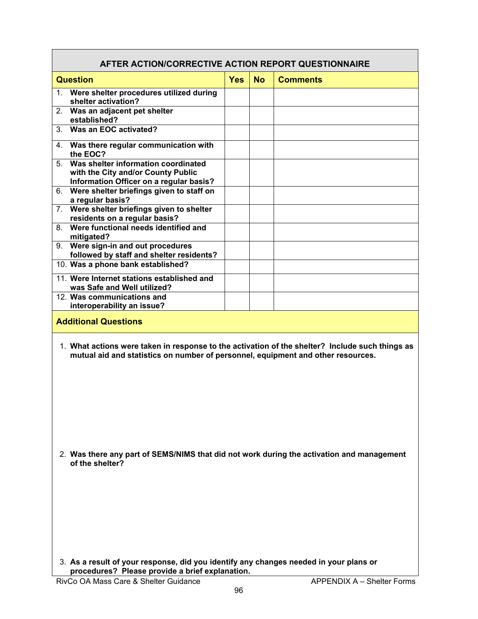| AFTER ACTION/CORRECTIVE ACTION REPORT QUESTIONNAIRE                                                                                                                                                                                                                                                 |  |           |                 |  |  |
|-----------------------------------------------------------------------------------------------------------------------------------------------------------------------------------------------------------------------------------------------------------------------------------------------------|--|-----------|-----------------|--|--|
| <b>Question</b>                                                                                                                                                                                                                                                                                     |  | <b>No</b> | <b>Comments</b> |  |  |
| 1. Were shelter procedures utilized during<br>shelter activation?                                                                                                                                                                                                                                   |  |           |                 |  |  |
| 2. Was an adjacent pet shelter<br>established?                                                                                                                                                                                                                                                      |  |           |                 |  |  |
| 3. Was an EOC activated?                                                                                                                                                                                                                                                                            |  |           |                 |  |  |
| Was there regular communication with<br>4.<br>the EOC?                                                                                                                                                                                                                                              |  |           |                 |  |  |
| Was shelter information coordinated<br>5 <sub>1</sub><br>with the City and/or County Public                                                                                                                                                                                                         |  |           |                 |  |  |
| Information Officer on a regular basis?                                                                                                                                                                                                                                                             |  |           |                 |  |  |
| Were shelter briefings given to staff on<br>6.<br>a regular basis?                                                                                                                                                                                                                                  |  |           |                 |  |  |
| 7. Were shelter briefings given to shelter<br>residents on a regular basis?                                                                                                                                                                                                                         |  |           |                 |  |  |
| Were functional needs identified and<br>8.<br>mitigated?                                                                                                                                                                                                                                            |  |           |                 |  |  |
| 9. Were sign-in and out procedures<br>followed by staff and shelter residents?                                                                                                                                                                                                                      |  |           |                 |  |  |
| 10. Was a phone bank established?                                                                                                                                                                                                                                                                   |  |           |                 |  |  |
| 11. Were Internet stations established and<br>was Safe and Well utilized?                                                                                                                                                                                                                           |  |           |                 |  |  |
| 12. Was communications and<br>interoperability an issue?                                                                                                                                                                                                                                            |  |           |                 |  |  |
| <b>Additional Questions</b>                                                                                                                                                                                                                                                                         |  |           |                 |  |  |
| 1. What actions were taken in response to the activation of the shelter? Include such things as<br>mutual aid and statistics on number of personnel, equipment and other resources.<br>2. Was there any part of SEMS/NIMS that did not work during the activation and management<br>of the shelter? |  |           |                 |  |  |
|                                                                                                                                                                                                                                                                                                     |  |           |                 |  |  |

#### 3. **As a result of your response, did you identify any changes needed in your plans or procedures? Please provide a brief explanation.**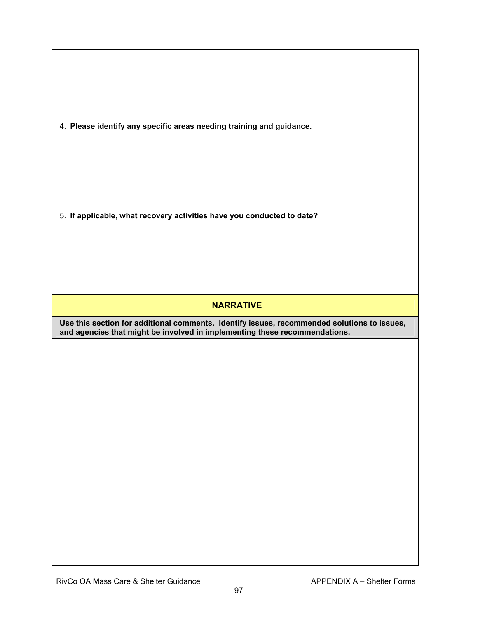4. **Please identify any specific areas needing training and guidance.** 

5. **If applicable, what recovery activities have you conducted to date?** 

#### **NARRATIVE**

**Use this section for additional comments. Identify issues, recommended solutions to issues, and agencies that might be involved in implementing these recommendations.**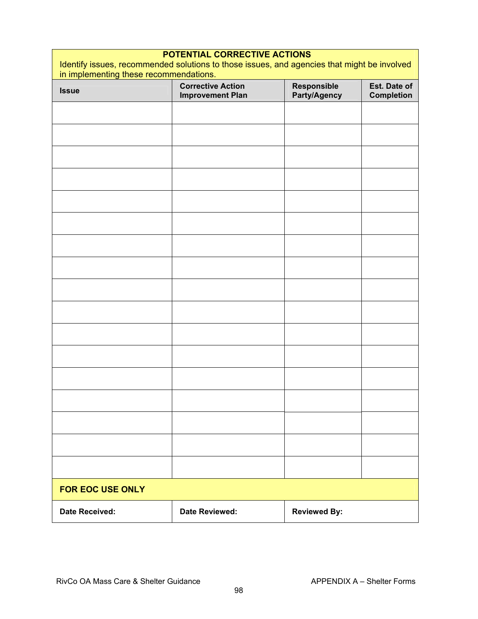| Identify issues, recommended solutions to those issues, and agencies that might be involved<br>in implementing these recommendations. | POTENTIAL CORRECTIVE ACTIONS                        |                                    |                                   |  |  |
|---------------------------------------------------------------------------------------------------------------------------------------|-----------------------------------------------------|------------------------------------|-----------------------------------|--|--|
| <b>Issue</b>                                                                                                                          | <b>Corrective Action</b><br><b>Improvement Plan</b> | Responsible<br><b>Party/Agency</b> | Est. Date of<br><b>Completion</b> |  |  |
|                                                                                                                                       |                                                     |                                    |                                   |  |  |
|                                                                                                                                       |                                                     |                                    |                                   |  |  |
|                                                                                                                                       |                                                     |                                    |                                   |  |  |
|                                                                                                                                       |                                                     |                                    |                                   |  |  |
|                                                                                                                                       |                                                     |                                    |                                   |  |  |
|                                                                                                                                       |                                                     |                                    |                                   |  |  |
|                                                                                                                                       |                                                     |                                    |                                   |  |  |
|                                                                                                                                       |                                                     |                                    |                                   |  |  |
|                                                                                                                                       |                                                     |                                    |                                   |  |  |
|                                                                                                                                       |                                                     |                                    |                                   |  |  |
|                                                                                                                                       |                                                     |                                    |                                   |  |  |
|                                                                                                                                       |                                                     |                                    |                                   |  |  |
|                                                                                                                                       |                                                     |                                    |                                   |  |  |
|                                                                                                                                       |                                                     |                                    |                                   |  |  |
|                                                                                                                                       |                                                     |                                    |                                   |  |  |
|                                                                                                                                       |                                                     |                                    |                                   |  |  |
| <b>FOR EOC USE ONLY</b>                                                                                                               |                                                     |                                    |                                   |  |  |
| <b>Date Received:</b>                                                                                                                 | <b>Date Reviewed:</b>                               | <b>Reviewed By:</b>                |                                   |  |  |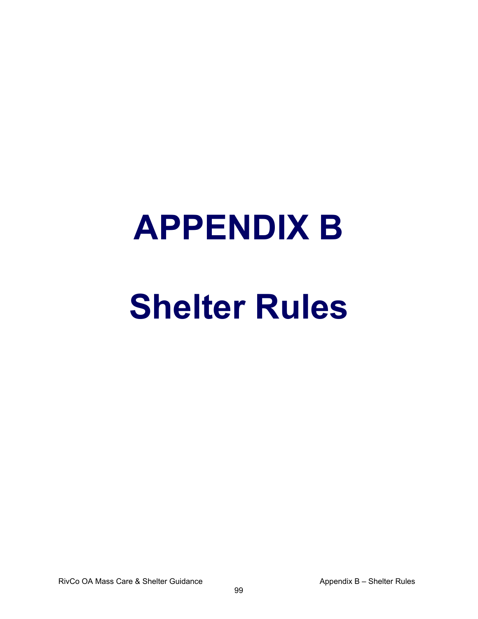## **APPENDIX B**

## **Shelter Rules**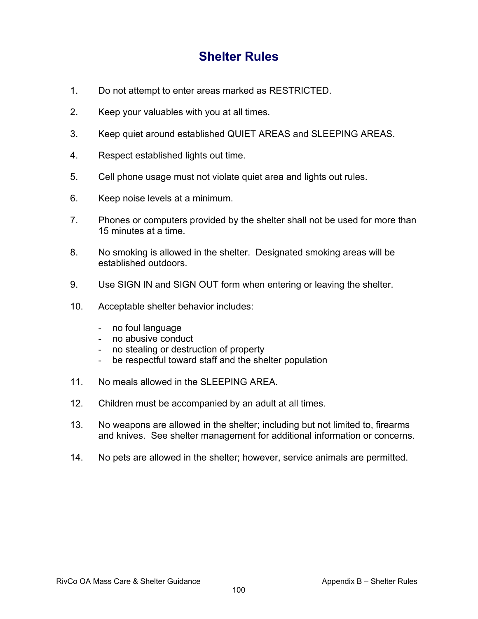### **Shelter Rules**

- 1. Do not attempt to enter areas marked as RESTRICTED.
- 2. Keep your valuables with you at all times.
- 3. Keep quiet around established QUIET AREAS and SLEEPING AREAS.
- 4. Respect established lights out time.
- 5. Cell phone usage must not violate quiet area and lights out rules.
- 6. Keep noise levels at a minimum.
- 7. Phones or computers provided by the shelter shall not be used for more than 15 minutes at a time.
- 8. No smoking is allowed in the shelter. Designated smoking areas will be established outdoors.
- 9. Use SIGN IN and SIGN OUT form when entering or leaving the shelter.
- 10. Acceptable shelter behavior includes:
	- no foul language
	- no abusive conduct
	- no stealing or destruction of property
	- be respectful toward staff and the shelter population
- 11. No meals allowed in the SLEEPING AREA.
- 12. Children must be accompanied by an adult at all times.
- 13. No weapons are allowed in the shelter; including but not limited to, firearms and knives. See shelter management for additional information or concerns.
- 14. No pets are allowed in the shelter; however, service animals are permitted.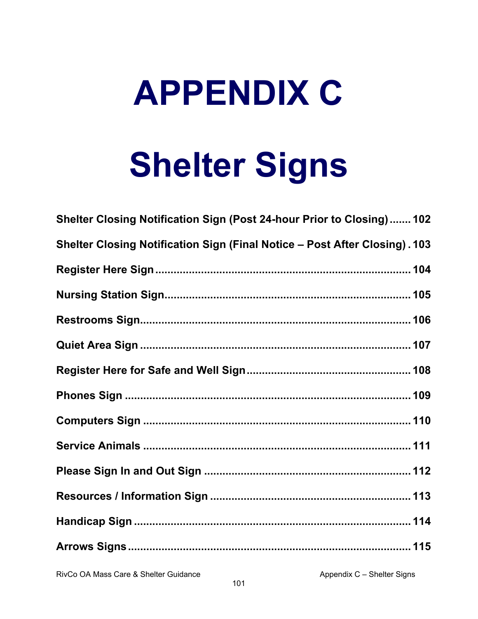## **APPENDIX C**

## **Shelter Signs**

| Shelter Closing Notification Sign (Post 24-hour Prior to Closing) 102      |
|----------------------------------------------------------------------------|
| Shelter Closing Notification Sign (Final Notice - Post After Closing). 103 |
|                                                                            |
|                                                                            |
|                                                                            |
|                                                                            |
|                                                                            |
|                                                                            |
|                                                                            |
|                                                                            |
|                                                                            |
|                                                                            |
|                                                                            |
|                                                                            |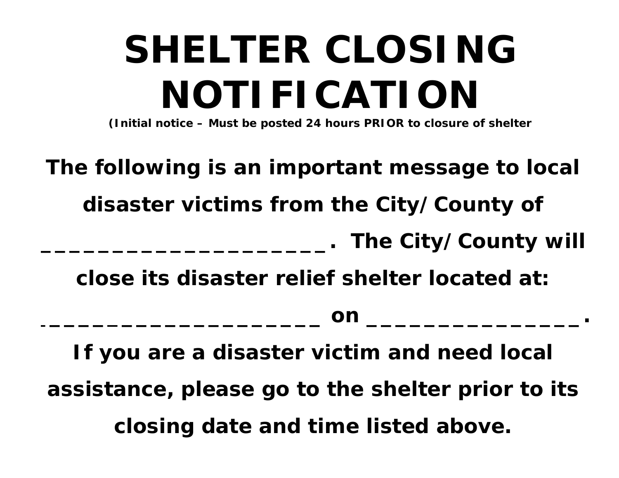# **SHELTER CLOSING NOTIFICATION**

**(Initial notice – Must be posted 24 hours PRIOR to closure of shelter**

**The following is an important message to local disaster victims from the City/County of \_\_\_\_\_\_\_\_\_\_\_\_\_\_. The City/County will** 

**close its disaster relief shelter located at:** 

**\_\_\_\_\_\_**

**\_\_\_\_\_**

 $\mathsf{on}$  .  $\mathsf{on}$  .  $\mathsf{on}$  .  $\mathsf{on}$  .  $\mathsf{on}$  .  $\mathsf{on}$  .  $\mathsf{on}$  .  $\mathsf{on}$  .  $\mathsf{on}$  .  $\mathsf{on}$  .  $\mathsf{on}$  .  $\mathsf{on}$  .  $\mathsf{on}$  .  $\mathsf{on}$  .  $\mathsf{on}$  .  $\mathsf{on}$  .  $\mathsf{on}$  .  $\mathsf{on}$  .  $\mathsf{on}$  .  $\mathsf{on}$  .

**If you are a disaster victim and need local** 

**assistance, please go to the shelter prior to its** 

 $\mathcal{L}$  Mass Care  $\mathcal{L}$  – Shelter Signs C – Shelter Signs C – Shelter Signs C – Shelter Signs C – Shelter Signs C – Shelter Signs C – Shelter Signs C – Shelter Signs C – Shelter Signs C – Shelter Signs C – Shelter Sig **closing date and time listed above.**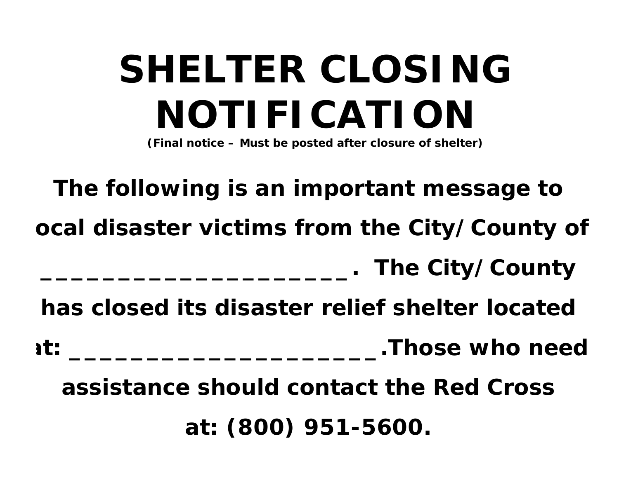# **SHELTER CLOSING NOTIFICATION**

**(Final notice – Must be posted after closure of shelter)** 

**The following is an important message to ocal disaster victims from the City/County of \_\_\_\_\_\_\_\_\_\_\_\_\_\_\_\_\_\_\_\_. The City/County has closed its disaster relief shelter located at: \_\_\_\_\_\_\_\_\_\_\_\_\_\_\_\_\_\_\_\_.Those who need**

**assistance should contact the Red Cross** 

 $R$  mass  $\mathcal{L}$  and  $\mathcal{L}$  – Shelter Guidance Appendix C – Shelter Signs  $\mathcal{L}$ **at: (800) 951-5600.**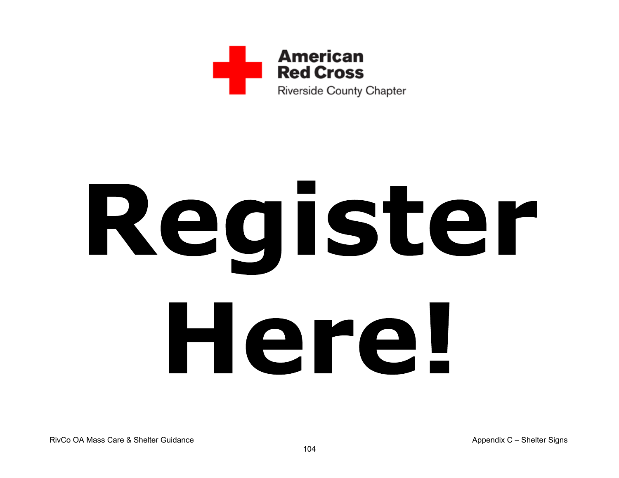

# Register Here!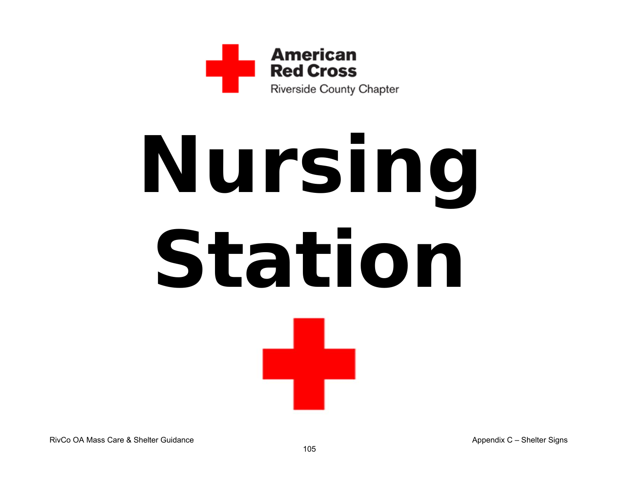

# **Nursing Station**

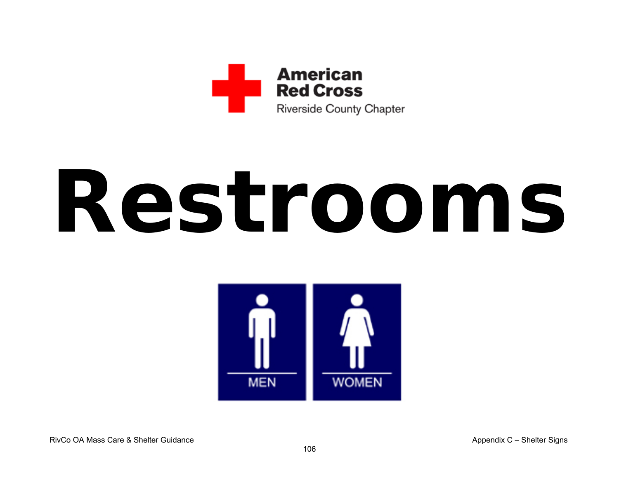

## Restrooms

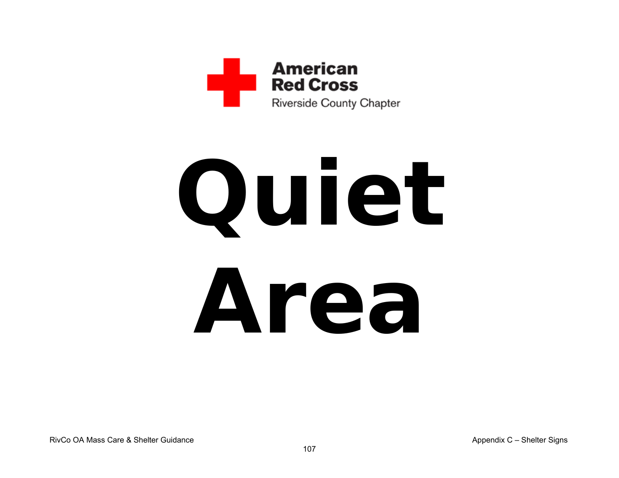

# Quiet Area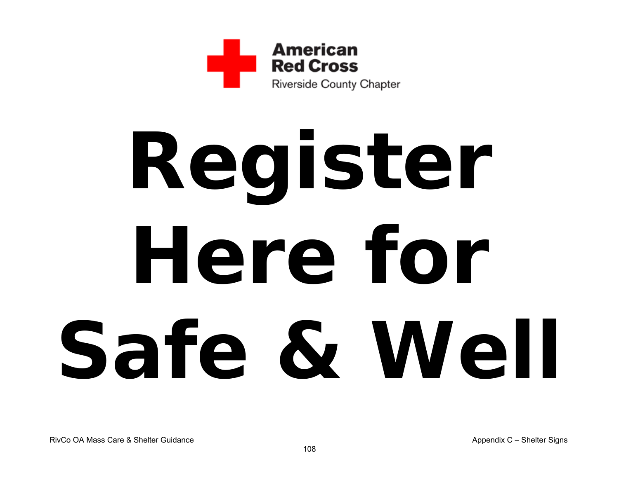

## **Register Here for Safe & Well**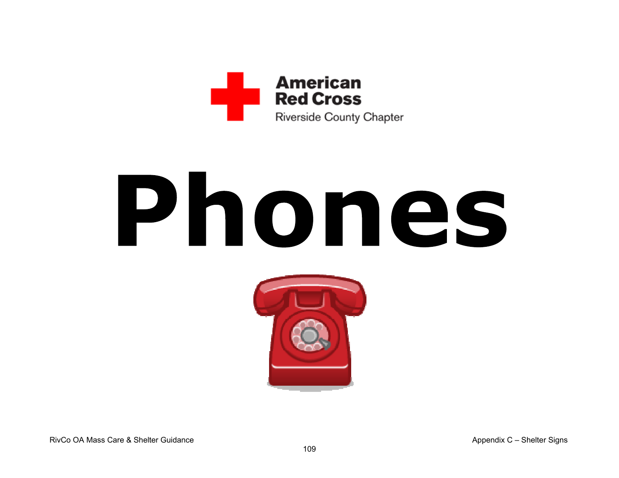

# Phones

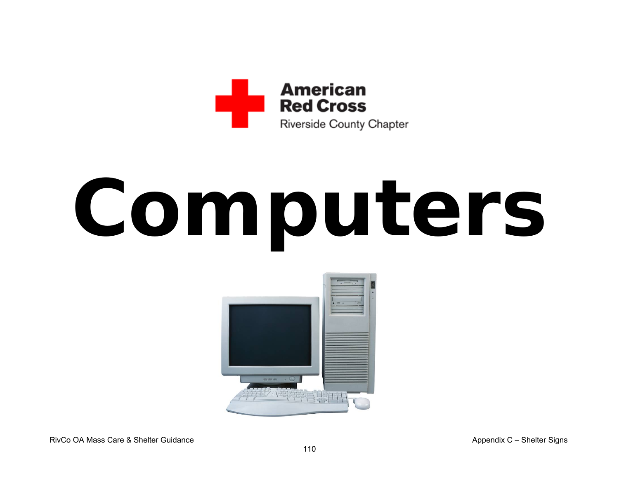

## Computers



RivCo OA Mass Care & Shelter Guidance

Appendix C - Shelter Signs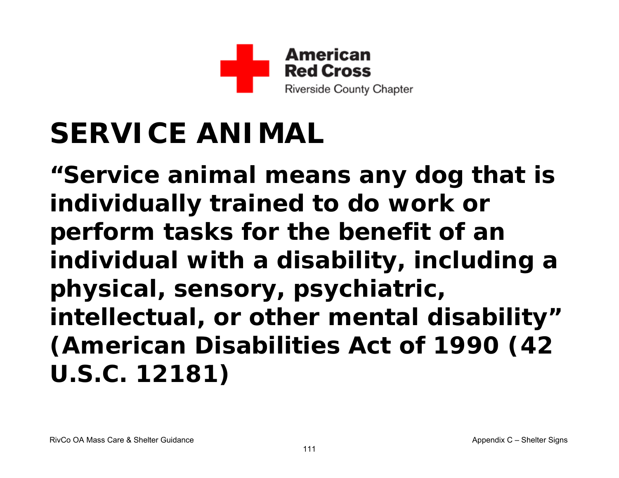

### **SERVICE ANIMAL**

**"Service animal means any dog that is individually trained to do work or perform tasks for the benefit of an individual with a disability, including a physical, sensory, psychiatric, intellectual, or other mental disability" (American Disabilities Act of 1990 (42 U.S.C. 12181)**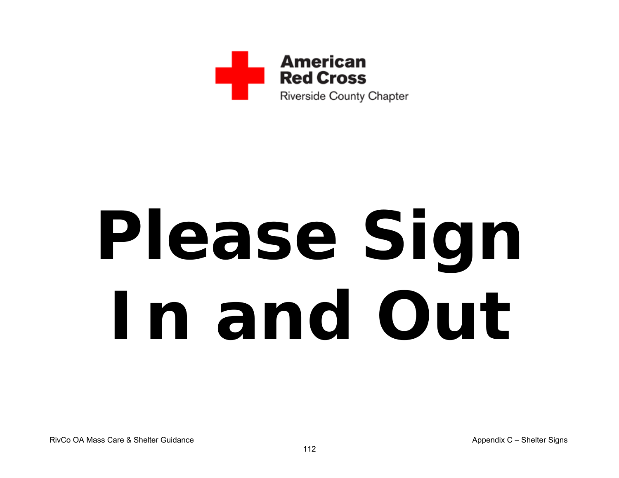

## Please Sign In and Out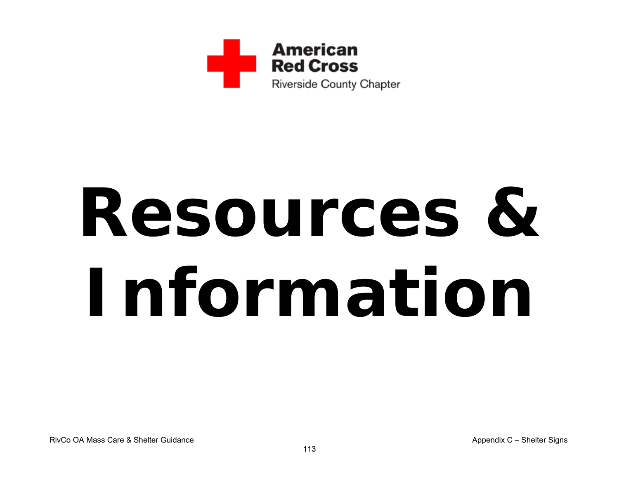

## Resources & Information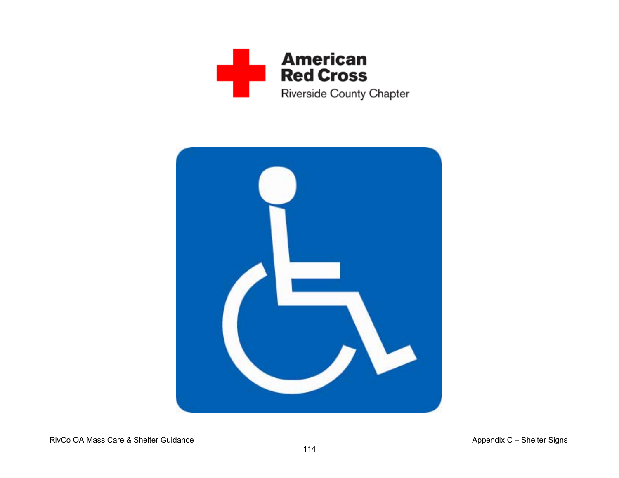

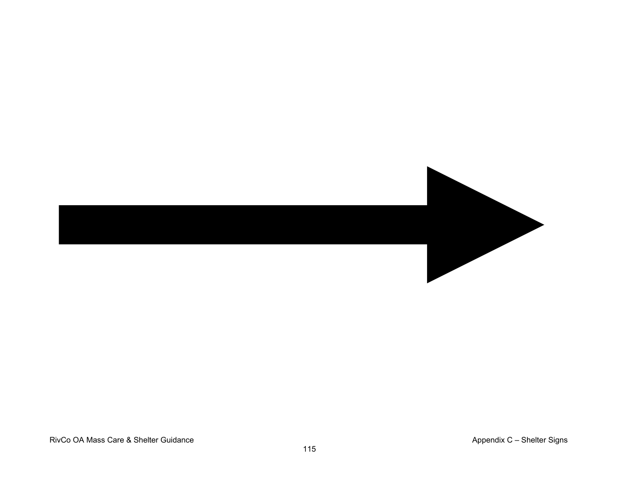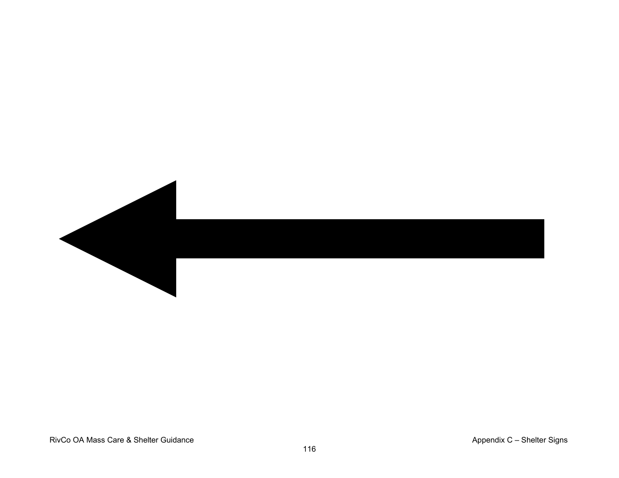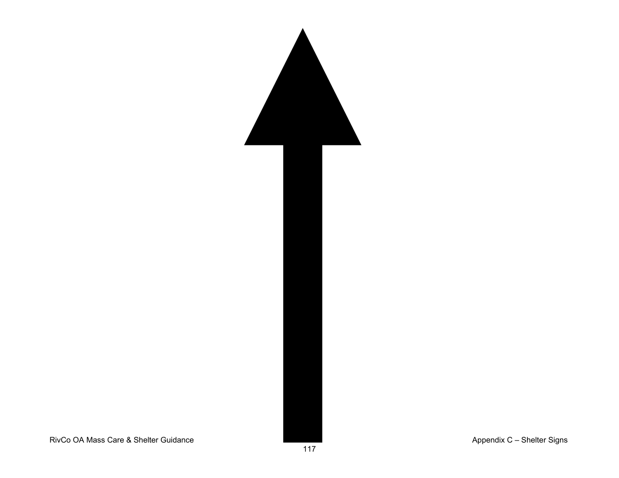

RivCo OA Mass Care & Shelter Guidance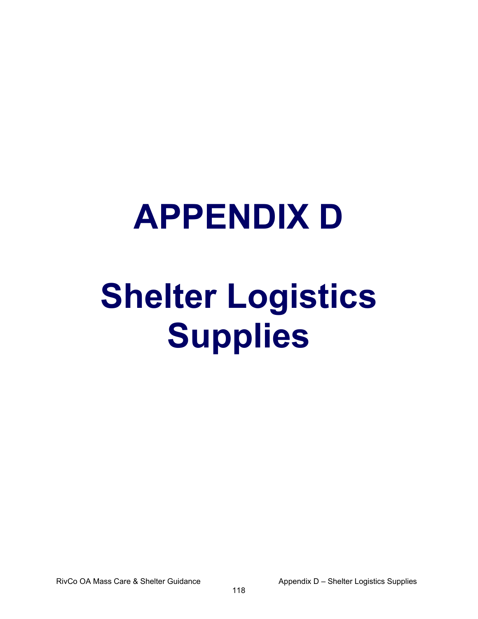## **APPENDIX D**

## **Shelter Logistics Supplies**

RivCo OA Mass Care & Shelter Guidance Appendix D – Shelter Logistics Supplies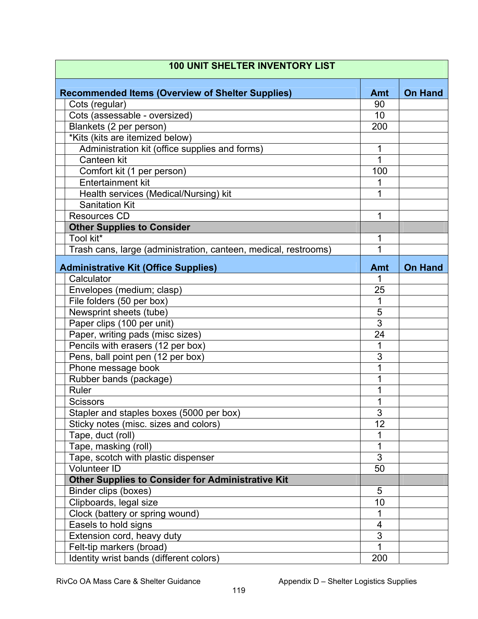| <b>100 UNIT SHELTER INVENTORY LIST</b>                          |                |                |
|-----------------------------------------------------------------|----------------|----------------|
| <b>Recommended Items (Overview of Shelter Supplies)</b>         | Amt            | <b>On Hand</b> |
| Cots (regular)                                                  | 90             |                |
| Cots (assessable - oversized)                                   | 10             |                |
| Blankets (2 per person)                                         | 200            |                |
| *Kits (kits are itemized below)                                 |                |                |
| Administration kit (office supplies and forms)                  | 1              |                |
| Canteen kit                                                     | 1              |                |
| Comfort kit (1 per person)                                      | 100            |                |
| <b>Entertainment kit</b>                                        | 1              |                |
| Health services (Medical/Nursing) kit                           | 1              |                |
| <b>Sanitation Kit</b>                                           |                |                |
| <b>Resources CD</b>                                             | 1              |                |
| <b>Other Supplies to Consider</b>                               |                |                |
| Tool kit*                                                       | 1              |                |
| Trash cans, large (administration, canteen, medical, restrooms) | 1              |                |
| <b>Administrative Kit (Office Supplies)</b>                     | Amt            | <b>On Hand</b> |
| Calculator                                                      |                |                |
| Envelopes (medium; clasp)                                       | 25             |                |
| File folders (50 per box)                                       | 1              |                |
| Newsprint sheets (tube)                                         | $\overline{5}$ |                |
| Paper clips (100 per unit)                                      | $\overline{3}$ |                |
| Paper, writing pads (misc sizes)                                | 24             |                |
| Pencils with erasers (12 per box)                               | 1              |                |
| Pens, ball point pen (12 per box)                               | 3              |                |
| Phone message book                                              | 1              |                |
| Rubber bands (package)                                          | 1              |                |
| Ruler                                                           | 1              |                |
| <b>Scissors</b>                                                 | 1              |                |
| Stapler and staples boxes (5000 per box)                        | 3              |                |
| Sticky notes (misc. sizes and colors)                           | 12             |                |
| Tape, duct (roll)                                               |                |                |
| Tape, masking (roll)                                            | 1              |                |
| Tape, scotch with plastic dispenser                             | $\overline{3}$ |                |
| <b>Volunteer ID</b>                                             | 50             |                |
| <b>Other Supplies to Consider for Administrative Kit</b>        |                |                |
| Binder clips (boxes)                                            | 5              |                |
| Clipboards, legal size                                          | 10             |                |
| Clock (battery or spring wound)                                 | 1              |                |
| Easels to hold signs                                            | 4              |                |
| Extension cord, heavy duty                                      | 3              |                |
| Felt-tip markers (broad)                                        | 1              |                |
| Identity wrist bands (different colors)                         | 200            |                |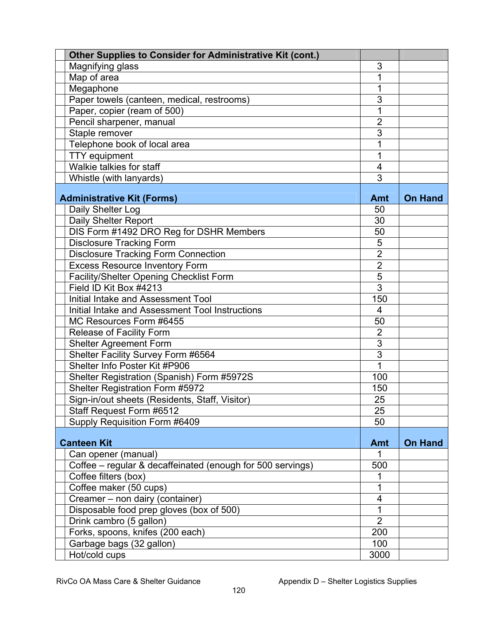| Other Supplies to Consider for Administrative Kit (cont.)  |                |                |
|------------------------------------------------------------|----------------|----------------|
| Magnifying glass                                           | 3              |                |
| Map of area                                                | 1              |                |
| Megaphone                                                  | 1              |                |
| Paper towels (canteen, medical, restrooms)                 | 3              |                |
| Paper, copier (ream of 500)                                | 1              |                |
| Pencil sharpener, manual                                   | $\overline{2}$ |                |
| Staple remover                                             | 3              |                |
| Telephone book of local area                               | 1              |                |
| <b>TTY</b> equipment                                       | 1              |                |
| Walkie talkies for staff                                   | 4              |                |
| Whistle (with lanyards)                                    | 3              |                |
|                                                            |                |                |
| <b>Administrative Kit (Forms)</b>                          | Amt            | <b>On Hand</b> |
| Daily Shelter Log                                          | 50             |                |
| Daily Shelter Report                                       | 30             |                |
| DIS Form #1492 DRO Reg for DSHR Members                    | 50             |                |
| <b>Disclosure Tracking Form</b>                            | 5              |                |
| <b>Disclosure Tracking Form Connection</b>                 | $\overline{2}$ |                |
| <b>Excess Resource Inventory Form</b>                      | $\overline{2}$ |                |
| Facility/Shelter Opening Checklist Form                    | 5              |                |
| Field ID Kit Box #4213                                     | $\overline{3}$ |                |
| Initial Intake and Assessment Tool                         | 150            |                |
| Initial Intake and Assessment Tool Instructions            | 4              |                |
| MC Resources Form #6455                                    | 50             |                |
| <b>Release of Facility Form</b>                            | $\overline{2}$ |                |
| <b>Shelter Agreement Form</b>                              | 3              |                |
| Shelter Facility Survey Form #6564                         | $\overline{3}$ |                |
| Shelter Info Poster Kit #P906                              | 1              |                |
| Shelter Registration (Spanish) Form #5972S                 | 100            |                |
| <b>Shelter Registration Form #5972</b>                     | 150            |                |
| Sign-in/out sheets (Residents, Staff, Visitor)             | 25             |                |
| Staff Request Form #6512                                   | 25             |                |
| Supply Requisition Form #6409                              | 50             |                |
|                                                            |                |                |
| <b>Canteen Kit</b>                                         | Amt            | <b>On Hand</b> |
| Can opener (manual)                                        |                |                |
| Coffee – regular & decaffeinated (enough for 500 servings) | 500            |                |
| Coffee filters (box)                                       | 1              |                |
| Coffee maker (50 cups)                                     | 1              |                |
| Creamer - non dairy (container)                            | 4              |                |
| Disposable food prep gloves (box of 500)                   | 1              |                |
| Drink cambro (5 gallon)                                    | $\overline{2}$ |                |
| Forks, spoons, knifes (200 each)                           | 200            |                |
| Garbage bags (32 gallon)                                   | 100            |                |
| Hot/cold cups                                              | 3000           |                |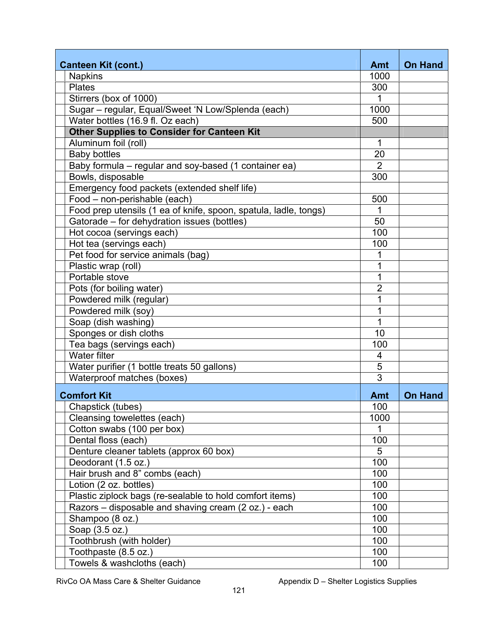| <b>Canteen Kit (cont.)</b>                                       | Amt            | <b>On Hand</b> |
|------------------------------------------------------------------|----------------|----------------|
| <b>Napkins</b>                                                   | 1000           |                |
| <b>Plates</b>                                                    | 300            |                |
| Stirrers (box of 1000)                                           |                |                |
| Sugar - regular, Equal/Sweet 'N Low/Splenda (each)               | 1000           |                |
| Water bottles (16.9 fl. Oz each)                                 | 500            |                |
| <b>Other Supplies to Consider for Canteen Kit</b>                |                |                |
| Aluminum foil (roll)                                             | 1              |                |
| <b>Baby bottles</b>                                              | 20             |                |
| Baby formula - regular and soy-based (1 container ea)            | $\overline{2}$ |                |
| Bowls, disposable                                                | 300            |                |
| Emergency food packets (extended shelf life)                     |                |                |
| Food - non-perishable (each)                                     | 500            |                |
| Food prep utensils (1 ea of knife, spoon, spatula, ladle, tongs) | 1              |                |
| Gatorade - for dehydration issues (bottles)                      | 50             |                |
| Hot cocoa (servings each)                                        | 100            |                |
| Hot tea (servings each)                                          | 100            |                |
| Pet food for service animals (bag)                               | 1              |                |
| Plastic wrap (roll)                                              | 1              |                |
| Portable stove                                                   | 1              |                |
| Pots (for boiling water)                                         | $\overline{2}$ |                |
| Powdered milk (regular)                                          | 1              |                |
| Powdered milk (soy)                                              | 1              |                |
| Soap (dish washing)                                              | 1              |                |
| Sponges or dish cloths                                           | 10             |                |
| Tea bags (servings each)                                         | 100            |                |
| Water filter                                                     | 4              |                |
| Water purifier (1 bottle treats 50 gallons)                      | $\overline{5}$ |                |
| Waterproof matches (boxes)                                       | $\overline{3}$ |                |
| <b>Comfort Kit</b>                                               | <b>Amt</b>     | <b>On Hand</b> |
| Chapstick (tubes)                                                | 100            |                |
| Cleansing towelettes (each)                                      | 1000           |                |
| Cotton swabs (100 per box)                                       | 1              |                |
| Dental floss (each)                                              | 100            |                |
| Denture cleaner tablets (approx 60 box)                          | 5              |                |
| Deodorant (1.5 oz.)                                              | 100            |                |
| Hair brush and 8" combs (each)                                   | 100            |                |
| Lotion (2 oz. bottles)                                           | 100            |                |
| Plastic ziplock bags (re-sealable to hold comfort items)         | 100            |                |
| Razors – disposable and shaving cream (2 oz.) - each             | 100            |                |
| Shampoo (8 oz.)                                                  | 100            |                |
| Soap (3.5 oz.)                                                   | 100            |                |
| Toothbrush (with holder)                                         | 100            |                |
| Toothpaste (8.5 oz.)                                             | 100            |                |
| Towels & washcloths (each)                                       | 100            |                |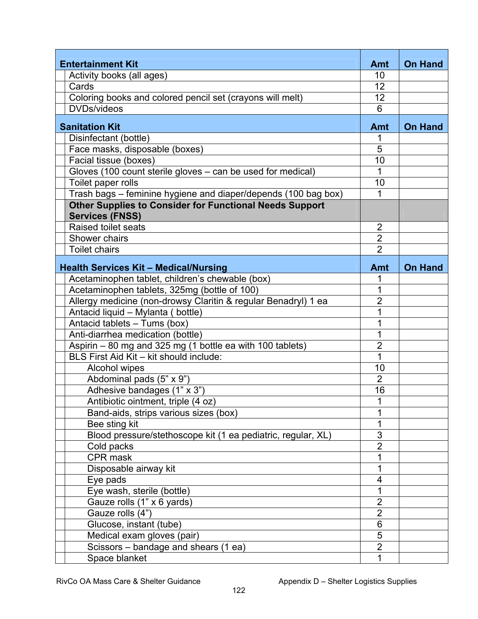| <b>Entertainment Kit</b>                                       | Amt            | <b>On Hand</b> |
|----------------------------------------------------------------|----------------|----------------|
| Activity books (all ages)                                      | 10             |                |
| Cards                                                          | 12             |                |
|                                                                | 12             |                |
| Coloring books and colored pencil set (crayons will melt)      |                |                |
| <b>DVDs/videos</b>                                             | 6              |                |
| <b>Sanitation Kit</b>                                          | Amt            | <b>On Hand</b> |
| Disinfectant (bottle)                                          | 1              |                |
| Face masks, disposable (boxes)                                 | 5              |                |
| Facial tissue (boxes)                                          | 10             |                |
| Gloves (100 count sterile gloves - can be used for medical)    | 1              |                |
| Toilet paper rolls                                             | 10             |                |
| Trash bags - feminine hygiene and diaper/depends (100 bag box) | 1              |                |
| <b>Other Supplies to Consider for Functional Needs Support</b> |                |                |
| <b>Services (FNSS)</b>                                         |                |                |
| <b>Raised toilet seats</b>                                     | 2              |                |
| Shower chairs                                                  | $\overline{2}$ |                |
| <b>Toilet chairs</b>                                           | $\overline{2}$ |                |
| <b>Health Services Kit - Medical/Nursing</b>                   | Amt            | <b>On Hand</b> |
| Acetaminophen tablet, children's chewable (box)                | 1              |                |
| Acetaminophen tablets, 325mg (bottle of 100)                   | 1              |                |
| Allergy medicine (non-drowsy Claritin & regular Benadryl) 1 ea | $\overline{2}$ |                |
| Antacid liquid - Mylanta (bottle)                              | 1              |                |
| Antacid tablets - Tums (box)                                   | 1              |                |
| Anti-diarrhea medication (bottle)                              | 1              |                |
| Aspirin - 80 mg and 325 mg (1 bottle ea with 100 tablets)      | $\overline{2}$ |                |
| BLS First Aid Kit - kit should include:                        | 1              |                |
| Alcohol wipes                                                  | 10             |                |
| Abdominal pads (5" x 9")                                       | $\overline{2}$ |                |
| Adhesive bandages (1" x 3")                                    | 16             |                |
| Antibiotic ointment, triple (4 oz)                             | 1              |                |
| Band-aids, strips various sizes (box)                          | 1              |                |
| Bee sting kit                                                  | 1              |                |
| Blood pressure/stethoscope kit (1 ea pediatric, regular, XL)   | 3              |                |
| Cold packs                                                     | $\overline{2}$ |                |
| CPR mask                                                       | 1              |                |
| Disposable airway kit                                          | 1              |                |
| Eye pads                                                       | 4              |                |
| Eye wash, sterile (bottle)                                     | 1              |                |
| Gauze rolls (1" x 6 yards)                                     | $\overline{2}$ |                |
| Gauze rolls (4")                                               | $\overline{2}$ |                |
| Glucose, instant (tube)                                        | 6              |                |
| Medical exam gloves (pair)                                     | 5              |                |
| Scissors - bandage and shears (1 ea)                           | $\overline{2}$ |                |
| Space blanket                                                  |                |                |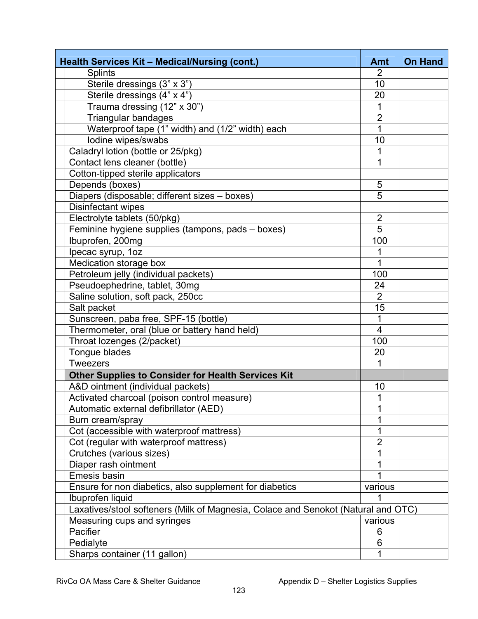| <b>Health Services Kit - Medical/Nursing (cont.)</b>                              | Amt            | <b>On Hand</b> |
|-----------------------------------------------------------------------------------|----------------|----------------|
| <b>Splints</b>                                                                    | $\overline{2}$ |                |
| Sterile dressings (3" x 3")                                                       | 10             |                |
| Sterile dressings (4" x 4")                                                       | 20             |                |
| Trauma dressing $(12" \times 30")$                                                | 1              |                |
| Triangular bandages                                                               | $\overline{2}$ |                |
| Waterproof tape (1" width) and (1/2" width) each                                  | 1              |                |
| Iodine wipes/swabs                                                                | 10             |                |
| Caladryl lotion (bottle or 25/pkg)                                                | 1              |                |
| Contact lens cleaner (bottle)                                                     | 1              |                |
| Cotton-tipped sterile applicators                                                 |                |                |
| Depends (boxes)                                                                   | 5              |                |
| Diapers (disposable; different sizes - boxes)                                     | 5              |                |
| <b>Disinfectant wipes</b>                                                         |                |                |
| Electrolyte tablets (50/pkg)                                                      | $\overline{2}$ |                |
| Feminine hygiene supplies (tampons, pads - boxes)                                 | $\overline{5}$ |                |
| Ibuprofen, 200mg                                                                  | 100            |                |
| Ipecac syrup, 1oz                                                                 | 1              |                |
| Medication storage box                                                            | 1              |                |
| Petroleum jelly (individual packets)                                              | 100            |                |
| Pseudoephedrine, tablet, 30mg                                                     | 24             |                |
| Saline solution, soft pack, 250cc                                                 | $\overline{2}$ |                |
| Salt packet                                                                       | 15             |                |
| Sunscreen, paba free, SPF-15 (bottle)                                             | 1              |                |
| Thermometer, oral (blue or battery hand held)                                     | $\overline{4}$ |                |
| Throat lozenges (2/packet)                                                        | 100            |                |
| Tongue blades                                                                     | 20             |                |
| <b>Tweezers</b>                                                                   | 1              |                |
| <b>Other Supplies to Consider for Health Services Kit</b>                         |                |                |
| A&D ointment (individual packets)                                                 | 10             |                |
| Activated charcoal (poison control measure)                                       | 1              |                |
| Automatic external defibrillator (AED)                                            | 1              |                |
| Burn cream/spray                                                                  | 1              |                |
| Cot (accessible with waterproof mattress)                                         | 1              |                |
| Cot (regular with waterproof mattress)                                            | $\overline{2}$ |                |
| Crutches (various sizes)                                                          | 1              |                |
| Diaper rash ointment                                                              |                |                |
| Emesis basin                                                                      |                |                |
| Ensure for non diabetics, also supplement for diabetics                           | various        |                |
| Ibuprofen liquid                                                                  | 1              |                |
| Laxatives/stool softeners (Milk of Magnesia, Colace and Senokot (Natural and OTC) |                |                |
| Measuring cups and syringes                                                       | various        |                |
| Pacifier                                                                          | 6              |                |
| Pedialyte                                                                         | 6              |                |
| Sharps container (11 gallon)                                                      | 1              |                |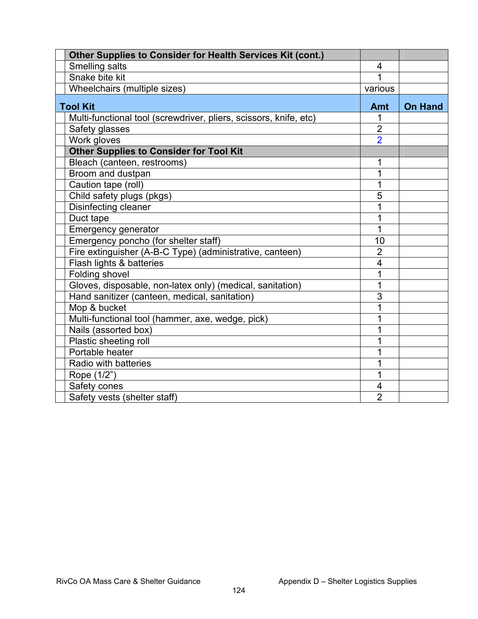| <b>Other Supplies to Consider for Health Services Kit (cont.)</b> |                         |                |
|-------------------------------------------------------------------|-------------------------|----------------|
| <b>Smelling salts</b>                                             | 4                       |                |
| Snake bite kit                                                    | 1                       |                |
| Wheelchairs (multiple sizes)                                      | various                 |                |
| <b>Tool Kit</b>                                                   | Amt                     | <b>On Hand</b> |
| Multi-functional tool (screwdriver, pliers, scissors, knife, etc) | 1                       |                |
| Safety glasses                                                    | $\overline{2}$          |                |
| Work gloves                                                       | $\overline{2}$          |                |
| <b>Other Supplies to Consider for Tool Kit</b>                    |                         |                |
| Bleach (canteen, restrooms)                                       | 1                       |                |
| Broom and dustpan                                                 | 1                       |                |
| Caution tape (roll)                                               | 1                       |                |
| Child safety plugs (pkgs)                                         | 5                       |                |
| Disinfecting cleaner                                              | 1                       |                |
| Duct tape                                                         | 1                       |                |
| <b>Emergency generator</b>                                        | 1                       |                |
| Emergency poncho (for shelter staff)                              | 10                      |                |
| Fire extinguisher (A-B-C Type) (administrative, canteen)          | $\overline{2}$          |                |
| Flash lights & batteries                                          | 4                       |                |
| Folding shovel                                                    | 1                       |                |
| Gloves, disposable, non-latex only) (medical, sanitation)         | 1                       |                |
| Hand sanitizer (canteen, medical, sanitation)                     | $\overline{3}$          |                |
| Mop & bucket                                                      | 1                       |                |
| Multi-functional tool (hammer, axe, wedge, pick)                  | 1                       |                |
| Nails (assorted box)                                              | 1                       |                |
| Plastic sheeting roll                                             | 1                       |                |
| Portable heater                                                   | 1                       |                |
| Radio with batteries                                              | 1                       |                |
| Rope (1/2")                                                       | 1                       |                |
| Safety cones                                                      | $\overline{\mathbf{4}}$ |                |
| Safety vests (shelter staff)                                      | $\overline{2}$          |                |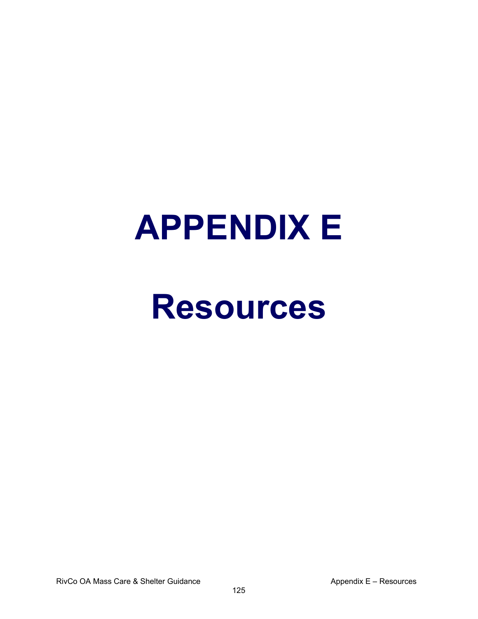## **APPENDIX E**

### **Resources**

RivCo OA Mass Care & Shelter Guidance Appendix E – Resources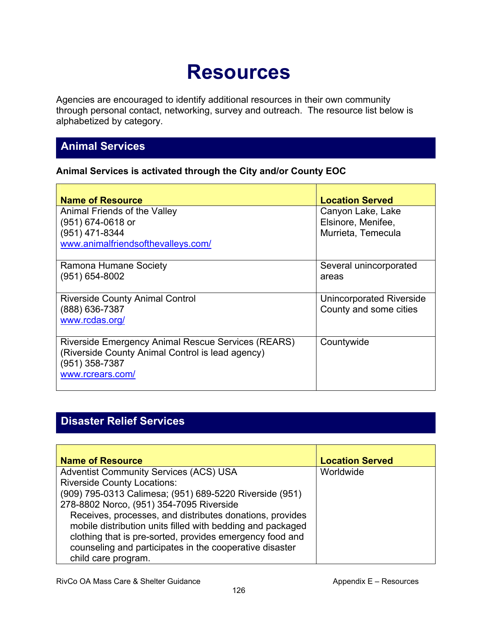#### **Resources**

Agencies are encouraged to identify additional resources in their own community through personal contact, networking, survey and outreach. The resource list below is alphabetized by category.

#### **Animal Services**

#### **Animal Services is activated through the City and/or County EOC**

| <b>Name of Resource</b>                            | <b>Location Served</b>          |
|----------------------------------------------------|---------------------------------|
| Animal Friends of the Valley                       | Canyon Lake, Lake               |
| (951) 674-0618 or                                  | Elsinore, Menifee,              |
| (951) 471-8344                                     | Murrieta, Temecula              |
| www.animalfriendsofthevalleys.com/                 |                                 |
|                                                    |                                 |
| Ramona Humane Society                              | Several unincorporated          |
| $(951) 654 - 8002$                                 | areas                           |
| <b>Riverside County Animal Control</b>             | <b>Unincorporated Riverside</b> |
| (888) 636-7387                                     | County and some cities          |
| www.rcdas.org/                                     |                                 |
|                                                    |                                 |
| Riverside Emergency Animal Rescue Services (REARS) | Countywide                      |
| (Riverside County Animal Control is lead agency)   |                                 |
| $(951)$ 358-7387                                   |                                 |
| www.rcrears.com/                                   |                                 |
|                                                    |                                 |

#### **Disaster Relief Services**

| <b>Name of Resource</b>                                    | <b>Location Served</b> |
|------------------------------------------------------------|------------------------|
| <b>Adventist Community Services (ACS) USA</b>              | Worldwide              |
| <b>Riverside County Locations:</b>                         |                        |
| (909) 795-0313 Calimesa; (951) 689-5220 Riverside (951)    |                        |
| 278-8802 Norco, (951) 354-7095 Riverside                   |                        |
| Receives, processes, and distributes donations, provides   |                        |
| mobile distribution units filled with bedding and packaged |                        |
| clothing that is pre-sorted, provides emergency food and   |                        |
| counseling and participates in the cooperative disaster    |                        |
| child care program.                                        |                        |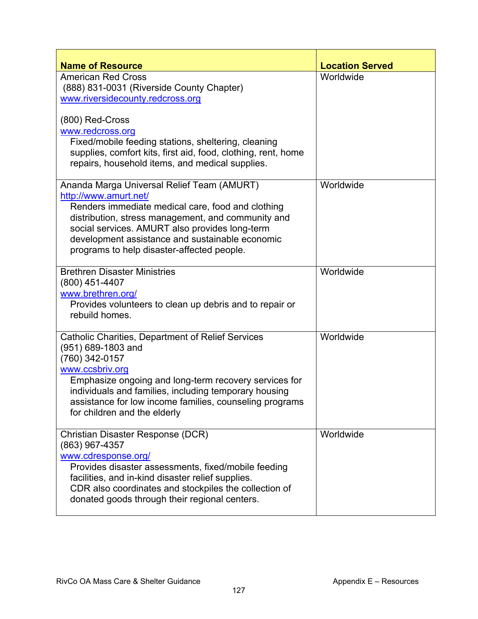| <b>Name of Resource</b>                                                                                                                                                                                                                                                                                                           | <b>Location Served</b> |
|-----------------------------------------------------------------------------------------------------------------------------------------------------------------------------------------------------------------------------------------------------------------------------------------------------------------------------------|------------------------|
| <b>American Red Cross</b><br>(888) 831-0031 (Riverside County Chapter)<br>www.riversidecounty.redcross.org                                                                                                                                                                                                                        | Worldwide              |
| (800) Red-Cross<br>www.redcross.org<br>Fixed/mobile feeding stations, sheltering, cleaning<br>supplies, comfort kits, first aid, food, clothing, rent, home<br>repairs, household items, and medical supplies.                                                                                                                    |                        |
| Ananda Marga Universal Relief Team (AMURT)<br>http://www.amurt.net/<br>Renders immediate medical care, food and clothing<br>distribution, stress management, and community and<br>social services. AMURT also provides long-term<br>development assistance and sustainable economic<br>programs to help disaster-affected people. | Worldwide              |
| <b>Brethren Disaster Ministries</b><br>(800) 451-4407<br>www.brethren.org/<br>Provides volunteers to clean up debris and to repair or<br>rebuild homes.                                                                                                                                                                           | Worldwide              |
| <b>Catholic Charities, Department of Relief Services</b><br>(951) 689-1803 and<br>(760) 342-0157<br>www.ccsbriv.org<br>Emphasize ongoing and long-term recovery services for<br>individuals and families, including temporary housing<br>assistance for low income families, counseling programs<br>for children and the elderly  | Worldwide              |
| <b>Christian Disaster Response (DCR)</b><br>(863) 967-4357<br>www.cdresponse.org/<br>Provides disaster assessments, fixed/mobile feeding<br>facilities, and in-kind disaster relief supplies.<br>CDR also coordinates and stockpiles the collection of<br>donated goods through their regional centers.                           | Worldwide              |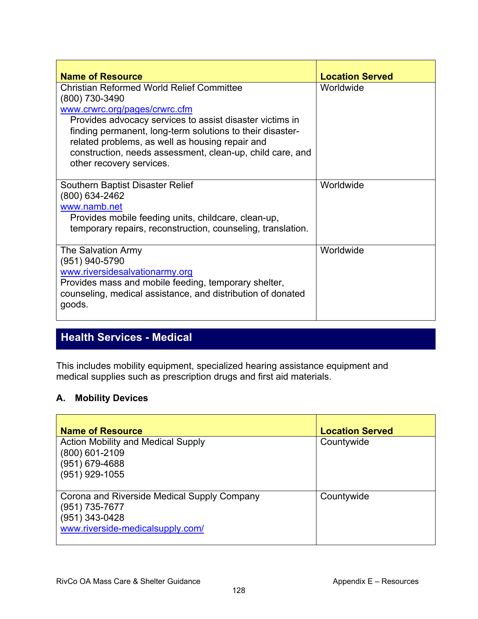| <b>Name of Resource</b>                                                                                                                                                                                                                                                                                                                                                  | <b>Location Served</b> |
|--------------------------------------------------------------------------------------------------------------------------------------------------------------------------------------------------------------------------------------------------------------------------------------------------------------------------------------------------------------------------|------------------------|
| <b>Christian Reformed World Relief Committee</b><br>(800) 730-3490<br>www.crwrc.org/pages/crwrc.cfm<br>Provides advocacy services to assist disaster victims in<br>finding permanent, long-term solutions to their disaster-<br>related problems, as well as housing repair and<br>construction, needs assessment, clean-up, child care, and<br>other recovery services. | Worldwide              |
| Southern Baptist Disaster Relief<br>(800) 634-2462<br>www.namb.net<br>Provides mobile feeding units, childcare, clean-up,<br>temporary repairs, reconstruction, counseling, translation.                                                                                                                                                                                 | Worldwide              |
| The Salvation Army<br>(951) 940-5790<br>www.riversidesalvationarmy.org<br>Provides mass and mobile feeding, temporary shelter,<br>counseling, medical assistance, and distribution of donated<br>goods.                                                                                                                                                                  | Worldwide              |

#### **Health Services - Medical**

This includes mobility equipment, specialized hearing assistance equipment and medical supplies such as prescription drugs and first aid materials.

#### **A. Mobility Devices**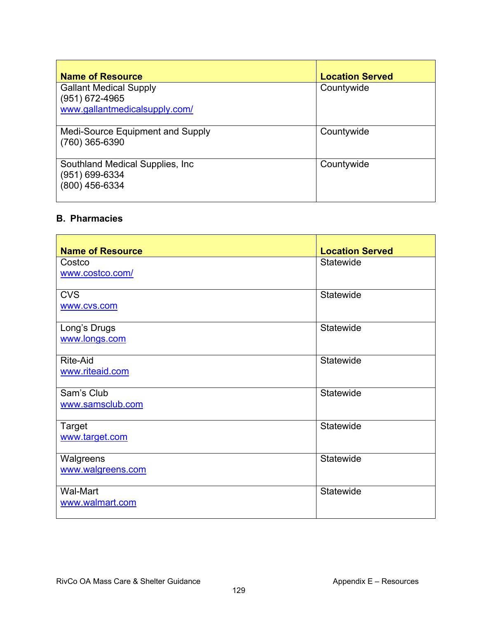| <b>Name of Resource</b>                                              | <b>Location Served</b> |
|----------------------------------------------------------------------|------------------------|
| <b>Gallant Medical Supply</b><br>$(951)$ 672-4965                    | Countywide             |
| www.gallantmedicalsupply.com/                                        |                        |
| Medi-Source Equipment and Supply<br>(760) 365-6390                   | Countywide             |
| Southland Medical Supplies, Inc.<br>(951) 699-6334<br>(800) 456-6334 | Countywide             |

#### **B. Pharmacies**

| <b>Name of Resource</b> | <b>Location Served</b> |
|-------------------------|------------------------|
| Costco                  | Statewide              |
| www.costco.com/         |                        |
| <b>CVS</b>              | Statewide              |
| www.cvs.com             |                        |
| Long's Drugs            | Statewide              |
| www.longs.com           |                        |
| <b>Rite-Aid</b>         | Statewide              |
| www.riteaid.com         |                        |
| Sam's Club              | Statewide              |
| www.samsclub.com        |                        |
| Target                  | Statewide              |
| www.target.com          |                        |
| Walgreens               | Statewide              |
| www.walgreens.com       |                        |
| Wal-Mart                | Statewide              |
| www.walmart.com         |                        |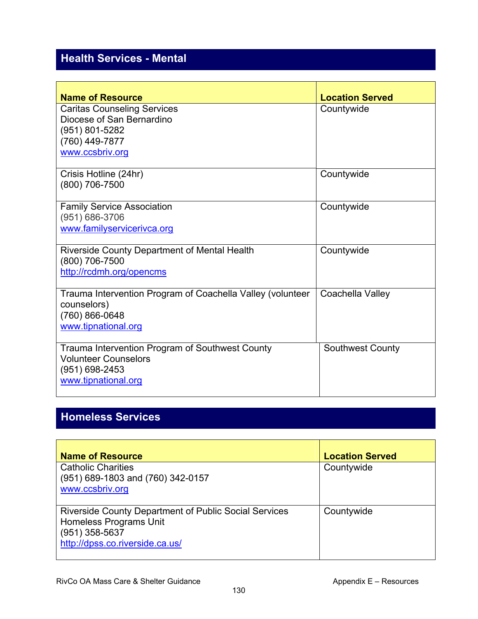#### **Health Services - Mental**

| <b>Name of Resource</b>                                                                                                 | <b>Location Served</b>  |
|-------------------------------------------------------------------------------------------------------------------------|-------------------------|
| <b>Caritas Counseling Services</b><br>Diocese of San Bernardino<br>(951) 801-5282<br>(760) 449-7877<br>www.ccsbriv.org  | Countywide              |
| Crisis Hotline (24hr)<br>(800) 706-7500                                                                                 | Countywide              |
| <b>Family Service Association</b><br>(951) 686-3706<br>www.familyservicerivca.org                                       | Countywide              |
| <b>Riverside County Department of Mental Health</b><br>(800) 706-7500<br>http://rcdmh.org/opencms                       | Countywide              |
| Trauma Intervention Program of Coachella Valley (volunteer<br>counselors)<br>(760) 866-0648<br>www.tipnational.org      | Coachella Valley        |
| Trauma Intervention Program of Southwest County<br><b>Volunteer Counselors</b><br>(951) 698-2453<br>www.tipnational.org | <b>Southwest County</b> |

#### **Homeless Services**

| <b>Name of Resource</b>                                      | <b>Location Served</b> |
|--------------------------------------------------------------|------------------------|
| <b>Catholic Charities</b>                                    | Countywide             |
| (951) 689-1803 and (760) 342-0157                            |                        |
| www.ccsbriv.org                                              |                        |
|                                                              |                        |
| <b>Riverside County Department of Public Social Services</b> | Countywide             |
| <b>Homeless Programs Unit</b>                                |                        |
| $(951)$ 358-5637                                             |                        |
| http://dpss.co.riverside.ca.us/                              |                        |
|                                                              |                        |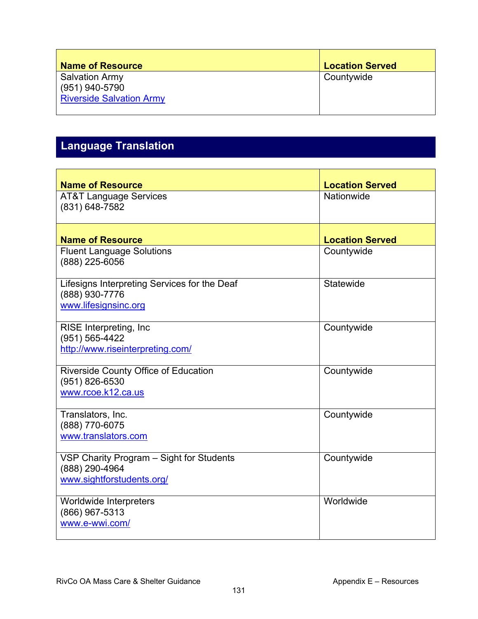| <b>Name of Resource</b>                                                    | <b>Location Served</b> |
|----------------------------------------------------------------------------|------------------------|
| <b>Salvation Army</b><br>(951) 940-5790<br><b>Riverside Salvation Army</b> | Countywide             |

#### **Language Translation**

| <b>Name of Resource</b>                                                                 | <b>Location Served</b> |
|-----------------------------------------------------------------------------------------|------------------------|
| <b>AT&amp;T Language Services</b><br>(831) 648-7582                                     | Nationwide             |
| <b>Name of Resource</b>                                                                 | <b>Location Served</b> |
| <b>Fluent Language Solutions</b><br>(888) 225-6056                                      | Countywide             |
| Lifesigns Interpreting Services for the Deaf<br>(888) 930-7776<br>www.lifesignsinc.org  | Statewide              |
| RISE Interpreting, Inc.<br>(951) 565-4422<br>http://www.riseinterpreting.com/           | Countywide             |
| Riverside County Office of Education<br>(951) 826-6530<br>www.rcoe.k12.ca.us            | Countywide             |
| Translators, Inc.<br>(888) 770-6075<br>www.translators.com                              | Countywide             |
| VSP Charity Program - Sight for Students<br>(888) 290-4964<br>www.sightforstudents.org/ | Countywide             |
| Worldwide Interpreters<br>(866) 967-5313<br>www.e-wwi.com/                              | Worldwide              |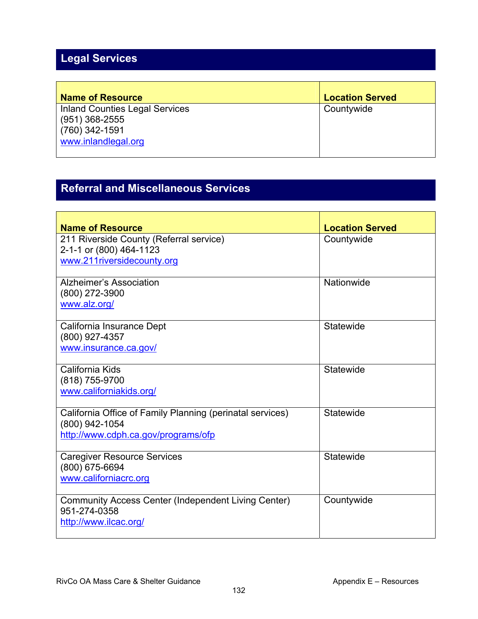#### **Legal Services**

| <b>Name of Resource</b>                                                                            | <b>Location Served</b> |
|----------------------------------------------------------------------------------------------------|------------------------|
| <b>Inland Counties Legal Services</b><br>$(951)$ 368-2555<br>(760) 342-1591<br>www.inlandlegal.org | Countywide             |

#### **Referral and Miscellaneous Services**

| <b>Name of Resource</b>                                   | <b>Location Served</b> |
|-----------------------------------------------------------|------------------------|
| 211 Riverside County (Referral service)                   | Countywide             |
| 2-1-1 or (800) 464-1123                                   |                        |
| www.211riversidecounty.org                                |                        |
| Alzheimer's Association                                   | Nationwide             |
| (800) 272-3900                                            |                        |
| www.alz.org/                                              |                        |
| California Insurance Dept                                 | Statewide              |
| (800) 927-4357                                            |                        |
| www.insurance.ca.gov/                                     |                        |
| California Kids                                           | Statewide              |
| (818) 755-9700                                            |                        |
| www.californiakids.org/                                   |                        |
| California Office of Family Planning (perinatal services) | Statewide              |
| (800) 942-1054                                            |                        |
| http://www.cdph.ca.gov/programs/ofp                       |                        |
| <b>Caregiver Resource Services</b>                        | Statewide              |
| (800) 675-6694                                            |                        |
| www.californiacrc.org                                     |                        |
| Community Access Center (Independent Living Center)       | Countywide             |
| 951-274-0358                                              |                        |
| http://www.ilcac.org/                                     |                        |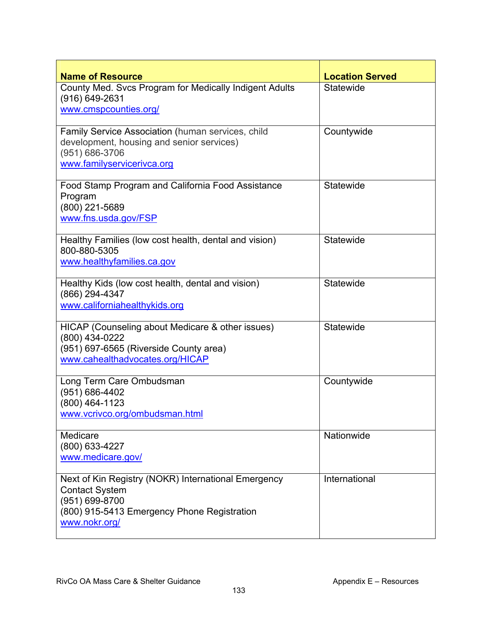| <b>Name of Resource</b>                                                                                                                                        | <b>Location Served</b> |
|----------------------------------------------------------------------------------------------------------------------------------------------------------------|------------------------|
| County Med. Svcs Program for Medically Indigent Adults<br>(916) 649-2631                                                                                       | Statewide              |
| www.cmspcounties.org/                                                                                                                                          |                        |
| Family Service Association (human services, child<br>development, housing and senior services)<br>(951) 686-3706<br>www.familyservicerivca.org                 | Countywide             |
| Food Stamp Program and California Food Assistance<br>Program<br>(800) 221-5689<br>www.fns.usda.gov/FSP                                                         | Statewide              |
| Healthy Families (low cost health, dental and vision)<br>800-880-5305<br>www.healthyfamilies.ca.gov                                                            | Statewide              |
| Healthy Kids (low cost health, dental and vision)<br>(866) 294-4347<br>www.californiahealthykids.org                                                           | Statewide              |
| HICAP (Counseling about Medicare & other issues)<br>(800) 434-0222<br>(951) 697-6565 (Riverside County area)<br>www.cahealthadvocates.org/HICAP                | Statewide              |
| Long Term Care Ombudsman<br>(951) 686-4402<br>(800) 464-1123<br>www.vcrivco.org/ombudsman.html                                                                 | Countywide             |
| Medicare<br>(800) 633-4227<br>www.medicare.gov/                                                                                                                | Nationwide             |
| Next of Kin Registry (NOKR) International Emergency<br><b>Contact System</b><br>(951) 699-8700<br>(800) 915-5413 Emergency Phone Registration<br>www.nokr.org/ | International          |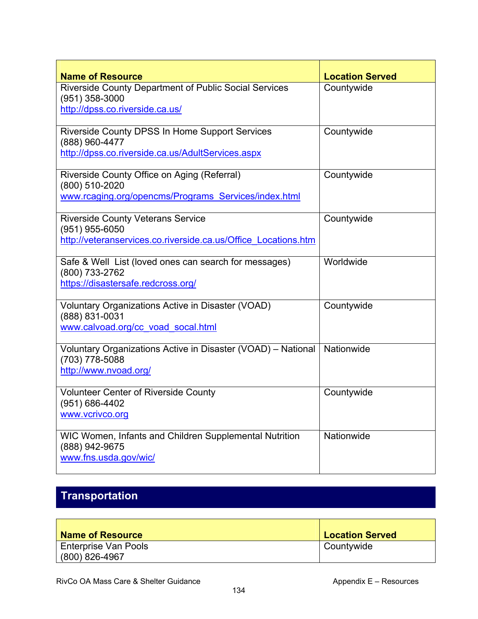| <b>Name of Resource</b>                                                          | <b>Location Served</b> |
|----------------------------------------------------------------------------------|------------------------|
| Riverside County Department of Public Social Services<br>$(951)$ 358-3000        | Countywide             |
| http://dpss.co.riverside.ca.us/                                                  |                        |
|                                                                                  |                        |
| Riverside County DPSS In Home Support Services<br>(888) 960-4477                 | Countywide             |
| http://dpss.co.riverside.ca.us/AdultServices.aspx                                |                        |
| Riverside County Office on Aging (Referral)<br>(800) 510-2020                    | Countywide             |
| www.rcaging.org/opencms/Programs Services/index.html                             |                        |
| <b>Riverside County Veterans Service</b>                                         | Countywide             |
| (951) 955-6050<br>http://veteranservices.co.riverside.ca.us/Office Locations.htm |                        |
|                                                                                  |                        |
| Safe & Well List (loved ones can search for messages)<br>(800) 733-2762          | Worldwide              |
| https://disastersafe.redcross.org/                                               |                        |
|                                                                                  |                        |
| Voluntary Organizations Active in Disaster (VOAD)<br>(888) 831-0031              | Countywide             |
| www.calvoad.org/cc voad socal.html                                               |                        |
| Voluntary Organizations Active in Disaster (VOAD) - National                     | Nationwide             |
| (703) 778-5088                                                                   |                        |
| http://www.nvoad.org/                                                            |                        |
| <b>Volunteer Center of Riverside County</b>                                      | Countywide             |
| $(951) 686 - 4402$<br>www.vcrivco.org                                            |                        |
|                                                                                  |                        |
| WIC Women, Infants and Children Supplemental Nutrition                           | Nationwide             |
| (888) 942-9675<br>www.fns.usda.gov/wic/                                          |                        |
|                                                                                  |                        |

#### **Transportation**

| <b>Name of Resource</b>     | <b>Location Served</b> |
|-----------------------------|------------------------|
| <b>Enterprise Van Pools</b> | Countywide             |
| $(800)$ 826-4967            |                        |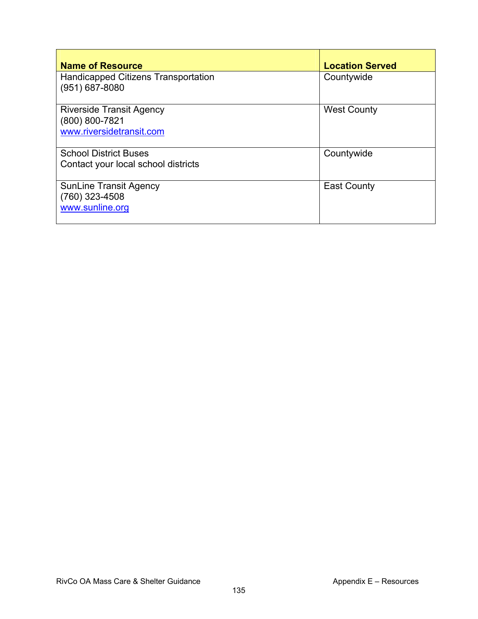| <b>Name of Resource</b>                                                | <b>Location Served</b> |
|------------------------------------------------------------------------|------------------------|
| Handicapped Citizens Transportation<br>$(951)$ 687-8080                | Countywide             |
| Riverside Transit Agency<br>(800) 800-7821<br>www.riversidetransit.com | <b>West County</b>     |
| <b>School District Buses</b><br>Contact your local school districts    | Countywide             |
| <b>SunLine Transit Agency</b><br>(760) 323-4508<br>www.sunline.org     | <b>East County</b>     |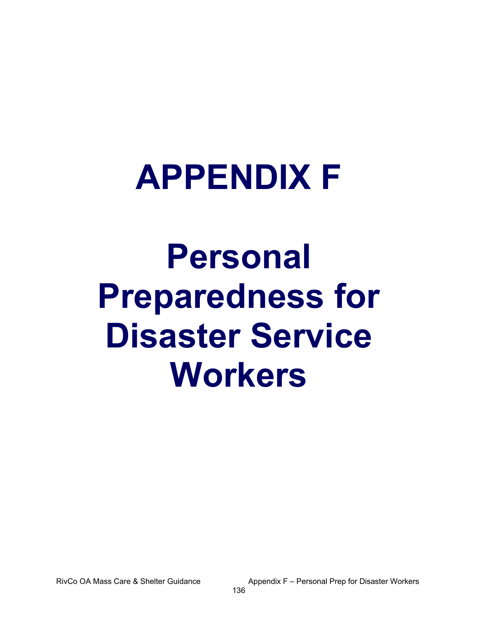### **APPENDIX F**

### **Personal Preparedness for Disaster Service Workers**

RivCo OA Mass Care & Shelter Guidance Appendix F – Personal Prep for Disaster Workers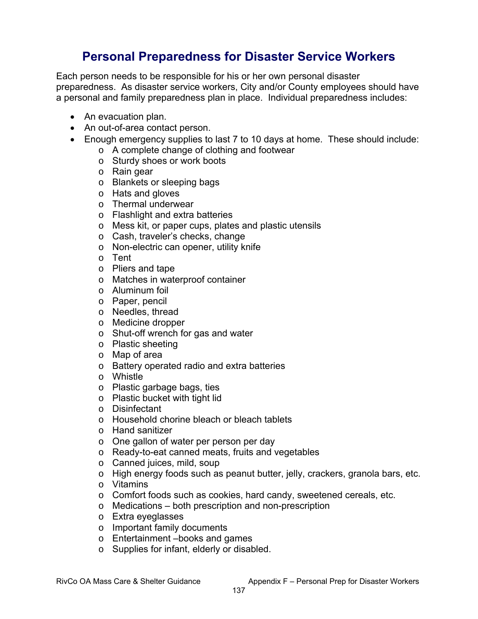#### **Personal Preparedness for Disaster Service Workers**

Each person needs to be responsible for his or her own personal disaster preparedness. As disaster service workers, City and/or County employees should have a personal and family preparedness plan in place. Individual preparedness includes:

- An evacuation plan.
- An out-of-area contact person.
- Enough emergency supplies to last 7 to 10 days at home. These should include:
	- o A complete change of clothing and footwear
		- o Sturdy shoes or work boots
		- o Rain gear
		- o Blankets or sleeping bags
		- o Hats and gloves
		- o Thermal underwear
		- o Flashlight and extra batteries
		- o Mess kit, or paper cups, plates and plastic utensils
		- o Cash, traveler's checks, change
		- o Non-electric can opener, utility knife
		- o Tent
		- o Pliers and tape
		- o Matches in waterproof container
		- o Aluminum foil
		- o Paper, pencil
		- o Needles, thread
		- o Medicine dropper
		- o Shut-off wrench for gas and water
		- o Plastic sheeting
		- o Map of area
		- o Battery operated radio and extra batteries
		- o Whistle
		- o Plastic garbage bags, ties
		- o Plastic bucket with tight lid
		- o Disinfectant
		- o Household chorine bleach or bleach tablets
		- o Hand sanitizer
		- o One gallon of water per person per day
		- o Ready-to-eat canned meats, fruits and vegetables
		- o Canned juices, mild, soup
		- o High energy foods such as peanut butter, jelly, crackers, granola bars, etc.
		- o Vitamins
		- $\circ$  Comfort foods such as cookies, hard candy, sweetened cereals, etc.
		- o Medications both prescription and non-prescription
		- o Extra eyeglasses
		- o Important family documents
		- o Entertainment –books and games
		- o Supplies for infant, elderly or disabled.

RivCo OA Mass Care & Shelter Guidance Appendix F – Personal Prep for Disaster Workers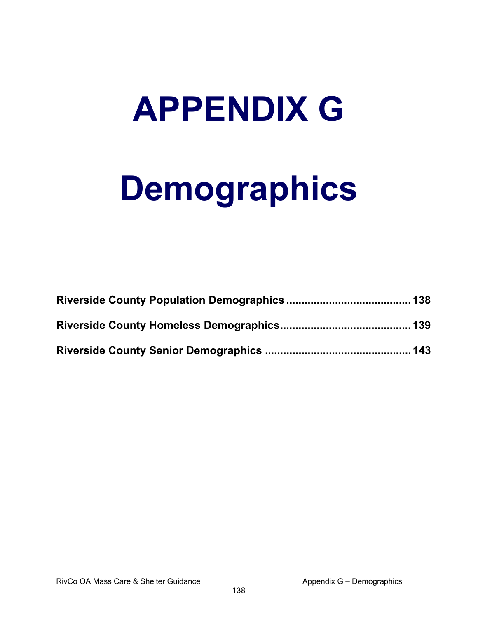## **APPENDIX G**

## **Demographics**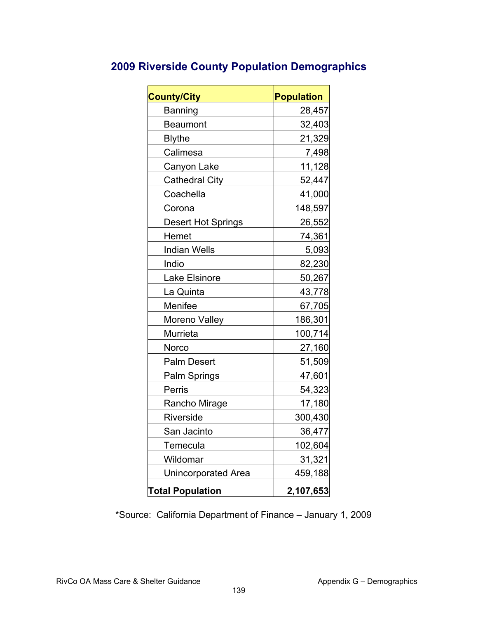#### **2009 Riverside County Population Demographics**

| <b>County/City</b>         | <b>Population</b> |
|----------------------------|-------------------|
| Banning                    | 28,457            |
| <b>Beaumont</b>            | 32,403            |
| <b>Blythe</b>              | 21,329            |
| Calimesa                   | 7,498             |
| Canyon Lake                | 11,128            |
| <b>Cathedral City</b>      | 52,447            |
| Coachella                  | 41,000            |
| Corona                     | 148,597           |
| <b>Desert Hot Springs</b>  | 26,552            |
| Hemet                      | 74,361            |
| <b>Indian Wells</b>        | 5,093             |
| Indio                      | 82,230            |
| Lake Elsinore              | 50,267            |
| La Quinta                  | 43,778            |
| Menifee                    | 67,705            |
| Moreno Valley              | 186,301           |
| Murrieta                   | 100,714           |
| Norco                      | 27,160            |
| <b>Palm Desert</b>         | 51,509            |
| Palm Springs               | 47,601            |
| Perris                     | 54,323            |
| Rancho Mirage              | 17,180            |
| Riverside                  | 300,430           |
| San Jacinto                | 36,477            |
| Temecula                   | 102,604           |
| Wildomar                   | 31,321            |
| <b>Unincorporated Area</b> | 459,188           |
| <b>Total Population</b>    | 2,107,653         |

\*Source: California Department of Finance – January 1, 2009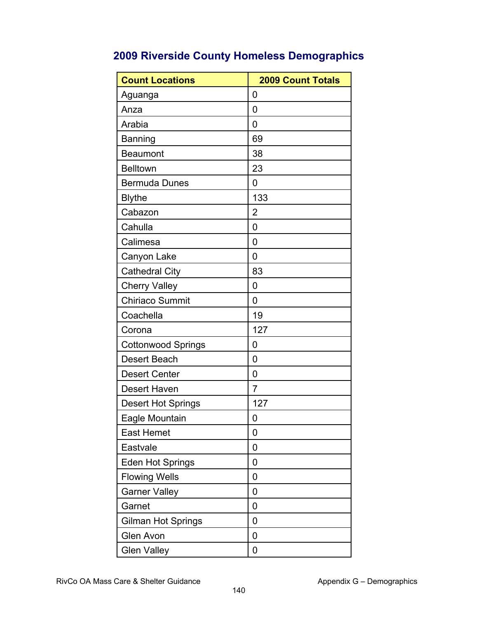| <b>Count Locations</b>    | <b>2009 Count Totals</b> |
|---------------------------|--------------------------|
| Aguanga                   | 0                        |
| Anza                      | 0                        |
| Arabia                    | 0                        |
| <b>Banning</b>            | 69                       |
| <b>Beaumont</b>           | 38                       |
| <b>Belltown</b>           | 23                       |
| <b>Bermuda Dunes</b>      | 0                        |
| <b>Blythe</b>             | 133                      |
| Cabazon                   | $\overline{2}$           |
| Cahulla                   | 0                        |
| Calimesa                  | 0                        |
| Canyon Lake               | 0                        |
| <b>Cathedral City</b>     | 83                       |
| <b>Cherry Valley</b>      | 0                        |
| <b>Chiriaco Summit</b>    | 0                        |
| Coachella                 | 19                       |
| Corona                    | 127                      |
| <b>Cottonwood Springs</b> | 0                        |
| <b>Desert Beach</b>       | 0                        |
| <b>Desert Center</b>      | 0                        |
| <b>Desert Haven</b>       | 7                        |
| <b>Desert Hot Springs</b> | 127                      |
| Eagle Mountain            | 0                        |
| <b>East Hemet</b>         | 0                        |
| Eastvale                  | 0                        |
| Eden Hot Springs          | 0                        |
| <b>Flowing Wells</b>      | 0                        |
| <b>Garner Valley</b>      | 0                        |
| Garnet                    | 0                        |
| <b>Gilman Hot Springs</b> | 0                        |
| <b>Glen Avon</b>          | 0                        |
| <b>Glen Valley</b>        | 0                        |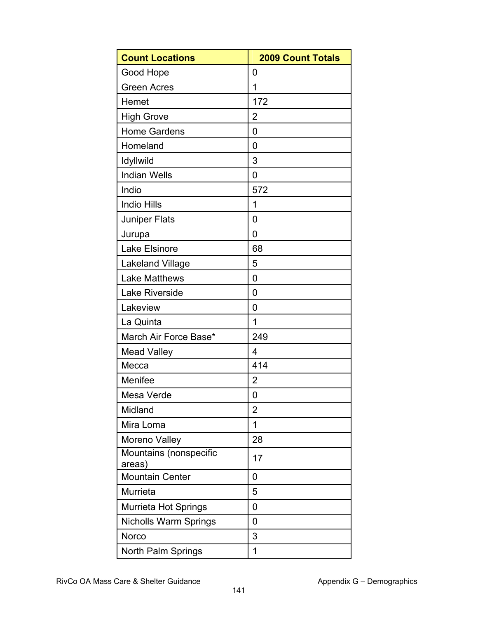| <b>Count Locations</b>           | <b>2009 Count Totals</b> |
|----------------------------------|--------------------------|
| Good Hope                        | 0                        |
| <b>Green Acres</b>               | 1                        |
| Hemet                            | 172                      |
| <b>High Grove</b>                | $\overline{2}$           |
| <b>Home Gardens</b>              | 0                        |
| Homeland                         | 0                        |
| Idyllwild                        | 3                        |
| <b>Indian Wells</b>              | 0                        |
| Indio                            | 572                      |
| <b>Indio Hills</b>               | 1                        |
| <b>Juniper Flats</b>             | 0                        |
| Jurupa                           | 0                        |
| <b>Lake Elsinore</b>             | 68                       |
| <b>Lakeland Village</b>          | 5                        |
| <b>Lake Matthews</b>             | 0                        |
| <b>Lake Riverside</b>            | 0                        |
| Lakeview                         | 0                        |
| La Quinta                        | 1                        |
| March Air Force Base*            | 249                      |
| <b>Mead Valley</b>               | 4                        |
| Mecca                            | 414                      |
| Menifee                          | $\overline{2}$           |
| Mesa Verde                       | 0                        |
| Midland                          | 2                        |
| Mira Loma                        | 1                        |
| Moreno Valley                    | 28                       |
| Mountains (nonspecific<br>areas) | 17                       |
| <b>Mountain Center</b>           | 0                        |
| Murrieta                         | 5                        |
| Murrieta Hot Springs             | 0                        |
| <b>Nicholls Warm Springs</b>     | 0                        |
| Norco                            | 3                        |
| North Palm Springs               | 1                        |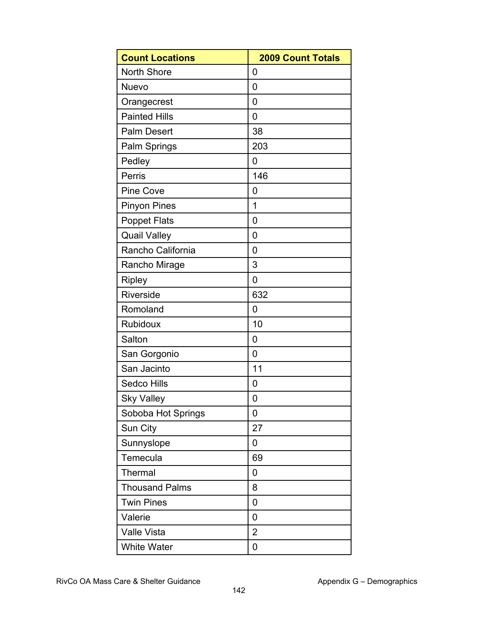| <b>Count Locations</b> | <b>2009 Count Totals</b> |
|------------------------|--------------------------|
| <b>North Shore</b>     | 0                        |
| <b>Nuevo</b>           | 0                        |
| Orangecrest            | 0                        |
| <b>Painted Hills</b>   | 0                        |
| <b>Palm Desert</b>     | 38                       |
| Palm Springs           | 203                      |
| Pedley                 | 0                        |
| Perris                 | 146                      |
| <b>Pine Cove</b>       | 0                        |
| <b>Pinyon Pines</b>    | 1                        |
| <b>Poppet Flats</b>    | 0                        |
| <b>Quail Valley</b>    | $\overline{0}$           |
| Rancho California      | 0                        |
| Rancho Mirage          | 3                        |
| <b>Ripley</b>          | 0                        |
| Riverside              | 632                      |
| Romoland               | 0                        |
| Rubidoux               | 10                       |
| Salton                 | 0                        |
| San Gorgonio           | 0                        |
| San Jacinto            | 11                       |
| <b>Sedco Hills</b>     | 0                        |
| <b>Sky Valley</b>      | 0                        |
| Soboba Hot Springs     | 0                        |
| Sun City               | 27                       |
| Sunnyslope             | 0                        |
| Temecula               | 69                       |
| Thermal                | 0                        |
| <b>Thousand Palms</b>  | 8                        |
| <b>Twin Pines</b>      | 0                        |
| Valerie                | 0                        |
| <b>Valle Vista</b>     | $\overline{2}$           |
| <b>White Water</b>     | 0                        |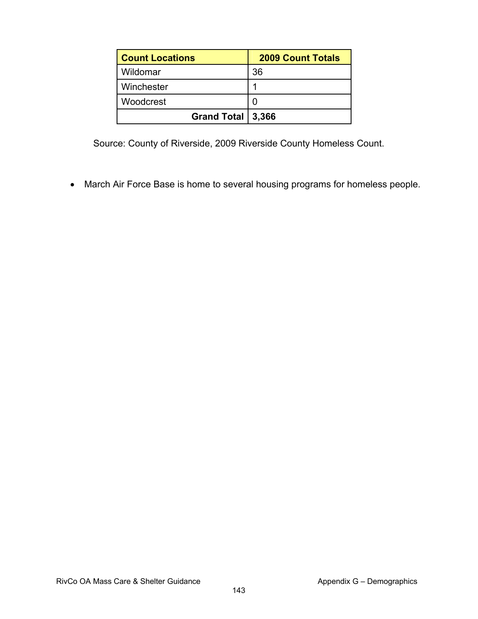| <b>Count Locations</b> | <b>2009 Count Totals</b> |
|------------------------|--------------------------|
| Wildomar               | 36                       |
| Winchester             |                          |
| Woodcrest              |                          |
| Grand Total   3,366    |                          |

Source: County of Riverside, 2009 Riverside County Homeless Count.

March Air Force Base is home to several housing programs for homeless people.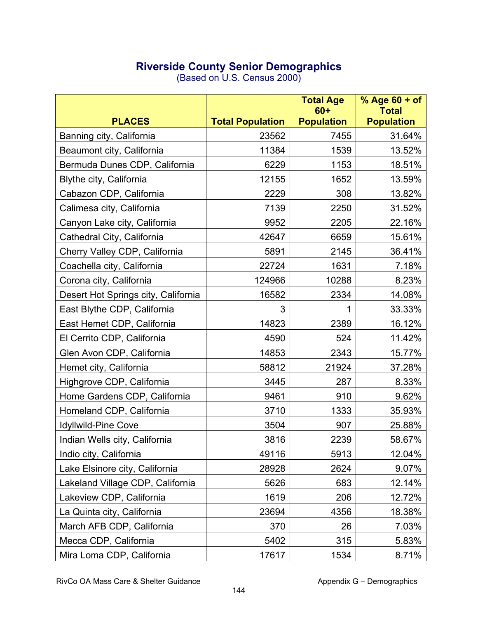#### **Riverside County Senior Demographics**

(Based on U.S. Census 2000)

|                                     |                         | <b>Total Age</b><br>$60+$ | % Age $60 + of$<br><b>Total</b> |
|-------------------------------------|-------------------------|---------------------------|---------------------------------|
| <b>PLACES</b>                       | <b>Total Population</b> | <b>Population</b>         | <b>Population</b>               |
| Banning city, California            | 23562                   | 7455                      | 31.64%                          |
| Beaumont city, California           | 11384                   | 1539                      | 13.52%                          |
| Bermuda Dunes CDP, California       | 6229                    | 1153                      | 18.51%                          |
| Blythe city, California             | 12155                   | 1652                      | 13.59%                          |
| Cabazon CDP, California             | 2229                    | 308                       | 13.82%                          |
| Calimesa city, California           | 7139                    | 2250                      | 31.52%                          |
| Canyon Lake city, California        | 9952                    | 2205                      | 22.16%                          |
| Cathedral City, California          | 42647                   | 6659                      | 15.61%                          |
| Cherry Valley CDP, California       | 5891                    | 2145                      | 36.41%                          |
| Coachella city, California          | 22724                   | 1631                      | 7.18%                           |
| Corona city, California             | 124966                  | 10288                     | 8.23%                           |
| Desert Hot Springs city, California | 16582                   | 2334                      | 14.08%                          |
| East Blythe CDP, California         | 3                       |                           | 33.33%                          |
| East Hemet CDP, California          | 14823                   | 2389                      | 16.12%                          |
| El Cerrito CDP, California          | 4590                    | 524                       | 11.42%                          |
| Glen Avon CDP, California           | 14853                   | 2343                      | 15.77%                          |
| Hemet city, California              | 58812                   | 21924                     | 37.28%                          |
| Highgrove CDP, California           | 3445                    | 287                       | 8.33%                           |
| Home Gardens CDP, California        | 9461                    | 910                       | 9.62%                           |
| Homeland CDP, California            | 3710                    | 1333                      | 35.93%                          |
| <b>Idyllwild-Pine Cove</b>          | 3504                    | 907                       | 25.88%                          |
| Indian Wells city, California       | 3816                    | 2239                      | 58.67%                          |
| Indio city, California              | 49116                   | 5913                      | 12.04%                          |
| Lake Elsinore city, California      | 28928                   | 2624                      | 9.07%                           |
| Lakeland Village CDP, California    | 5626                    | 683                       | 12.14%                          |
| Lakeview CDP, California            | 1619                    | 206                       | 12.72%                          |
| La Quinta city, California          | 23694                   | 4356                      | 18.38%                          |
| March AFB CDP, California           | 370                     | 26                        | 7.03%                           |
| Mecca CDP, California               | 5402                    | 315                       | 5.83%                           |
| Mira Loma CDP, California           | 17617                   | 1534                      | 8.71%                           |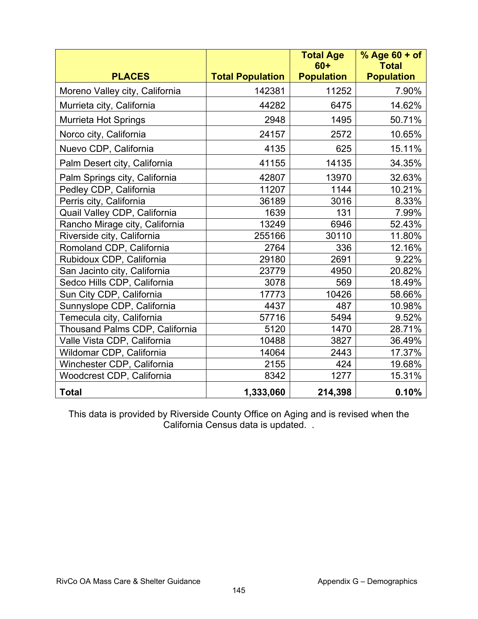|                                |                         | <b>Total Age</b><br>$60+$ | % Age $60 + of$<br><b>Total</b> |
|--------------------------------|-------------------------|---------------------------|---------------------------------|
| <b>PLACES</b>                  | <b>Total Population</b> | <b>Population</b>         | <b>Population</b>               |
| Moreno Valley city, California | 142381                  | 11252                     | 7.90%                           |
| Murrieta city, California      | 44282                   | 6475                      | 14.62%                          |
| Murrieta Hot Springs           | 2948                    | 1495                      | 50.71%                          |
| Norco city, California         | 24157                   | 2572                      | 10.65%                          |
| Nuevo CDP, California          | 4135                    | 625                       | 15.11%                          |
| Palm Desert city, California   | 41155                   | 14135                     | 34.35%                          |
| Palm Springs city, California  | 42807                   | 13970                     | 32.63%                          |
| Pedley CDP, California         | 11207                   | 1144                      | 10.21%                          |
| Perris city, California        | 36189                   | 3016                      | 8.33%                           |
| Quail Valley CDP, California   | 1639                    | 131                       | 7.99%                           |
| Rancho Mirage city, California | 13249                   | 6946                      | 52.43%                          |
| Riverside city, California     | 255166                  | 30110                     | 11.80%                          |
| Romoland CDP, California       | 2764                    | 336                       | 12.16%                          |
| Rubidoux CDP, California       | 29180                   | 2691                      | 9.22%                           |
| San Jacinto city, California   | 23779                   | 4950                      | 20.82%                          |
| Sedco Hills CDP, California    | 3078                    | 569                       | 18.49%                          |
| Sun City CDP, California       | 17773                   | 10426                     | 58.66%                          |
| Sunnyslope CDP, California     | 4437                    | 487                       | 10.98%                          |
| Temecula city, California      | 57716                   | 5494                      | 9.52%                           |
| Thousand Palms CDP, California | 5120                    | 1470                      | 28.71%                          |
| Valle Vista CDP, California    | 10488                   | 3827                      | 36.49%                          |
| Wildomar CDP, California       | 14064                   | 2443                      | 17.37%                          |
| Winchester CDP, California     | 2155                    | 424                       | 19.68%                          |
| Woodcrest CDP, California      | 8342                    | 1277                      | 15.31%                          |
| <b>Total</b>                   | 1,333,060               | 214,398                   | 0.10%                           |

This data is provided by Riverside County Office on Aging and is revised when the California Census data is updated. .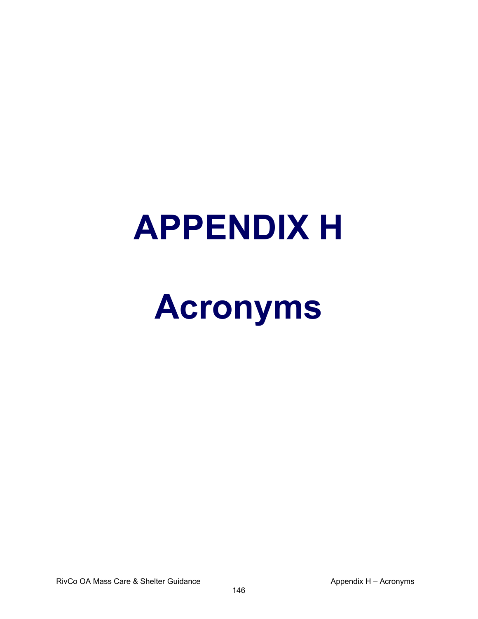## **APPENDIX H**

### **Acronyms**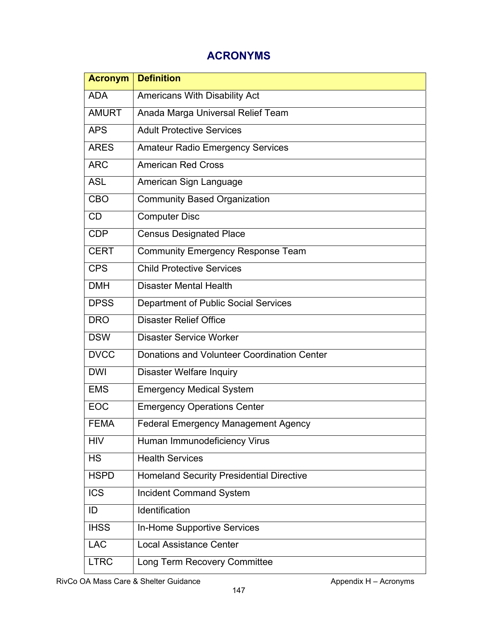### **ACRONYMS**

| <b>Acronym</b> | <b>Definition</b>                               |
|----------------|-------------------------------------------------|
| <b>ADA</b>     | Americans With Disability Act                   |
| <b>AMURT</b>   | Anada Marga Universal Relief Team               |
| <b>APS</b>     | <b>Adult Protective Services</b>                |
| <b>ARES</b>    | <b>Amateur Radio Emergency Services</b>         |
| <b>ARC</b>     | <b>American Red Cross</b>                       |
| <b>ASL</b>     | American Sign Language                          |
| <b>CBO</b>     | <b>Community Based Organization</b>             |
| CD             | <b>Computer Disc</b>                            |
| <b>CDP</b>     | <b>Census Designated Place</b>                  |
| <b>CERT</b>    | <b>Community Emergency Response Team</b>        |
| <b>CPS</b>     | <b>Child Protective Services</b>                |
| <b>DMH</b>     | <b>Disaster Mental Health</b>                   |
| <b>DPSS</b>    | Department of Public Social Services            |
| <b>DRO</b>     | <b>Disaster Relief Office</b>                   |
| <b>DSW</b>     | <b>Disaster Service Worker</b>                  |
| <b>DVCC</b>    | Donations and Volunteer Coordination Center     |
| <b>DWI</b>     | <b>Disaster Welfare Inquiry</b>                 |
| <b>EMS</b>     | <b>Emergency Medical System</b>                 |
| <b>EOC</b>     | <b>Emergency Operations Center</b>              |
| <b>FEMA</b>    | <b>Federal Emergency Management Agency</b>      |
| <b>HIV</b>     | Human Immunodeficiency Virus                    |
| <b>HS</b>      | <b>Health Services</b>                          |
| <b>HSPD</b>    | <b>Homeland Security Presidential Directive</b> |
| <b>ICS</b>     | <b>Incident Command System</b>                  |
| ID             | Identification                                  |
| <b>IHSS</b>    | <b>In-Home Supportive Services</b>              |
| <b>LAC</b>     | <b>Local Assistance Center</b>                  |
| <b>LTRC</b>    | Long Term Recovery Committee                    |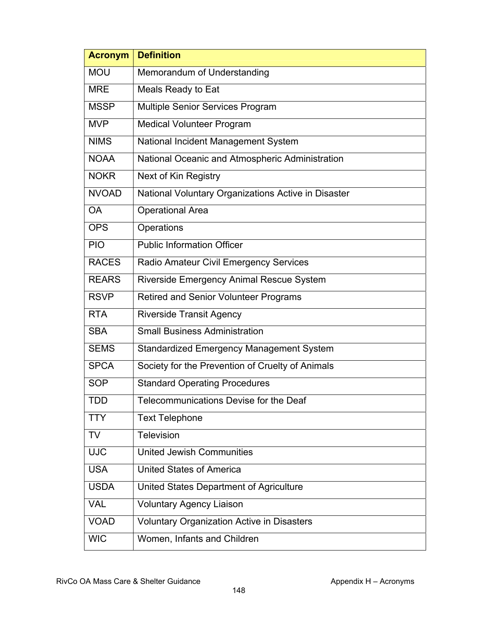| <b>Acronym</b> | <b>Definition</b>                                   |
|----------------|-----------------------------------------------------|
| <b>MOU</b>     | Memorandum of Understanding                         |
| <b>MRE</b>     | <b>Meals Ready to Eat</b>                           |
| <b>MSSP</b>    | <b>Multiple Senior Services Program</b>             |
| <b>MVP</b>     | <b>Medical Volunteer Program</b>                    |
| <b>NIMS</b>    | National Incident Management System                 |
| <b>NOAA</b>    | National Oceanic and Atmospheric Administration     |
| <b>NOKR</b>    | Next of Kin Registry                                |
| <b>NVOAD</b>   | National Voluntary Organizations Active in Disaster |
| <b>OA</b>      | <b>Operational Area</b>                             |
| <b>OPS</b>     | Operations                                          |
| <b>PIO</b>     | <b>Public Information Officer</b>                   |
| <b>RACES</b>   | Radio Amateur Civil Emergency Services              |
| <b>REARS</b>   | Riverside Emergency Animal Rescue System            |
| <b>RSVP</b>    | <b>Retired and Senior Volunteer Programs</b>        |
| <b>RTA</b>     | <b>Riverside Transit Agency</b>                     |
| <b>SBA</b>     | <b>Small Business Administration</b>                |
| <b>SEMS</b>    | <b>Standardized Emergency Management System</b>     |
| <b>SPCA</b>    | Society for the Prevention of Cruelty of Animals    |
| <b>SOP</b>     | <b>Standard Operating Procedures</b>                |
| TDD            | Telecommunications Devise for the Deaf              |
| <b>TTY</b>     | <b>Text Telephone</b>                               |
| TV             | <b>Television</b>                                   |
| <b>UJC</b>     | <b>United Jewish Communities</b>                    |
| <b>USA</b>     | <b>United States of America</b>                     |
| <b>USDA</b>    | United States Department of Agriculture             |
| <b>VAL</b>     | <b>Voluntary Agency Liaison</b>                     |
| <b>VOAD</b>    | <b>Voluntary Organization Active in Disasters</b>   |
| <b>WIC</b>     | Women, Infants and Children                         |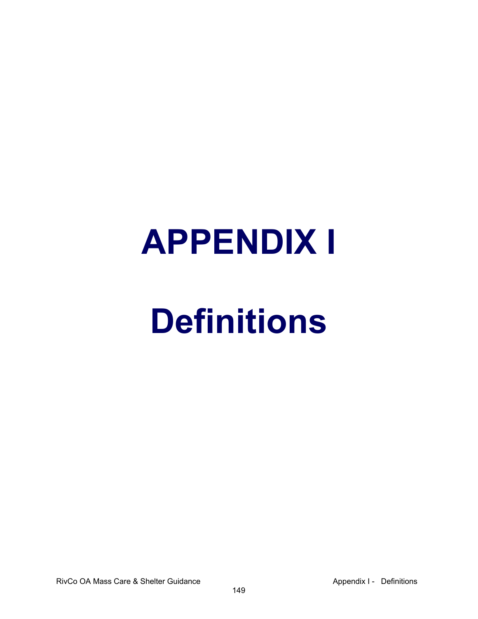### **APPENDIX I**

# **Definitions**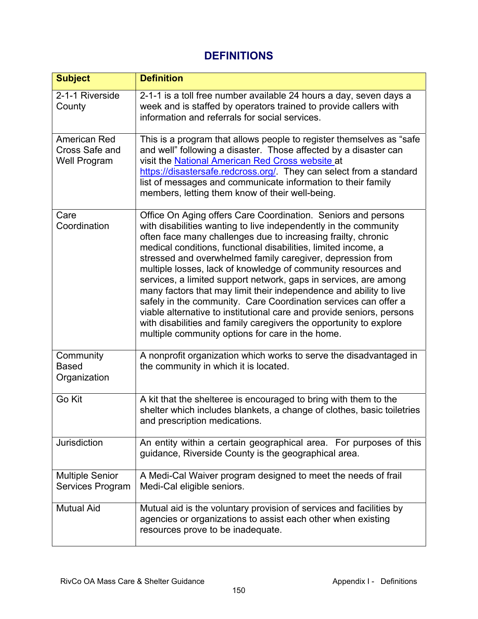#### **DEFINITIONS**

| <b>Subject</b>                                 | <b>Definition</b>                                                                                                                                                                                                                                                                                                                                                                                                                                                                                                                                                                                                                                                                                                                                                                                                   |
|------------------------------------------------|---------------------------------------------------------------------------------------------------------------------------------------------------------------------------------------------------------------------------------------------------------------------------------------------------------------------------------------------------------------------------------------------------------------------------------------------------------------------------------------------------------------------------------------------------------------------------------------------------------------------------------------------------------------------------------------------------------------------------------------------------------------------------------------------------------------------|
| 2-1-1 Riverside<br>County                      | 2-1-1 is a toll free number available 24 hours a day, seven days a<br>week and is staffed by operators trained to provide callers with<br>information and referrals for social services.                                                                                                                                                                                                                                                                                                                                                                                                                                                                                                                                                                                                                            |
| American Red<br>Cross Safe and<br>Well Program | This is a program that allows people to register themselves as "safe<br>and well" following a disaster. Those affected by a disaster can<br>visit the National American Red Cross website at<br>https://disastersafe.redcross.org/. They can select from a standard<br>list of messages and communicate information to their family<br>members, letting them know of their well-being.                                                                                                                                                                                                                                                                                                                                                                                                                              |
| Care<br>Coordination                           | Office On Aging offers Care Coordination. Seniors and persons<br>with disabilities wanting to live independently in the community<br>often face many challenges due to increasing frailty, chronic<br>medical conditions, functional disabilities, limited income, a<br>stressed and overwhelmed family caregiver, depression from<br>multiple losses, lack of knowledge of community resources and<br>services, a limited support network, gaps in services, are among<br>many factors that may limit their independence and ability to live<br>safely in the community. Care Coordination services can offer a<br>viable alternative to institutional care and provide seniors, persons<br>with disabilities and family caregivers the opportunity to explore<br>multiple community options for care in the home. |
| Community<br><b>Based</b><br>Organization      | A nonprofit organization which works to serve the disadvantaged in<br>the community in which it is located.                                                                                                                                                                                                                                                                                                                                                                                                                                                                                                                                                                                                                                                                                                         |
| Go Kit                                         | A kit that the shelteree is encouraged to bring with them to the<br>shelter which includes blankets, a change of clothes, basic toiletries<br>and prescription medications.                                                                                                                                                                                                                                                                                                                                                                                                                                                                                                                                                                                                                                         |
| Jurisdiction                                   | An entity within a certain geographical area. For purposes of this<br>guidance, Riverside County is the geographical area.                                                                                                                                                                                                                                                                                                                                                                                                                                                                                                                                                                                                                                                                                          |
| <b>Multiple Senior</b><br>Services Program     | A Medi-Cal Waiver program designed to meet the needs of frail<br>Medi-Cal eligible seniors.                                                                                                                                                                                                                                                                                                                                                                                                                                                                                                                                                                                                                                                                                                                         |
| <b>Mutual Aid</b>                              | Mutual aid is the voluntary provision of services and facilities by<br>agencies or organizations to assist each other when existing<br>resources prove to be inadequate.                                                                                                                                                                                                                                                                                                                                                                                                                                                                                                                                                                                                                                            |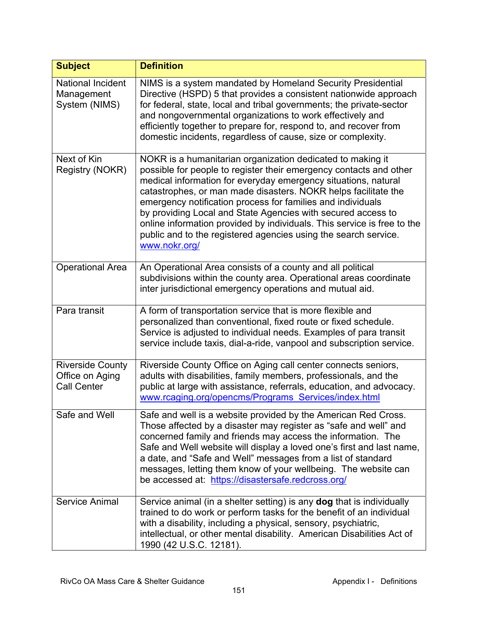| <b>Subject</b>                                                   | <b>Definition</b>                                                                                                                                                                                                                                                                                                                                                                                                                                                                                                                                                  |
|------------------------------------------------------------------|--------------------------------------------------------------------------------------------------------------------------------------------------------------------------------------------------------------------------------------------------------------------------------------------------------------------------------------------------------------------------------------------------------------------------------------------------------------------------------------------------------------------------------------------------------------------|
| <b>National Incident</b><br>Management<br>System (NIMS)          | NIMS is a system mandated by Homeland Security Presidential<br>Directive (HSPD) 5 that provides a consistent nationwide approach<br>for federal, state, local and tribal governments; the private-sector<br>and nongovernmental organizations to work effectively and<br>efficiently together to prepare for, respond to, and recover from<br>domestic incidents, regardless of cause, size or complexity.                                                                                                                                                         |
| Next of Kin<br>Registry (NOKR)                                   | NOKR is a humanitarian organization dedicated to making it<br>possible for people to register their emergency contacts and other<br>medical information for everyday emergency situations, natural<br>catastrophes, or man made disasters. NOKR helps facilitate the<br>emergency notification process for families and individuals<br>by providing Local and State Agencies with secured access to<br>online information provided by individuals. This service is free to the<br>public and to the registered agencies using the search service.<br>www.nokr.org/ |
| <b>Operational Area</b>                                          | An Operational Area consists of a county and all political<br>subdivisions within the county area. Operational areas coordinate<br>inter jurisdictional emergency operations and mutual aid.                                                                                                                                                                                                                                                                                                                                                                       |
| Para transit                                                     | A form of transportation service that is more flexible and<br>personalized than conventional, fixed route or fixed schedule.<br>Service is adjusted to individual needs. Examples of para transit<br>service include taxis, dial-a-ride, vanpool and subscription service.                                                                                                                                                                                                                                                                                         |
| <b>Riverside County</b><br>Office on Aging<br><b>Call Center</b> | Riverside County Office on Aging call center connects seniors,<br>adults with disabilities, family members, professionals, and the<br>public at large with assistance, referrals, education, and advocacy.<br>www.rcaging.org/opencms/Programs Services/index.html                                                                                                                                                                                                                                                                                                 |
| Safe and Well                                                    | Safe and well is a website provided by the American Red Cross.<br>Those affected by a disaster may register as "safe and well" and<br>concerned family and friends may access the information. The<br>Safe and Well website will display a loved one's first and last name,<br>a date, and "Safe and Well" messages from a list of standard<br>messages, letting them know of your wellbeing. The website can<br>be accessed at: https://disastersafe.redcross.org/                                                                                                |
| <b>Service Animal</b>                                            | Service animal (in a shelter setting) is any dog that is individually<br>trained to do work or perform tasks for the benefit of an individual<br>with a disability, including a physical, sensory, psychiatric,<br>intellectual, or other mental disability. American Disabilities Act of<br>1990 (42 U.S.C. 12181).                                                                                                                                                                                                                                               |